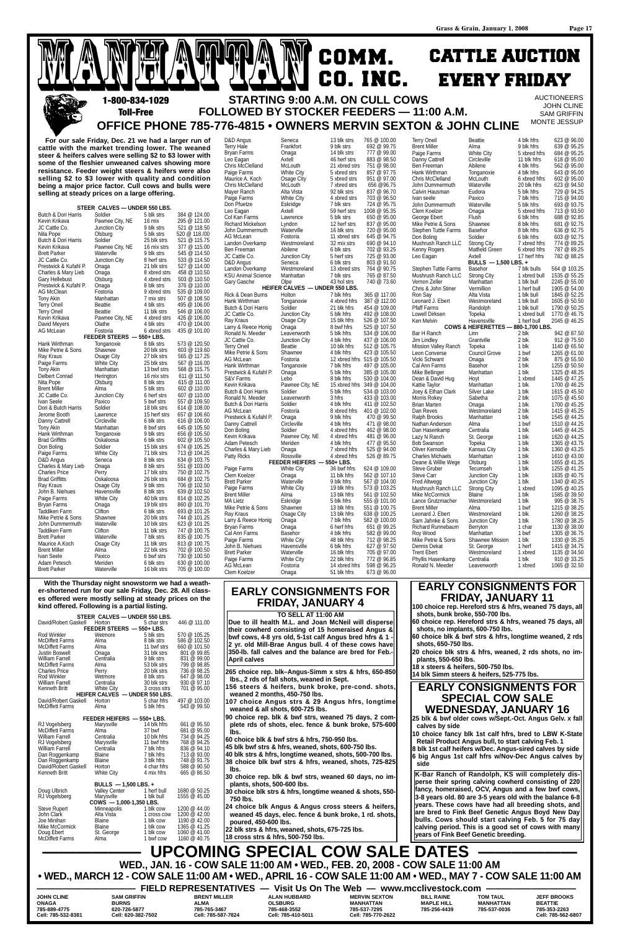COMM. CO. INC. CATTLE AUCTION EVERY FRIDAY **STARTING 9:00 A.M. ON CULL COWS** 

Hank Wirthman

George Ebert

**AUCTIONEERS** JOHN CLINE SAM GRIFFIN MONTE JESSUP

782 @ 88.25

## **FOLLOWED BY STOCKER FEEDERS — 11:00 A.M. OFFICE PHONE 785-776-4815 • OWNERS MERVIN SEXTON & JOHN CLINE Toll-Free**

**For our sale Friday, Dec. 21 we had a larger run of cattle with the market trending lower. The weaned steer & heifers calves were selling \$2 to \$3 lower with some of the fleshier unweaned calves showing more resistance. Feeder weight steers & heifers were also selling \$2 to \$3 lower with quality and condition being a major price factor. Cull cows and bulls were selling at steady prices on a large offering.**

MANHATTAN MANHATTAN

D&D Angus Seneca 13 blk strs 765 @ 100.00 Hale Frankfort 9 blk strs 692 @ 99.75

|                             | STEER CALVES - UNDER 550 LBS. |                            |                              |
|-----------------------------|-------------------------------|----------------------------|------------------------------|
| Butch & Dori Harris         | Soldier                       | 5 blk strs                 | 384 @ 124.00                 |
| Kevin Krikava               | Pawnee City, NE               | 16 mix                     | 295 @ 121.00                 |
| JC Cattle Co.               | Junction City                 | 9 blk strs                 | 521 @ 118.50                 |
| Nita Pope                   | Olsburg                       | 5 blk strs                 | 520 @ 118./00                |
| Butch & Dori Harris         | Soldier                       | 25 blk strs                | 521 @ 115.75                 |
| Kevin Krikava               | Pawnee City, NE               | 16 mix strs                | 377 @ 115.00                 |
| <b>Brett Parker</b>         | Waterville                    | 9 blk strs                 | 545 @ 114.50                 |
| JC Cattle Co.               | Junction City                 | 8 herf strs                | 533 @ 114.50                 |
| Prestwick & Kufahl P.       | Onaga                         | 21 blk strs                | 527 @ 114.00                 |
| Charles & Mary Lieb         | Onaga                         | 8 xbred strs               | 458 @ 110.50                 |
| <b>Gary Hellebust</b>       | Olsburg                       | 4 xbred strs               | 503 @ 110.50                 |
| Prestwick & Kufahl P.       | Onaga                         | 8 blk strs                 | 376 @ 110.00                 |
| AG McClean                  | Fostoria                      | 9 xbred strs               | 535 @ 109.00                 |
| Tony Akin                   | Manhattan                     | 7 mix strs                 | 507 @ 108.50                 |
| <b>Terry Oneil</b>          | Beattie                       | 4 blk strs                 | 495 @ 106.00                 |
| <b>Terry Oneil</b>          | Beattie                       | 11 blk strs                | 546 @ 106.00                 |
| Kevin Krikava               | Pawnee City, NE               | 4 xbred strs               | 426 @ 106.00                 |
| David Meyers                | Olathe                        | 4 blk strs                 | 470 @ 104.00                 |
| AG McLean                   | Fostoria                      | 6 xbred strs               | 435 @ 101.00                 |
|                             | FEEDER STEERS - 550+ LBS.     |                            |                              |
| Hank Wirthman               | Tonganoxie                    | 8 blk strs                 | 573 @ 120.50                 |
| Mike Petrie & Sons          | Shawnee                       | 20 blk strs                | 603 @ 119.60                 |
| Ray Kraus                   | Osage City                    | 27 blk strs                | 565 @ 117.25                 |
| Paige Farms                 | White City                    | 25 blk strs                | 567 @ 116.00                 |
| <b>Tony Akin</b>            | Manhattan                     | 13 bwf strs                | 568 @ 115.75                 |
| Delbert Conrad              | Herington                     | 16 mix strs                | 611 @ 111.50                 |
| Nita Pope                   | Olsburg                       | 8 blk strs                 | 615 @ 111.00                 |
| <b>Brent Miller</b>         | Alma                          | 5 blk strs                 | 602 @ 110.00                 |
| JC Cattle Co.               | Junction City                 | 6 herf strs                | 607 @ 110.00                 |
| Ivan Seele                  | Paxico                        | 5 bwf strs                 | 557 @ 109.50                 |
| Dori & Butch Harris         | Soldier                       | 18 blk strs                | 614 @ 108.00                 |
| Jerome Booth                | Lawrence                      | 15 herf strs<br>6 blk strs | 657 @ 106.60<br>616 @ 106.00 |
| Danny Cattrell<br>Tony Akin | Circleville<br>Manhattan      | 8 bwf strs                 | 645 @ 105.50                 |
| Hank Wirthman               | Tonganoxie                    | 9 blk strs                 | 656 @ 105.50                 |
| <b>Brad Griffitts</b>       | Oskaloosa                     | 6 blk strs                 | 602 @ 105.50                 |
| Don Boling                  | Soldier                       | 15 blk strs                | 674 @ 105.25                 |
| Paige Farms                 | White City                    | 71 blk strs                | 713 @ 104.25                 |
| D&D Angus                   | Seneca                        | 8 blk strs                 | 634 @ 103.75                 |
| Charles & Mary Lieb         | Onaga                         | 8 blk strs                 | 551 @ 103.00                 |
| <b>Charles Price</b>        | Perry                         | 17 blk strs                | 750 @ 102.75                 |
| <b>Brad Griffitts</b>       | Oskaloosa                     | 26 blk strs                | 684 @ 102.75                 |
| Ray Kraus                   | Osage City                    | 9 blk strs                 | 706 @ 102.50                 |
| John B. Niehues             | Havensville                   | 8 blk strs                 | 639 @ 102.50                 |
| Paige Farms                 | White City                    | 40 blk strs                | 814 @ 102.25                 |
| <b>Bryan Farms</b>          | Onaga                         | 19 blk strs                | 860 @ 101.70                 |
| Taddiken Farm               | Clifton                       | 6 blk strs                 | 693 @ 101.25                 |
| Mike Petrie & Sons          | Shawnee                       | 20 blk strs                | 744 @ 101.25                 |
| John Dummermuth             | Waterville                    | 10 blk strs                | 623 @ 101.25                 |
| Taddiken Farm               | Clifton                       | 11 blk strs                | 747 @ 100.75                 |
| <b>Brett Parker</b>         | Waterville                    | 7 blk strs                 | 835 @ 100.75                 |
| Maurice A.Koch              | Osage City                    | 11 blk strs                | 813 @ 100.75                 |
| <b>Brent Miller</b>         | Alma                          | 22 blk strs                | 702 @ 100.50                 |
| Ivan Seele                  | Paxico                        | 6 bwf strs                 | 730 @ 100.50                 |
| Adam Petesch                | Meriden                       | 6 blk strs                 | 630 @ 100.00                 |
| <b>Brett Parker</b>         | Waterville                    | 16 blk strs                | 705 @ 100.00                 |

**BULLS — 1,500 LBS. +** Stephen Tuttle Farms Basehor 7 blk bulls 564 @ 103.25<br>Mushrush Ranch LLC Strong City 1 xbred bull 1535 @ 55.25

Vernon Zeller Manhattan 1 blk bull 2245 @ 55.00<br>Chris & John Stiner Vermillion 1 herf bull 1905 @ 54.00

Pfaff Farms Randolph 1 blk bull 1790 @ 50.25<br>
Lowell Dirksen Topeka 1 xbred bull 1770 @ 46.75

Ken Melvin **Havensville** 1 herf bull 2045 @ 46.25 **COWS & HEIFERETTES — 880-1,700 LBS.**  Bar H Ranch Linn 2 blk 942 @ 87.50

Mission Valley Ranch Topeka 1 blk 1140 @ 65.50<br>
Leon Converse Council Grove 1 bwf 1265 @ 61.00 Leon Converse Council Grove 1 bwf 1265 @ 61.00<br>Vicki Schwant Onaga 2 blk 875 @ 55.50 Vicki Schwant Chaga 2 blk 875 @ 55.50<br>Cal Ann Farms Basehor 1 blk 1255 @ 50.50

Mike Bellinger Manhattan 1 blk 1325 @ 48.25 Dean & David Hug Hoyt 1 xbred 1445 @ 47.25<br>
Kattie Tavlor Manhattan 1 blk 1700 @ 46.25 Kattie Taylor Manhattan 1 blk 1700 @ 46.25<br>
Joey & Ethan Clark Silver Lake 1 blk 1615 @ 45.50

Morris Rokey Sabetha 2 blk 1075 @ 45.50<br>
Brian Marten Chaga 1 blk 1700 @ 45.25 Brian Marten **Comaga** 1 blk 1700 @ 45.25<br>
Dan Reves Westmoreland 2 blk 1415 @ 45.25 Westmoreland Ralph Brooks Manhattan 1 blk 1545 @ 44.25 Nathan Anderson Alma 1610 6 1510 @ 44.25<br>
Dan Hasenkamp Centralia 161 161 1445 @ 44.25

| 1011111010<br>Bryan Farms               | .<br>Onaga                     | טוויט<br>14 blk strs       | $\sim$ $\sim$ $\sim$ $\sim$<br>777 @ 99.00 |
|-----------------------------------------|--------------------------------|----------------------------|--------------------------------------------|
| Leo Eagan                               | Axtell                         | 46 herf strs               | 883 @ 98.50                                |
| Chris McClelland                        | McLouth                        | 21 xbred strs              | 751 @ 98.00                                |
| Paige Farms                             | White City                     | 5 xbred strs               | 857 @ 97.75                                |
| Maurice A. Koch                         | Osage City                     | 5 xbred strs               | 951 @ 97.00                                |
| <b>Chris McClelland</b>                 | McLouth                        | 7 xbred strs               | 656 @96.75                                 |
| Mayer Ranch                             | Alta Vista                     | 92 blk strs                | 837 @ 96.70                                |
| Paige Farms                             | White City                     | 4 xbred strs               | 703 @ 96.50                                |
| Don Pfuetze                             | Eskridge                       | 7 blk strs                 | 724 @ 95.75                                |
| Leo Eagan                               | Axtell                         | 59 herf strs               | 1008 @ 95.35                               |
| Col Kan Farms                           | Lawrence                       | 5 blk strs                 | 650 @ 95.00                                |
| <b>Richard Mickelson</b>                | Lyndon                         | 12 herf strs               | 837 @ 95.00                                |
| John Dummermuth                         | Waterville                     | 16 blk strs                | 720 @ 95.00                                |
| AG McLean                               | Fostoria                       | 11 xbred strs              | 645 @ 94.75                                |
| Landon Overkamp                         | Westmoreland                   | 32 mix strs                | 690 @ 94.10                                |
| Ben Freeman                             | Abilene                        | 6 blk strs                 | 702 @ 93.25                                |
| JC Cattle Co.                           | Junction City                  | 5 herf strs                | 725 @ 93.00                                |
| D&D Angus                               | Seneca                         | 6 blk strs                 | 803 @ 91.50                                |
| Landon Overkamp                         | Westmoreland                   | 13 xbred strs              | 764 @ 90.75                                |
| KSU Animal Science                      | Manhattan                      | 7 blk strs                 | 765 @ 87.50                                |
| Gary Gasche                             | Olpe                           | 43 hol strs                | 740 @ 73.60                                |
|                                         | HEIFER CALVES - UNDER 550 LBS. |                            |                                            |
| Rick & Dean Burns                       | Holton                         | 7 blk hfrs                 | 365 @ 117.00                               |
| Hank Wirthman                           | Tonganoxie                     | 4 xbred hfrs               | 387 @ 112.00                               |
| Butch & Dori Harris                     | Soldier                        | 21 blk hfrs                | 454 @ 109.00                               |
| JC Cattle Co.                           | Junction City                  | 5 blk hfrs                 | 492 @ 108.00                               |
| Ray Kraus                               | Osage City                     | 15 blk hfrs                | 526 @ 107.50                               |
| Larry & Reece Honig                     | Onaga                          | 8 bwf hfrs                 | 525 @ 107.50                               |
| Ronald N. Meeder                        | Leavenworth                    | 5 blk hfrs                 | 534 @ 106.00                               |
| JC Cattle Co.                           | Junction City                  | 4 blk hfrs                 | 437 @ 106.00                               |
| <b>Terry Oneil</b>                      | <b>Beattie</b>                 | 10 blk hfrs                | 512 @ 105.75                               |
| Mike Petrie & Sons                      | Shawnee                        | 4 blk hfrs                 | 423 @ 105.50                               |
| AG McLean                               | Fostoria                       |                            | 12 xbred hfrs 515 @ 105.50                 |
| Hank Wirthman                           | Tonganoxie                     | 7 blk hfrs                 | 497 @ 105.00                               |
| Prestwick & Kufahl P.                   | Onaga                          | 5 blk hfrs                 | 385 @ 105.00                               |
| S&V Farms                               | Lebo                           | 8 blk hfrs                 | 530 @ 104.00                               |
| Kevin Krikava                           | Pawnee City, NE                |                            | 15 xbred hfrs 349 @ 104.00                 |
| Butch & Dori Harris                     | Soldier                        | 5 blk hfrs                 | 534 @ 103.00                               |
| Ronald N. Meeder<br>Butch & Dori Harris | Leavenworth                    | 3 hfrs                     | 433 @ 103.00<br>411 @ 102.50               |
| AG McLean                               | Soldier                        | 4 blk hfrs<br>8 xbred hfrs | 401 @ 102.00                               |
| Prestwick & Kufahl P.                   | Fostoria                       | 9 blk hfrs                 | 470 @ 99.50                                |
| Danny Cattrell                          | Onaga<br>Circleville           | 4 blk hfrs                 | 471 @ 98.00                                |
| Don Boling                              | Soldier                        | 4 xbred hfrs               | 462 @ 98.00                                |
| Kevin Krikava                           | Pawnee City, NE                | 4 xbred hfrs               | 481 @ 96.00                                |
| Adam Petesch                            | Meriden                        | 4 blk hfrs                 | 477 @ 95.50                                |
| Charles & Mary Lieb                     | Onaga                          | 7 xbred hfrs               | 525 @ 94.00                                |
| Patty Ricks                             | Rossville                      | 4 xbred hfrs               | 526 @ 89.75                                |
|                                         | FEEDER HEIFERS - 550+ LBS.     |                            |                                            |
| Paige Farms                             | <b>White City</b>              | 36 bwf hfrs                | 624 @ 109.00                               |
| Clem Koelzer                            | Onaga                          | 11 blk hfrs                | 562 @ 107.10                               |
| <b>Brett Parker</b>                     | Waterville                     | 9 blk hfrs                 | 567 @ 104.00                               |
| Paige Farms                             | <b>White City</b>              | 19 blk hfrs                | 573 @ 103.25                               |
| Brent Miller                            | Alma                           | 13 blk hfrs                | 561 @ 102.50                               |
| MA Lietz                                | Eskridge                       | 5 blk hfrs                 | 555 @ 101.00                               |
| Mike Petrie & Sons                      | Shawnee                        | 13 blk hfrs                | 551 @ 100.75                               |
| Ray Kraus                               | Osage City                     | 13 blk hfrs                | 638 @ 100.25                               |
| Larry & Reece Honig                     | Onaga                          | 7 blk hfrs                 | 582 @ 100.00                               |
| Bryan Farms                             | Onaga                          | 6 herf hfrs                | 651 @ 99.25                                |
| Cal Ann Farms                           | Basehor                        | 4 blk hfrs                 | 582 @ 99.00                                |
| Paige Farms                             | <b>White City</b>              | 48 blk hfrs                | 712 @ 98.25                                |
| John B. Niehues                         | Havensville                    | 6 blk hfrs                 | 627 @ 97.50                                |
| <b>Brett Parker</b>                     | Waterville                     | 16 blk hfrs                | 705 @ 97.00                                |
| Paige Farms                             | <b>White City</b>              | 22 blk hfrs                | 772 @ 96.85                                |
| AG McLean                               | Fostoria                       | 14 xbred hfrs              | 598 @ 96.25                                |
| Clem Koelzer                            | Onaga                          | 51 blk hfrs                | 673 @ 96.00                                |

Terry Oneil Beattie 4 blk hfrs 623 @ 96.00

Ben Freeman Abilene 4 blk hfrs 562 @ 95.00<br>Hank Wirthman Tonganoxie 4 blk hfrs 643 @ 95.00

Chris McClelland McLouth 6 xbred hfrs 602 @ 95.00 John Dummermuth Waterville 20 blk hfrs 623 @ 94.50<br>Calvin Hausman Eudora 5 blk hfrs 729 @ 94.25

Mike Petrie & Sons Shawnee 8 blk hfrs 681 @ 92.75 Stephen Tuttle Farms Basehor 8 blk hfrs 636 @ 92.75 Don Boling Soldier 6 blk hfrs 603 @ 92.75<br>Mushrush Ranch LLC Strong City 7 xbred hfrs 774 @ 89.25 Mushrush Ranch LLC Strong City 7 xbred hfrs 774 @ 89.25<br>Kenny Rogers Matfield Green 6 xbred hfrs 787 @ 89.25

|                           | STEER CALVES - UNDER 550 LBS.                    |                              | TO SELL AT 11:00 AM                                                                                         |                      | shots, bunk broke, 550-700 lbs.                          |                              |                    |
|---------------------------|--------------------------------------------------|------------------------------|-------------------------------------------------------------------------------------------------------------|----------------------|----------------------------------------------------------|------------------------------|--------------------|
| David/Robert Gaskell      | Horton<br>5 char strs                            | 446 @ 111.00                 | Due to ill health M.L. and Joan McNeil will disperse                                                        |                      | 60 choice rep. Hereford strs & hfrs, weaned 75 days, all |                              |                    |
|                           | FEEDER STEERS - 550+ LBS.                        |                              | their cowherd consisting of 15 homeraised Angus &                                                           |                      | shots, no implants, 600-750 lbs.                         |                              |                    |
| Rod Winkler               | Wetmore<br>5 blk strs                            | 570 @ 105.25                 | bwf cows, 4-8 yrs old, 5-1st calf Angus bred hfrs & 1 -                                                     |                      | 60 choice blk & bwf strs & hfrs, longtime weaned, 2 rds  |                              |                    |
| <b>McDiffett Farms</b>    | 8 blk strs<br>Alma                               | 586 @ 102.50                 |                                                                                                             |                      |                                                          |                              |                    |
| <b>McDiffett Farms</b>    | 11 bwf strs<br>Alma                              | 660 @ 101.50                 | 2 yr. old Mill-Brae Angus bull. 4 of these cows have                                                        |                      | shots, 650-750 lbs.                                      |                              |                    |
| Justin Boswell            | 31 blk strs<br>Onaga                             | 801 @ 99.85                  | 350-lb. fall calves and the balance are bred for Feb.-                                                      |                      | 20 choice blk strs & hfrs, weaned, 2 rds shots, no im-   |                              |                    |
| <b>William Farrell</b>    | Centralia<br>9 blk strs                          | 831 @ 99.00                  | April calves                                                                                                |                      | plants, 550-650 lbs.                                     |                              |                    |
| McDiffett Farms           | 53 blk strs<br>Alma                              | 799 @ 98.85                  |                                                                                                             |                      | 18 x steers & heifers, 500-750 lbs.                      |                              |                    |
| <b>Charles Price</b>      | 20 blk strs<br>Perry                             | 736 @ 98.25                  | 265 choice rep. blk-Angus-Simm x strs & hfrs, 650-850                                                       |                      | 14 blk Simm steers & heifers, 525-775 lbs.               |                              |                    |
| Rod Winkler               | 8 blk strs<br>Wetmore                            | 647 @ 98.00                  | Ibs., 2 rds of fall shots, weaned in Sept.                                                                  |                      |                                                          |                              |                    |
| <b>William Farrell</b>    | Centralia<br>30 blk strs                         | 930 @ 97.10                  | 156 steers & heifers, bunk broke, pre-cond. shots,                                                          |                      | <b>EARLY CONSIGNMENTS FOR</b>                            |                              |                    |
| Kenneth Britt             | <b>White City</b><br>3 cross strs                | 701 @ 95.00                  |                                                                                                             |                      |                                                          |                              |                    |
|                           | <b>HEIFER CALVES</b><br>- UNDER 550 LBS.         |                              | weaned 2 months, 450-750 lbs.                                                                               |                      |                                                          | <b>SPECIAL COW SALE</b>      |                    |
| David/Robert Gaskell      | 5 char hfrs<br>Horton                            | 497 @ 103.00<br>543 @ 99.50  | 107 choice Angus strs & 29 Angus hfrs, longtime                                                             |                      |                                                          |                              |                    |
| <b>McDiffett Farms</b>    | Alma<br>5 blk hfrs                               |                              | weaned & all shots, 600-725 lbs.                                                                            |                      |                                                          | <b>WEDNESDAY, JANUARY 16</b> |                    |
|                           | FEEDER HEIFERS - 550+ LBS.                       |                              | 90 choice rep. blk & bwf strs, weaned 75 days, 2 com-                                                       |                      | 25 blk & bwf older cows w/Sept.-Oct. Angus Gelv. x fall  |                              |                    |
| RJ Vogelsberg             | 14 blk hfrs<br>Marysville                        | 661 @ 95.50                  | plete rds of shots, elec. fence & bunk broke, 575-600                                                       |                      |                                                          |                              |                    |
| <b>McDiffett Farms</b>    | 37 bwf<br>Alma                                   | 681 @ 95.00                  |                                                                                                             |                      | calves by side                                           |                              |                    |
| <b>William Farrell</b>    | Centralia<br>10 blk hfrs                         | 734 @ 94.25                  | lbs.                                                                                                        |                      | 10 choice fancy blk 1st calf hfrs, bred to LBW K-State   |                              |                    |
| RJ Vogelsberg             | Marysville<br>11 bwf hfrs                        | 768 @ 94.25                  | 60 choice blk & bwf strs & hfrs, 750-950 lbs.                                                               |                      | Retail Product Angus bull, to start calving Feb. 1       |                              |                    |
| <b>William Farrell</b>    | Centralia<br>7 blk hfrs                          | 836 @ 94.10                  | 45 blk bwf strs & hfrs, weaned, shots, 600-750 lbs.                                                         |                      | 8 blk 1st calf heifers w/Dec. Angus-sired calves by side |                              |                    |
| Dan Roggenkamp            | 7 blk hfrs<br><b>Blaine</b>                      | 713 @ 93.00                  | 40 blk strs & hfrs, longtime weaned, shots, 500-700 lbs.                                                    |                      | 6 big Angus 1st calf hfrs w/Nov-Dec Angus calves by      |                              |                    |
| Dan Roggenkamp            | 3 blk hfrs<br><b>Blaine</b>                      | 748 @ 91.75                  | 38 choice blk bwf strs & hfrs, weaned, shots, 725-825                                                       |                      |                                                          |                              |                    |
| David/Robert Gaskell      | Horton<br>4 char hfrs                            | 588 @ 90.50                  |                                                                                                             |                      | side                                                     |                              |                    |
| Kenneth Britt             | White City<br>4 mix hfrs                         | 665 @ 86.50                  | lbs.                                                                                                        |                      | K-Bar Ranch of Randolph, KS will completely dis-         |                              |                    |
|                           |                                                  |                              | 30 choice rep. blk & bwf strs, weaned 60 days, no im-                                                       |                      | perse their spring calving cowherd consisting of 220     |                              |                    |
|                           | BULLS - 1,500 LBS. +                             |                              | plants, shots, 500-600 lbs.                                                                                 |                      |                                                          |                              |                    |
| Doug Ulbrich              | Valley Center<br>1 herf bull                     | 1680 @ 50.25                 | 30 choice blk strs & hfrs, longtime weaned & shots, 550-                                                    |                      | fancy, homeraised, OCV, Angus and a few bwf cows,        |                              |                    |
| RJ Vogelsberg             | Marvsville<br>1 blk bull                         | 1555 @ 45.00                 | 750 lbs.                                                                                                    |                      | 3-8 years old. 80 are 3-5 years old with the balance 6-8 |                              |                    |
|                           | $COWS - 1.000 - 1.350$ LBS.                      |                              | 24 choice blk Angus & Angus cross steers & heifers,                                                         |                      | years. These cows have had all breeding shots, and       |                              |                    |
| <b>Steve Rupert</b>       | 1 blk cow<br><b>Minneapolis</b>                  | 1200 @ 44.00                 |                                                                                                             |                      | are bred to Fink Beef Genetic Angus Boyd New Day         |                              |                    |
| John Clark<br>Joe Minihan | Alta Vista<br>1 cross cow<br>Blaine<br>1 blk cow | 1200 @ 42.00<br>1190 @ 42.00 | weaned 45 days, elec. fence & bunk broke, 1 rd. shots,                                                      |                      | bulls. Cows should start calving Feb. 5 for 75 day       |                              |                    |
| Mike McCormick            | <b>Blaine</b><br>1 blk cow                       | 1365 @ 41.25                 | poured, 450-600 lbs.                                                                                        |                      | calving period. This is a good set of cows with many     |                              |                    |
| Doug Ebert                | St. George<br>1 blk cow                          | 1060 @ 41.00                 | 22 blk strs & hfrs, weaned, shots, 675-725 lbs.                                                             |                      |                                                          |                              |                    |
| <b>McDiffett Farms</b>    | 1 bwf cow<br>Alma                                | 1160 @ 40.75                 | 18 cross strs & hfrs, 500-750 lbs.                                                                          |                      | years of Fink Beef Genetic breeding.                     |                              |                    |
|                           |                                                  |                              |                                                                                                             |                      |                                                          |                              |                    |
|                           |                                                  |                              | <b>UPCOMING SPECIAL COW SALE DATES</b>                                                                      |                      |                                                          |                              |                    |
|                           |                                                  |                              |                                                                                                             |                      |                                                          |                              |                    |
|                           |                                                  |                              | WED., JAN. 16 - COW SALE 11:00 AM . WED., FEB. 20, 2008 - COW SALE 11:00 AM                                 |                      |                                                          |                              |                    |
|                           |                                                  |                              |                                                                                                             |                      |                                                          |                              |                    |
|                           |                                                  |                              | • WED., MARCH 12 - COW SALE 11:00 AM • WED., APRIL 16 - COW SALE 11:00 AM • WED., MAY 7 - COW SALE 11:00 AM |                      |                                                          |                              |                    |
|                           |                                                  |                              | FIELD REPRESENTATIVES - Visit Us On The Web - www.mcclivestock.com                                          |                      |                                                          |                              |                    |
| <b>JOHN CLINE</b>         | <b>SAM GRIFFIN</b>                               | <b>BRENT MILLER</b>          | <b>ALAN HUBBARD</b>                                                                                         | <b>MERVIN SEXTON</b> | <b>BILL RAINE</b>                                        | <b>TOM TAUL</b>              | <b>JEFF BROOKS</b> |
| <b>ONAGA</b>              | <b>BURNS</b>                                     | ALMA                         | <b>OLSBURG</b>                                                                                              | <b>MANHATTAN</b>     | <b>MAPLE HILL</b>                                        | <b>MANHATTAN</b>             | <b>BEATTIE</b>     |
| 785-889-4775              | 620-726-5877                                     | 785-765-3467                 | 785-468-3552                                                                                                | 785-537-7295         | 785-256-4439                                             | 785-537-0036                 | 785-353-2263       |
| Cell: 785-532-8381        | Cell: 620-382-7502                               | Cell: 785-587-7824           | Cell: 785-410-5011                                                                                          | Cell: 785-770-2622   |                                                          |                              | Cell: 785-562-6807 |
|                           |                                                  |                              |                                                                                                             |                      |                                                          |                              |                    |

Kenny Rogers Matfield Green 6 xbred hfrs 787 @ 89.25

Mushrush Ranch LLC Strong City 1 xbred bull

Chris & John Stiner Vermillion 1 herf bull 1905 @ 54.00

Leonard J. Ebert Westmoreland 1 blk bull 1605 Pfaff Farms

Joey & Ethan Clark Silver Lake 1 blk<br>Morris Rokey Sabetha 2 blk

Dan Hasenkamp Centralia 1 blk<br>Lazy N Ranch 1 St. George 1 blk

Lazy N Ranch St. George 1 blk 1620 @ 44.25

Oliver Kernodle Kansas City 1 blk 1360 @ 43.25<br>Charles Michaels Manhattan 1 blk 1610 @ 43.00 Charles Michaels Manhattan 1 blk 1610 @ 43.00<br>Deane & Willie Wege Olsburg 1 blk 1655 @ 41.25

Steve Gruber Tecumseh 1 blk 1255 @ 41.25 Steve Carr **Junction City** 1 blk 1635 @ 40.75<br>
Fred Altweaa Junction City 1 blk 1340 @ 40.25

Mushrush Ranch LLC Strong City 1 xbred 1095 @ 40.25<br>
Mike McCormick Blaine 1 blk 1585 @ 39.50 Mike McCormick Blaine 1 blk 1585 @ 39.50<br>
Lance Grutzmacher Westmoreland 1 blk 995 @ 38.75

Lance Grutzmacher Westmoreland 1 blk 995 @ 38.75

Mike Petrie & Sons Shawnee Mission 1 blk<br>
Dennis Dekat St. George 1 herf

Cal Ann Farms Basehor<br>
Mike Bellinger Manhattan

Deane & Willie Wege

Phyllis Hasenkamp

Alma 9 blk hfrs 639 @ 95.25<br>White City 5 xbred hfrs 684 @ 95.25

Circleville 11 blk hfrs 618 @ 95.00<br>Abilene 4 blk hfrs 562 @ 95.00

Paxico 7 blk hfrs 715 @ 94.00<br>
Waterville 5 blk hfrs 693 @ 93.75

Onaga 5 xbred hfrs 713 @ 93.50<br>
Flush 6 blk hfrs 688 @ 92.85

Alta Vista 1 blk bull 1845 @ 52.25<br>Westmoreland 1 blk bull 1605 @ 50.50

Grantville 2 blk 912 @ 75.50<br>Topeka 1 blk 1140 @ 65.50

Topeka (1988) 1908 1365 243.75<br>1 Blk 1360 243.25 1908 1918 1360 243.25

Fred Alternation City<br>  $\begin{array}{ccc} 1 \text{ blk} & 1340 \text{ @ } 40.25 \\ 1 \text{ kbred} & 1095 \text{ @ } 40.25 \end{array}$ 

Westmoreland 1 blk 1260 @ 38.25

Manhattan 1 bwf 1305 @ 36.75<br>Shawnee Mission 1 blk 1330 @ 35.25

Westmoreland 1 xbred 1135 @ 34.50<br>Centralia 1 blk 910 @ 33.25

1 xbred bull 1770 @ 46.75<br>1 herf bull 2045 @ 46.25

Brent Miller Alma 1 bwf 1215 @ 38.25

Sam Jahnke & Sons Junction City 1 blk 1780 @ 38.25 Richard Runnebaum Berryton 1 char 1130 @ 38.00<br>Roy Wood Manhattan 1 bwf 1305 @ 36.75

Dennis Dekat St. George 1 herf 1415 @ 34.75<br>Trent Ebert 10 Westmoreland 1 xbred 1135 @ 34.50

Ronald N. Meeder Leavenworth 1 xbred 1065 @ 32.50

Paige Farms White City 5 xbred hfr<br>
Danny Cattrell Circleville 11 blk hfrs

Calvin Hausman Eudora 5 blk hfrs **Van seele** Paxico 7 blk hfrs

John Dummermuth Waterville 5 blk hfrs<br>Clem Koelzer - Chaga 5 xbred hfrs

## **EARLY CONSIGNMENTS FOR FRIDAY, JANUARY 4**

| With the Thursday night snowstorm we had a weath-         |
|-----------------------------------------------------------|
| er-shortened run for our sale Friday, Dec. 28. All class- |
| es offered were mostly selling at steady prices on the    |
| kind offered. Following is a partial listing.             |

## **EARLY CONSIGNMENTS FOR FRIDAY, JANUARY 11**

**100 choice rep. Hereford strs & hfrs, weaned 75 days, all**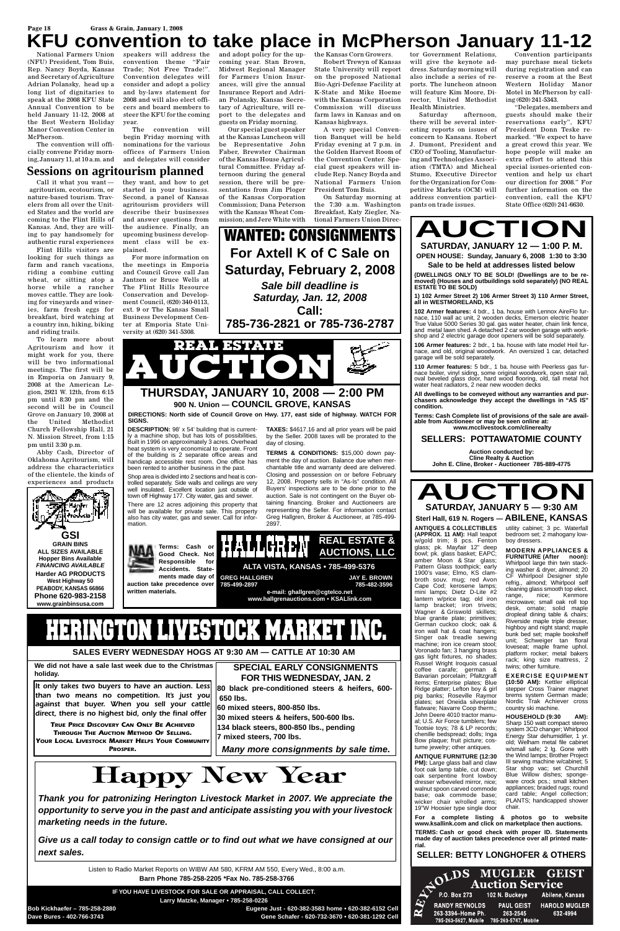## Page 18<br>**KFU convention CONVENTION to take place in McPherson January 11-12**

National Farmers Union (NFU) President, Tom Buis, Rep. Nancy Boyda, Kansas and Secretary of Agriculture Adrian Polansky, head up a long list of dignitaries to speak at the 2008 KFU State Annual Convention to be held January 11-12, 2008 at the Best Western Holiday Manor Convention Center in McPherson.

The convention will officially convene Friday morning, January 11, at 10 a.m. and speakers will address the convention theme "Fair Trade; Not Free Trade!". Convention delegates will consider and adopt a policy and by-laws statement for 2008 and will also elect officers and board members to steer the KFU for the coming year.

The convention will begin Friday morning with nominations for the various offices of Farmers Union and delegates will consider

and adopt policy for the up-the Kansas Corn Growers. coming year. Stan Brown, Midwest Regional Manager for Farmers Union Insurances, will give the annual Insurance Report and Adrian Polansky, Kansas Secretary of Agriculture, will report to the delegates and guests on Friday morning.

Our special guest speaker at the Kansas Luncheon will be Representative John Faber, Brewster Chairman of the Kansas House Agricultural Committee. Friday afternoon during the general session, there will be presentations from Jim Ploger of the Kansas Corporation Commission; Dana Peterson with the Kansas Wheat Commission; and Jere White with

Robert Trewyn of Kansas State University will report on the proposed National Bio-Agri-Defense Facility at K-State and Mike Hoeme with the Kansas Corporation Commission will discuss farm laws in Kansas and on Kansas highways.

A very special Convention Banquet will be held Friday evening at 7 p.m. in the Golden Harvest Room of the Convention Center. Special guest speakers will include Rep. Nancy Boyda and National Farmers Union President Tom Buis.

On Saturday morning at the 7:30 a.m. Washington Breakfast, Katy Ziegler, National Farmers Union Direc-

tor Government Relations, will give the keynote address. Saturday morning will also include a series of reports. The luncheon atnoon will feature Kim Moore, Director, United Methodist Health Ministries.

Saturday afternoon, there will be several interesting reports on issues of concern to Kansans. Robert J. Dumont, President and CEO of Tooling, Manufacturing and Technologies Association (TMTA) and Micheal Stumo, Executive Director for the Organization for Competitive Markets (OCM) will address convention participants on trade issues.

Convention participants may purchase meal tickets during registration and can reserve a room at the Best Western Holiday Manor Motel in McPherson by calling (620) 241-5343.

"Delegates, members and guests should make their reservations early", KFU President Donn Teske remarked. "We expect to have a great crowd this year. We hope people will make an extra effort to attend this special issues-oriented convention and help us chart our direction for 2008." For further information on the convention, call the KFU State Office (620) 241-6630.

Call it what you want agritourism, ecotourism, or nature-based tourism. Travelers from all over the United States and the world are coming to the Flint Hills of Kansas. And, they are willing to pay handsomely for authentic rural experiences

Flint Hills visitors are looking for such things as farm and ranch vacations, riding a combine cutting wheat, or sitting atop a horse while a rancher moves cattle. They are looking for vineyards and wineries, farm fresh eggs for breakfast, bird watching at a country inn, hiking, biking and riding trails.

To learn more about Agritourism and how it might work for you, there will be two informational meetings. The first will be in Emporia on January 9, 2008 at the American Legion, 2921 W. 12th, from 6:15 pm until 8:30 pm and the second will be in Council Grove on January 10, 2008 at the United Methodist Church Fellowship Hall, 21 N. Mission Street, from 1:15 pm until 3:30 p.m.

Abby Cash, Director of Oklahoma Agritourism, will address the characteristics of the clientele, the kinds of experiences and products

they want, and how to get started in your business. Second, a panel of Kansas agritourism providers will describe their businesses and answer questions from the audience. Finally, an upcoming business development class will be ex-

plained.

For more information on the meetings in Emporia and Council Grove call Jan Jantzen or Bruce Wells at The Flint Hills Resource Conservation and Development Council, (620) 340-0113, ext. 9 or The Kansas Small Business Development Center at Emporia State University at (620) 341-5308.



**DESCRIPTION:** 98' x 54' building that is currently a machine shop, but has lots of possibilities. Built in 1996 on approximately 3 acres. Overhead heat system is very economical to operate. Front of the building is 2 separate office areas and handicap accessible rest room. One office has been rented to another business in the past.

Shop area is divided into 2 sections and heat is controlled separately. Side walls and ceilings are very well insulated. Excellent location just outside of town off Highway 177. City water, gas and sewer.

There are 12 acres adjoining this property that will be available for private sale. This property also has city water, gas and sewer. Call for information.



# HERINGTON LIVESTOCK MARKET

**TAXES:** \$4617.16 and all prior years will be paid by the Seller. 2008 taxes will be prorated to the day of closing.

**TERMS & CONDITIONS:** \$15,000 down payment the day of auction. Balance due when merchantable title and warranty deed are delivered. Closing and possession on or before February 12, 2008. Property sells in "As-Is" condition. All Buyers' inspections are to be done prior to the auction. Sale is not contingent on the Buyer obtaining financing. Broker and Auctioneers are representing the Seller. For information contact Greg Hallgren, Broker & Auctioneer, at 785-499- 2897.

**DIRECTIONS: North side of Council Grove on Hwy. 177, east side of highway. WATCH FOR SIGNS.**

## **AUCTION SATURDAY, JANUARY 12 — 1:00 P. M. OPEN HOUSE: Sunday, January 6, 2008 1:30 to 3:30**

**Sale to be held at addresses listed below**

**(DWELLINGS ONLY TO BE SOLD! (Dwellings are to be removed) (Houses and outbuildings sold separately) (NO REAL ESTATE TO BE SOLD)** 

**1) 102 Armer Street 2) 106 Armer Street 3) 110 Armer Street, all in WESTMORELAND, KS**

**102 Armer features:** 4 bdr., 1 ba. house with Lennox AireFlo furnace, 110 wall ac unit, 2 wooden decks, Emerson electric heater True Value 5000 Series 30 gal. gas water heater, chain link fence, and metal lawn shed. A detached 2 car wooden garage with workshop and 2 electric garage door openers will be sold separately.

**106 Armer features:** 2 bdr., 1 ba. house with late model Heil furnace, and old, original woodwork. An oversized 1 car, detached garage will be sold separately.

**110 Armer features:** 5 bdr., 1 ba. house with Peerless gas furnace boiler, vinyl siding, some original woodwork, open stair rail, oval beveled glass door, hard wood flooring, old, tall metal hot water heat radiators, 2 near new wooden decks

**All dwellings to be conveyed without any warranties and purchasers acknowledge they accept the dwellings in "AS IS" condition.**

**Terms: Cash Complete list of provisions of the sale are available from Auctioneer or may be seen online at: www.mcclivestock.com/clinerealty**

#### **SELLERS: POTTAWATOMIE COUNTY**

**Auction conducted by: Cline Realty & Auction John E. Cline, Broker - Auctioneer 785-889-4775**



**ANTIQUES & COLLECTIBLES (APPROX. 11 AM):** Hall teapot w/gold trim; 8 pcs. Fenton glass; pk. Mayfair 12" deep bowl; pk. glass basket; EAPC; amber Moon & Star glass; Pattern Glass toothpick; early 1900's vase; Elmo, KS clambroth souv. mug; red Avon Cape Cod; kerosene lamps; mini lamps; Dietz D-Lite #2 lantern w/price tag; old iron lamp bracket; iron trivets; Wagner & Griswold skillets; blue granite plate; primitives; German cuckoo clock; oak & iron wall hat & coat hangers; Singer oak treadle sewing machine; iron ice cream stool; Voronado fan; 3 hanging brass gas light fixtures, no shades; Russel Wright Iroquois casual coffee carafe; german &



Bavarian porcelain; Pfaltzgraff items; Enterprise plates; Blue Ridge platter; Lefton boy & girl pig banks; Roseville Raymor plates; set Oneida silverplate flatware; Navarre Coop therm.; John Deere 4010 tractor manual; U.S. Air Force tumblers; few Tootsie toys; 78 & LP records; chenille bedspread; dolls; Inga Bow plaque; fruit picture; costume jewelry; other antiques.

**ANTIQUE FURNITURE (12:30 PM):** Large glass ball and claw foot oak lamp table, cut down; oak serpentine front lowboy dresser w/beveled mirror, nice; walnut spoon carved commode base; oak commode base; wicker chair w/rolled arms; 19"W Hoosier type single door

utility cabinet; 3 pc. Waterfall bedroom set; 2 mahogany lowboy dressers.

**MODERN APPLIANCES & FURNITURE (After noon):** Whirlpool large thin twin stacking washer & dryer, almond; 20 CF Whirlpool Designer style refrig., almond; Whirlpool self cleaning glass smooth top elect. range, nice; Kenmore microwave; small oak roll top desk, ornate; solid maple dropleaf dining table & chairs; Riverside maple triple dresser, highboy and night stand; maple bunk bed set; maple bookshelf unit; Schweiger tan floral loveseat; maple frame uphol. platform rocker; metal bakers rack; king size mattress, 2

twins; other furniture.

**EXERCISE EQUIPMENT (10:50 AM):** Kettler elliptical stepper Cross Trainer magnet brems system German made; Nordic Trak Achiever cross country ski machine.

**HOUSEHOLD (9:30 AM):** Sharp 150 watt compact stereo system 3CD changer; Whirlpool Energy Star dehumidifier. 1 vr. old; Welham metal file cabinet w/small safe; 2 lg. Gone with the Wind lamps; Brother Project III sewing machine w/cabinet; 5 Star shop vac; set Churchill Blue Willow dishes; spongeware crock pcs.; small kitchen appliances; braided rugs; round card table; Angel collection; PLANTS; handicapped shower chair.

**For a complete listing & photos go to website www.ksallink.com and click on marketplace then auctions.**

**TERMS: Cash or good check with proper ID. Statements made day of auction takes precedence over all printed material.**

## **SELLER: BETTY LONGHOFER & OTHERS**



**SALES EVERY WEDNESDAY HOGS AT 9:30 AM — CATTLE AT 10:30 AM**

Listen to Radio Market Reports on WIBW AM 580, KFRM AM 550, Every Wed., 8:00 a.m.

**Barn Phone 785-258-2205 \*Fax No. 785-258-3766**

**IF YOU HAVE LIVESTOCK FOR SALE OR APPRAISAL, CALL COLLECT. Larry Matzke, Manager • 785-258-0226**

**Bob Kickhaefer – 785-258-2880 Eugene Just - 620-382-3583 home • 620-382-6152 Cell Dave Bures - 402-766-3743 Gene Schafer - 620-732-3670 • 620-381-1292 Cell**

*It only takes two buyers to have an auction. Less than two means no competition. It's just you against that buyer. When you sell your cattle direct, there is no highest bid, only the final offer*

*TRUE PRICE DISCOVERY CAN ONLY BE ACHIEVED THROUGH THE AUCTION METHOD OF SELLING. YOUR LOCAL LIVESTOCK MARKET HELPS YOUR COMMUNITY*

*PROSPER.*

**SPECIAL EARLY CONSIGNMENTS**

#### **FOR THIS WEDNESDAY, JAN. 2**

**80 black pre-conditioned steers & heifers, 600- 650 lbs.**

**60 mixed steers, 800-850 lbs. 30 mixed steers & heifers, 500-600 lbs. 134 black steers, 800-850 lbs., pending 7 mixed steers, 700 lbs.**

*Many more consignments by sale time.*

**We did not have a sale last week due to the Christmas**

**holiday.**

# **Happy New Year**

*Thank you for patronizing Herington Livestock Market in 2007. We appreciate the opportunity to serve you in the past and anticipate assisting you with your livestock marketing needs in the future.*

*Give us a call today to consign cattle or to find out what we have consigned at our next sales.*

**Sessions on agritourism planned**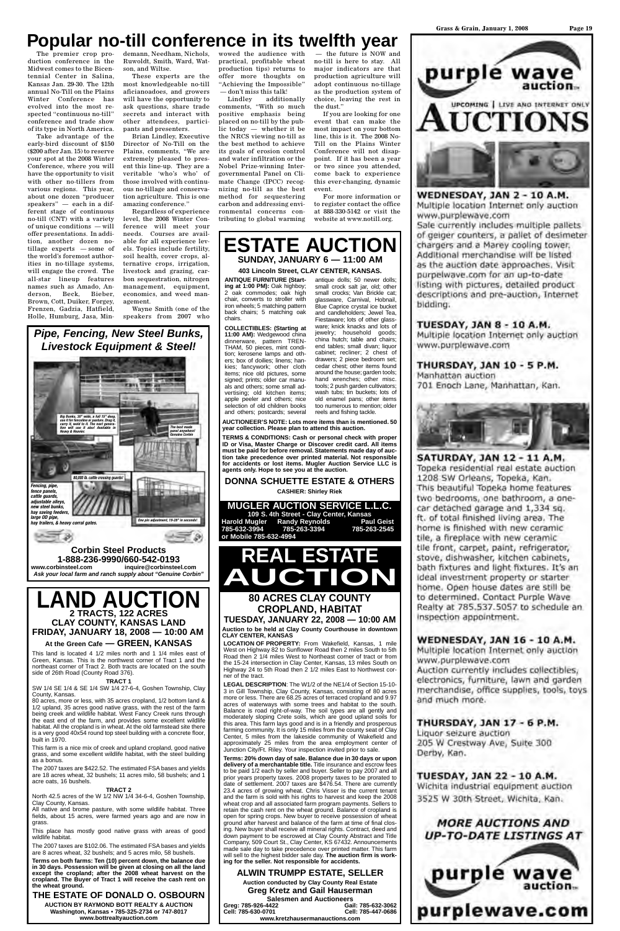The premier crop production conference in the Midwest comes to the Bicentennial Center in Salina, Kansas Jan. 29-30. The 12th annual No-Till on the Plains Winter Conference has evolved into the most respected "continuous no-till" conference and trade show of its type in North America.

Take advantage of the early-bird discount of \$150 (\$200 after Jan. 15) to reserve your spot at the 2008 Winter Conference, where you will have the opportunity to visit with other no-tillers from various regions. This year, about one dozen "producer speakers" — each in a different stage of continuous no-till (CNT) with a variety of unique conditions — will offer presentations. In addition, another dozen notillage experts — some of the world's foremost authorities in no-tillage systems, will engage the crowd. The all-star lineup features names such as Amado, Anderson, Beck, Bieber, Brown, Cott, Duiker, Forgey, Frenzen, Gadzia, Hatfield, Holle, Humburg, Jasa, Min-

demann, Needham, Nichols, wowed the audience with Ruwoldt, Smith, Ward, Watson, and Wiltse.

These experts are the most knowledgeable no-till aficianoadoes, and growers will have the opportunity to ask questions, share trade secrets and interact with other attendees, participants and presenters.

Brian Lindley, Executive Director of No-Till on the Plains, comments, "We are extremely pleased to present this line-up. They are a veritable 'who's who' of those involved with continuous no-tillage and conservation agriculture. This is one amazing conference."

Regardless of experience level, the 2008 Winter Conference will meet your needs. Courses are available for all experience levels. Topics include fertility, soil health, cover crops, alternative crops, irrigation, livestock and grazing, carbon sequestration, nitrogen management, equipment, economics, and weed management.

Wayne Smith (one of the speakers from 2007 who practical, profitable wheat production tips) returns to offer more thoughts on "Achieving the Impossible" — don't miss this talk!

Lindley additionally comments, "With so much positive emphasis being placed on no-till by the public today — whether it be the NRCS viewing no-till as the best method to achieve its goals of erosion control and water infiltration or the Nobel Prize-winning Intergovernmental Panel on Climate Change (IPCC) recognizing no-till as the best method for sequestering carbon and addressing environmental concerns contributing to global warming

— the future is NOW and no-till is here to stay. All major indicators are that production agriculture will adopt continuous no-tillage as the production system of choice, leaving the rest in the dust."

If you are looking for one event that can make the most impact on your bottom line, this is it. The 2008 No-Till on the Plains Winter Conference will not disappoint. If it has been a year or two since you attended, come back to experience this ever-changing, dynamic event.

For more information or to register contact the office at 888-330-5142 or visit the website at www.notill.org.

≡াঞ

*Pipe, Fencing, New Steel Bunks, Livestock Equipment & Steel!*

**Corbin Steel Products 1-888-236-9990/660-542-0193 www.corbinsteel.com inquire@corbinsteel.com** *Ask your local farm and ranch supply about "Genuine Corbin"*

## *Big Bunks, 30" wide, a full 15" deep, use it for fenceline or pasture. Drag it, carry it, weld to it. The next genera-tion will use it also! Available in Heavy & Heavier. The best made panel anywhere! Genuine Corbin 80,000 lb. cattle crossing guards!* **Build** *Fencing, pipe, fence panels, cattle guards, adjustable alleys, new steel bunks, hay saving feeders, large OD pipe, One pin adjustment, 19-28" in seconds! hay trailers, & heavy corral gates.*

**ANTIQUE FURNITURE (Starting at 1:00 PM):** Oak highboy; 2 oak commodes; oak high chair, converts to stroller with iron wheels; 5 matching pattern back chairs; 5 matching oak chairs.

**COLLECTIBLES: (Starting at 11:00 AM):** Wedgewood china dinnerware, pattern TREN-THAM, 50 pieces, mint condition; kerosene lamps and others; box of doilies; linens; hankies; fancywork; other cloth items; nice old pictures, some signed; prints; older car manuals and others; some small advertising; old kitchen items; apple peeler and others; nice selection of old children books and others; postcards; several

antique dolls; 50 newer dolls; small crock salt jar, old; other small crocks: Van Brickle cat glassware, Carnival, Hobnail, Blue Caprice crystal ice bucket and candleholders; Jewel Tea, Fiestaware; lots of other glassware; knick knacks and lots of jewelry; household goods; china hutch; table and chairs; end tables; small divan; liquor cabinet; recliner; 2 chest of drawers; 2 piece bedroom set; cedar chest; other items found around the house; garden tools; hand wrenches; other misc. tools; 2 push garden cultivators; wash tubs; tin buckets; lots of old enamel pans; other items too numerous to mention; older reels and fishing tackle.

**AUCTIONEER'S NOTE: Lots more items than is mentioned. 50 year collection. Please plan to attend this auction.**

**TERMS & CONDITIONS: Cash or personal check with proper ID or Visa, Master Charge or Discover credit card. All items must be paid for before removal. Statements made day of auction take precedence over printed material. Not responsible for accidents or lost items. Mugler Auction Service LLC is agents only. Hope to see you at the auction.**

### **DONNA SCHUETTE ESTATE & OTHERS**

**CASHIER: Shirley Riek**

#### **MUGLER AUCTION SERVICE L.L.C.**

**109 S. 4th Street - Clay Center, Kansas Harold Mugler Randy Reynolds Paul Geist 785-632-3994 785-263-3394 785-263-2545 or Mobile 785-632-4994**

## **ESTATE AUCTION SUNDAY, JANUARY 6 — 11:00 AM**

#### **403 Lincoln Street, CLAY CENTER, KANSAS.**

## **LAND AUCTION 2 TRACTS, 122 ACRES CLAY COUNTY, KANSAS LAND FRIDAY, JANUARY 18, 2008 — 10:00 AM At the Green Cafe — GREEN, KANSAS**

This land is located 4 1/2 miles north and 1 1/4 miles east of Green, Kansas. This is the northwest corner of Tract 1 and the northeast corner of Tract 2. Both tracts are located on the south side of 26th Road (County Road 376).

#### **TRACT 1**

SW 1/4 SE 1/4 & SE 1/4 SW 1/4 27-6-4, Goshen Township, Clay County, Kansas.

80 acres, more or less, with 35 acres cropland, 1/2 bottom land & 1/2 upland, 35 acres good native grass, with the rest of the farm being creek and wildlife habitat. West Fancy Creek runs through the east end of the farm, and provides some excellent wildlife habitat. All the cropland is in wheat. At the old farmstead site there is a very good 40x54 round top steel building with a concrete floor, built in 1970.

This farm is a nice mix of creek and upland cropland, good native grass, and some excellent wildlife habitat, with the steel building as a bonus.

The 2007 taxes are \$422.52. The estimated FSA bases and yields are 18 acres wheat, 32 bushels; 11 acres milo, 58 bushels; and 1 acre oats, 16 bushels.

#### **TRACT 2**

North 42.5 acres of the W 1/2 NW 1/4 34-6-4, Goshen Township, Clay County, Kansas.

All native and brome pasture, with some wildlife habitat. Three fields, about 15 acres, were farmed years ago and are now in grass.

This place has mostly good native grass with areas of good wildlife habitat.

The 2007 taxes are \$102.06. The estimated FSA bases and yields are 8 acres wheat, 32 bushels; and 5 acres milo, 58 bushels.

**Terms on both farms: Ten (10) percent down, the balance due in 30 days. Possession will be given at closing on all the land except the cropland; after the 2008 wheat harvest on the cropland. The Buyer of Tract 1 will receive the cash rent on the wheat ground.**

### **THE ESTATE OF DONALD O. OSBOURN**

**AUCTION BY RAYMOND BOTT REALTY & AUCTION Washington, Kansas • 785-325-2734 or 747-8017 www.bottrealtyauction.com**

**LOCATION OF PROPERTY:** From Wakefield, Kansas, 1 mile West on Highway 82 to Sunflower Road then 2 miles South to 5th Road then 2 1/4 miles West to Northeast corner of tract or from the 15-24 intersection in Clay Center, Kansas, 13 miles South on Highway 24 to 5th Road then 2 1/2 miles East to Northwest corner of the tract.

purple wave UPCOMING | LIVE AND INTERNET ONLY **JCTIONS** 

**WEDNESDAY, JAN 2 - 10 A.M.** Multiple location Internet only auction www.purplewave.com

Sale currently includes multiple pallets of geiger counters, a pallet of desimeter chargers and a Marey cooling tower. Additional merchandise will be listed as the auction date approaches. Visit purpelwave.com for an up-to-date listing with pictures, detailed product descriptions and pre-auction, Internet bidding.

TUESDAY, JAN 8 - 10 A.M.

Multiple location Internet only auction www.purplewave.com

THURSDAY, JAN 10 - 5 P.M. Manhattan auction 701 Enoch Lane, Manhattan, Kan.



SATURDAY, JAN 12 - 11 A.M. Topeka residential real estate auction 1208 SW Orleans, Topeka, Kan. This beautiful Topeka home features two bedrooms, one bathroom, a onecar detached garage and 1,334 sq. ft. of total finished living area. The home is finished with new ceramic tile, a fireplace with new ceramic tile front, carpet, paint, refrigerator, stove, dishwasher, kitchen cabinets, bath fixtures and light fixtures. It's an ideal investment property or starter home. Open house dates are still be to determined. Contact Purple Wave Realty at 785,537.5057 to schedule an inspection appointment.

## **WEDNESDAY, JAN 16 - 10 A.M.**

Multiple location Internet only auction www.purplewave.com Auction currently includes collectibles, electronics, furniture, lawn and garden merchandise, office supplies, tools, toys and much more.

**LEGAL DESCRIPTION**: The W1/2 of the NE1/4 of Section 15-10- 3 in Gill Township, Clay County, Kansas, consisting of 80 acres more or less. There are 68.25 acres of terraced cropland and 9.97 acres of waterways with some trees and habitat to the south. Balance is road right-of-way. The soil types are all gently and moderately sloping Crete soils, which are good upland soils for this area. This farm lays good and is in a friendly and prosperous farming community. It is only 15 miles from the county seat of Clay Center, 5 miles from the lakeside community of Wakefield and approximately 25 miles from the area employment center of Junction City/Ft. Riley. Your inspection invited prior to sale.

**REAL ESTATE AUCTION 80 ACRES CLAY COUNTY**

**Terms: 20% down day of sale. Balance due in 30 days or upon delivery of a merchantable title.** Title insurance and escrow fees to be paid 1/2 each by seller and buyer. Seller to pay 2007 and all prior years property taxes. 2008 property taxes to be prorated to date of settlement. 2007 taxes are \$476.54. There are currently 23.4 acres of growing wheat. Chris Visser is the current tenant and the farm is sold with his rights to harvest and keep the 2008 wheat crop and all associated farm program payments. Sellers to retain the cash rent on the wheat ground. Balance of cropland is open for spring crops. New buyer to receive possession of wheat ground after harvest and balance of the farm at time of final closing. New buyer shall receive all mineral rights. Contract, deed and down payment to be escrowed at Clay County Abstract and Title Company, 509 Court St., Clay Center, KS 67432. Announcements made sale day to take precedence over printed matter. This farm will sell to the highest bidder sale day. **The auction firm is working for the seller. Not responsible for accidents.**

## **ALWIN TRUMPP ESTATE, SELLER**

**Auction conducted by Clay County Real Estate Greg Kretz and Gail Hauserman Salesmen and Auctioneers Greg: 785-926-4422 Gail: 785-632-3062 Cell: 785-630-0701 Cell: 785-447-0686 www.kretzhausermanauctions.com**

THURSDAY, JAN 17 - 6 P.M. Liquor seizure auction 205 W Crestway Ave, Suite 300 Derby, Kan.

**TUESDAY, JAN 22 - 10 A.M.** Wichita industrial equipment auction 3525 W 30th Street, Wichita, Kan.

## **MORE AUCTIONS AND** *UP-TO-DATE LISTINGS AT*



# **CROPLAND, HABITAT**

**TUESDAY, JANUARY 22, 2008 — 10:00 AM Auction to be held at Clay County Courthouse in downtown CLAY CENTER, KANSAS**

# **Popular no-till conference in its twelfth year**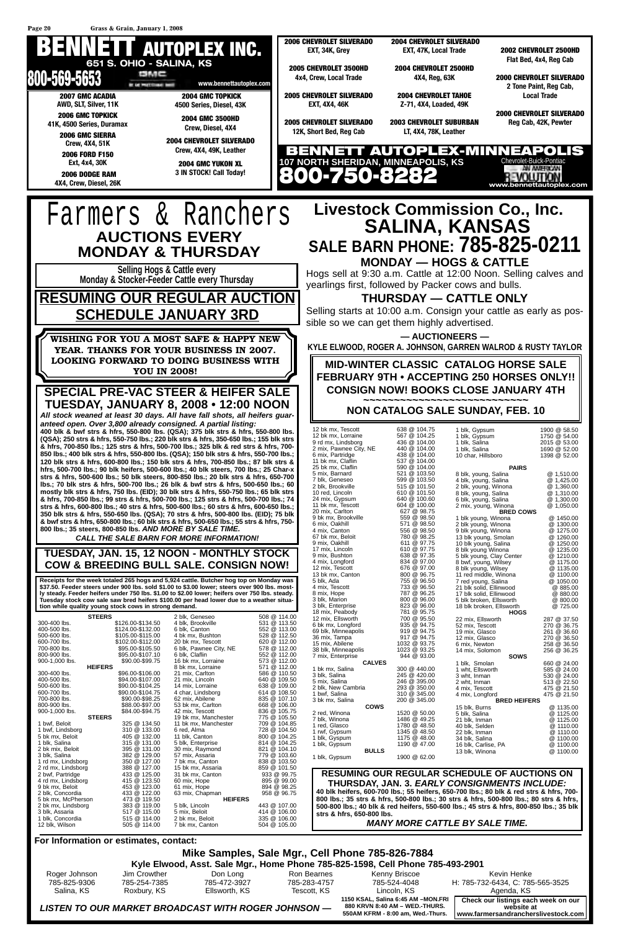#### **Mike Samples, Sale Mgr., Cell Phone 785-826-7884 Kyle Elwood, Asst. Sale Mgr., Home Phone 785-825-1598, Cell Phone 785-493-2901**

| Roger Johnson | Jim Crowther | Don Long                                            | Ron Bearnes  | Kenny Briscoe                                                                                             | Kevin Henke                                                                                  |
|---------------|--------------|-----------------------------------------------------|--------------|-----------------------------------------------------------------------------------------------------------|----------------------------------------------------------------------------------------------|
| 785-825-9306  | 785-254-7385 | 785-472-3927                                        | 785-283-4757 | 785-524-4048                                                                                              | H: 785-732-6434, C: 785-565-3525                                                             |
| Salina, KS    | Roxbury, KS  | Ellsworth, KS                                       | Tescott. KS  | Lincoln, KS                                                                                               | Agenda, KS                                                                                   |
|               |              | LISTEN TO OUR MARKET BROADCAST WITH ROGER JOHNSON — |              | 1150 KSAL, Salina 6:45 AM -MON.FRI<br>880 KRVN 8:40 AM - WED.-THURS.<br>550AM KFRM - 8:00 am, Wed.-Thurs. | Check our listings each week on our<br>website at<br>I www.farmersandrancherslivestock.com I |

16 bk mx, Lorraine 8 bk mx, Lorraine 571 @ 112.00

552 @ 112.00<br>573 @ 112.00

38 blk, Minneapolis<br>
1023 @ 93.25<br>
7 mix, Enterprise<br>
944 @ 93.00 7 mix, Enterprise **CALVES** 1 bk mx, Salina 300 @ 440.00



**HEIFERS**

\$90.00-\$99.75

|                                        |                  |                                              |                              | $MILa$ Complex Calc May Call Dhope 705,000,700 A |              |                                                                                        |             |
|----------------------------------------|------------------|----------------------------------------------|------------------------------|--------------------------------------------------|--------------|----------------------------------------------------------------------------------------|-------------|
| For Information or estimates, contact: |                  |                                              |                              |                                                  |              |                                                                                        |             |
| 12 blk, Wilson                         | 505 @ 114.00     | 7 bk mx, Canton                              | 504 @ 105.00                 |                                                  |              | <b>MANY MORE CATTLE BY SALE TIME.</b>                                                  |             |
| 1 blk, Concordia                       | 515 @ 114.00     | 2 bk mx, Beloit                              | 335 @ 106.00                 |                                                  |              |                                                                                        |             |
| 3 blk, Assaria                         | 517 @ 115.00     | 5 mix, Beloit                                | 414 @ 106.00                 | strs & hfrs, 650-800 lbs.                        |              |                                                                                        |             |
| 2 bk mx, Lindsborg                     | 383 @ 119.00     | 5 blk, Lincoln                               | 443 @ 107.00                 |                                                  |              | 500-800 lbs.; 40 blk & red heifers, 550-600 lbs.; 45 strs & hfrs, 800-850 lbs.; 35 blk |             |
| 5 bk mx, McPherson                     | 473 @ 119.50     | <b>HEIFERS</b>                               |                              |                                                  |              | 800 lbs.; 35 strs & hfrs, 500-800 lbs.; 30 strs & hfrs, 500-800 lbs.; 80 strs & hfrs,  |             |
| 2 blk, Concordia                       | 433 @ 122.00     | 63 mix, Chapman                              | 958 @ 96.75                  |                                                  |              | 40 blk heifers, 600-700 lbs.; 55 heifers, 650-700 lbs.; 80 blk & red strs & hfrs, 700- |             |
| 9 bk mx, Beloit                        | 453 @ 123.00     | 61 mix, Hope                                 | 894 @ 98.25                  |                                                  |              | THURSDAY, JAN. 3. EARLY CONSIGNMENTS INCLUDE:                                          |             |
| 4 rd mx, Lindsborg                     | 415 @ 123.50     | 60 mix, Hope                                 | 895 @ 99.00                  |                                                  |              |                                                                                        |             |
| 2 bwf, Partridge                       | 433 @ 125.00     | 31 bk mx, Canton                             | 933 @ 99.75                  |                                                  |              | <b>RESUMING OUR REGULAR SCHEDULE OF AUCTIONS ON</b>                                    |             |
| 2 rd mx, Lindsborg                     | 388 @ 127.00     | 15 bk mx, Assaria                            | 859 @ 101.50                 |                                                  |              |                                                                                        |             |
| 1 rd mx, Lindsborg                     | 350 @ 127.00     | 7 bk mx, Canton                              | 838 @ 103.50                 | 1 blk, Gypsum                                    | 1900 @ 62.00 |                                                                                        |             |
| 3 blk, Salina                          | 382 @ 129.00     | 57 mix, Assaria                              | 779 @ 103.60                 | <b>BULLS</b>                                     |              | 13 blk, Winona                                                                         | @ 1100.00   |
| 2 bk mix, Beloit                       | 395 @ 131.00     | 30 mix, Raymond                              | 821 @ 104.10                 | 1 blk, Gypsum                                    | 1190 @ 47.00 | 16 blk, Carlise, PA                                                                    | @ 1100.00   |
| 1 blk, Salina                          | 315 @ 131.00     | 5 blk, Enterprise                            | 814 @ 104.25                 | 1 blk, Gyspum                                    | 1175 @ 48.00 | 34 blk, Salina                                                                         | @ 1100.00   |
| 5 bk mx, Beloit                        | 405 @ 132.00     | 11 blk, Canton                               | 800 @ 104.25                 | 1 rwf, Gypsum                                    | 1345 @ 48.50 | 22 blk, Inman                                                                          | @ 1110.00   |
| 1 bwf, Lindsborg                       | 310 @ 133.00     | 6 red, Alma                                  | 728 @ 104.50                 | 1 red, Glasco                                    | 1780 @ 48.50 | 40 blk, Selden                                                                         | @ 1110.00   |
| <b>STEERS</b><br>1 bwf. Beloit         | 325 @ 134.50     | 19 bk mx, Manchester<br>11 bk mx, Manchester | 775 @ 105.50<br>709 @ 104.85 | 7 blk. Winona                                    | 1486 @ 49.25 | 21 blk. Inman                                                                          | @ 1125.00   |
| 900-1,000 lbs.                         | \$84.00-\$94.75  | 42 mix, Tescott                              | 836 @ 105.75                 | 2 red, Winona                                    | 1520 @ 50.00 | 5 blk, Salina                                                                          | @ 1125.00   |
| 800-900 lbs.                           | \$88.00-\$97.00  | 53 bk mx. Carlton                            | 668 @ 106.00                 | <b>COWS</b>                                      |              | 15 blk. Burns                                                                          | @ 1135.00   |
| 700-800 lbs.                           | \$90.00-\$98.25  | 62 mix, Abilene                              | 835 @ 107.10                 | 3 bk mx, Salina                                  | 200 @ 345.00 | <b>BRED HEIFERS</b>                                                                    |             |
| 600-700 lbs.                           | \$90.00-\$104.75 | 4 char, Lindsborg                            | 614 @ 108.50                 | 1 bwf, Salina                                    | 310 @ 345.00 | 4 mix, Longford                                                                        | 475 @ 21.50 |
| 500-600 lbs.                           | \$90.00-\$104.25 | 14 mix, Lorraine                             | 638 @ 109.00                 | 2 blk, New Cambria                               | 293 @ 350.00 | 4 mix, Tescott                                                                         | 475 @ 21.50 |
| 400-500 lbs.                           | \$94.00-\$107.00 | 21 mix, Lincoln                              | 640 @ 109.50                 | 5 mix, Salina                                    | 246 @ 395.00 | 2 wht, Inman                                                                           | 513 @ 22.50 |
| 300-400 lbs.                           | \$96.00-\$106.00 | 21 mix, Carlton                              | 586 @ 110.50                 | 3 blk, Salina                                    | 245 @ 420.00 | 3 wht, Inman                                                                           | 530 @ 24.00 |

**SOWS**

1 blk, Smolan 660 @ 24.00<br>1 wht, Ellsworth 585 @ 24.00 1 wht, Ellsworth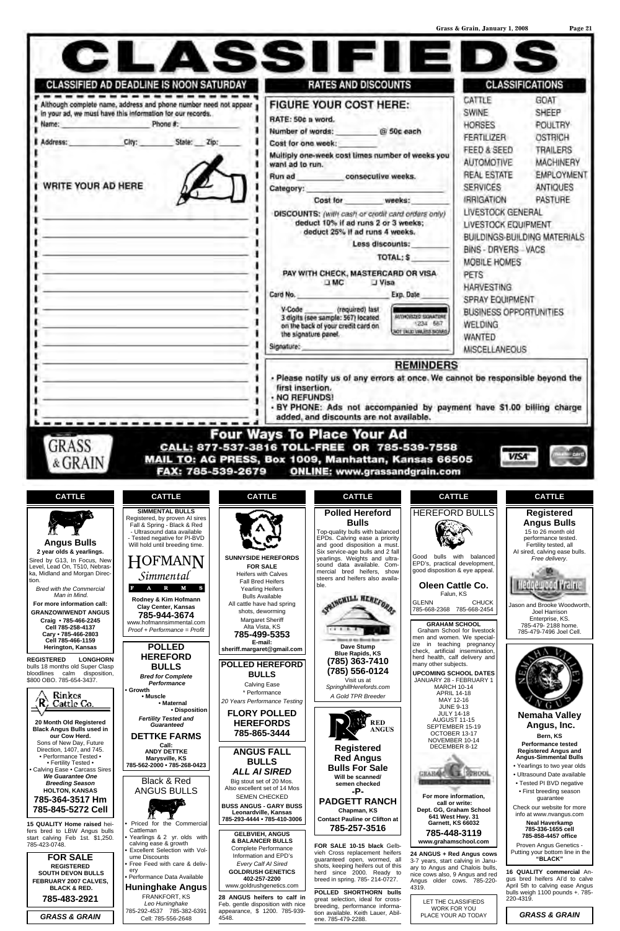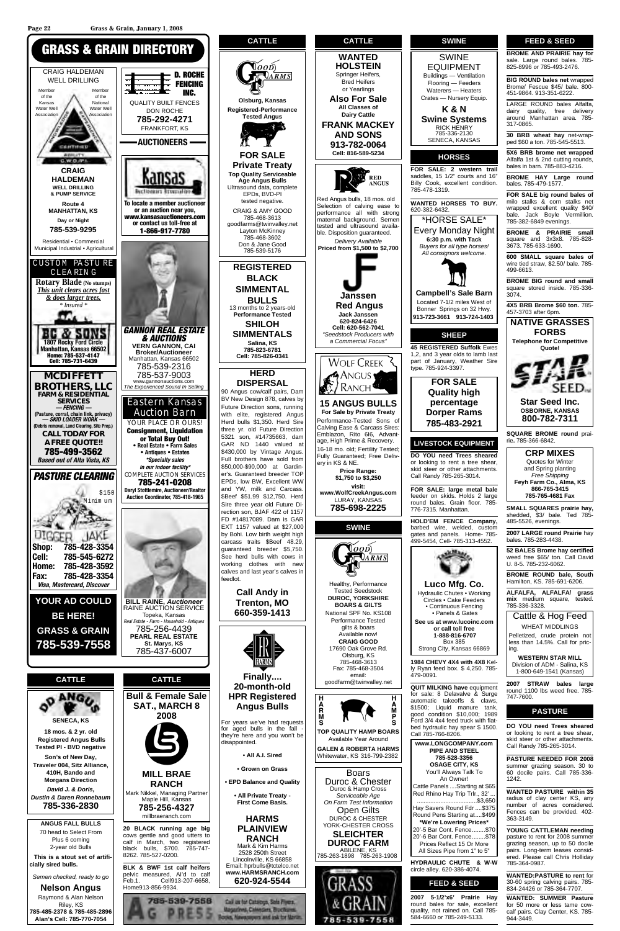**Alan's Cell: 785-770-7054**

Boars Duroc & Chester Duroc & Hamp Cross *Serviceable Age On Farm Test Information* Open Gilts DUROC & CHESTER YORK-CHESTER CROSS **SLEICHTER DUROC FARM** ABILENE, KS<br>785-263-1898 785-263-1908



**Finally.... 20-month-old HPR Registered Angus Bulls**

For years we've had requests for aged bulls in the fall they're here and you won't be disappointed.

**• All A.I. Sired**

**• Grown on Grass**

**• EPD Balance and Quality**

**• All Private Treaty - First Come Basis.**

**HARMS PLAINVIEW RANCH** Mark & Kim Harms 2528 250th Street Lincolnville, KS 66858 Email: hprbulls@tctelco.net **www.HARMSRANCH.com 620-924-5544**





email: goodfarm@twinvalley.net

**TOP QUALITY HAMP BOARS** Available Year Around

**GALEN & ROBERTA HARMS** Whitewater, KS 316-799-2382

\*HORSE SALE\* Every Monday Night **6:30 p.m. with Tack** *Buyers for all type horses! All consignors welcome.* **Campbell's Sale Barn**

Located 7-1/2 miles West of Bonner Springs on 32 Hwy. **913-723-3661 913-724-1403**

**45 REGISTERED Suffolk** Ewes 1,2, and 3 year olds to lamb last part of January, Weather Sire

> **FOR SALE Quality high percentage Dorper Rams**



**DO YOU need Trees sheared**  or looking to rent a tree shear, skid steer or other attachments. Call Randy 785-265-3014.

**FOR SALE: large metal bale** feeder on skids. Holds 2 large round bales. Grain floor. 785-

**HOLD'EM FENCE Company,** barbed wire, welded, custom gates and panels. Home- 785- 499-5454, Cell- 785-313-4552.



479-0091.

**QUIT MILKING have** equipment for sale: 8 Delavalve & Surge automatic takeoffs & claws, \$1500; Liquid manure tank, good condition \$10,000; 1989 Ford 3/4 4x4 feed truck with flatbed hydraulic hay spear \$ 1500. Call 785-766-8206. **www.LONGCOMPANY.com**

**PIPE AND STEEL 785-528-3356 OSAGE CITY, KS** You'll Always Talk To An Owner! Cattle Panels ....Starting at \$65 Red Rhino Hay Trip Trlr., 32' ... .....\$3.650 Hay Savers Round Fdr ....\$375 Round Pens Starting at....\$499 **\*We're Lowering Prices\*** 20'-5 Bar Cont. Fence........\$70 20'-6 Bar Cont. Fence........\$78 Prices Reflect 15 Or More All Sizes Pipe from 1" to 5"

**HYDRAULIC CHUTE & W-W** circle alley. 620-386-4074.

#### **FEED & SEED**

**2007 5-1/2'x6' Prairie Hay**  round bales for sale, excellent quality, not rained on. Call 785- 584-6660 or 785-249-5133.

#### **FEED & SEED**

**BROME AND PRAIRIE hay for** sale. Large round bales. 785- 825-8996 or 785-493-2476.

**BIG ROUND bales net** wrapped Brome/ Fescue \$45/ bale. 800- 451-9864. 913-351-6222.

LARGE ROUND bales Alfalfa, dairy quality, free delivery around Manhattan area. 785-

317-0865. **30 BRB wheat hay** net-wrap-

ped \$60 a ton. 785-545-5513. **5X6 BRB brome net wrapped** Alfalfa 1st & 2nd cutting rounds,

bales in barn. 785-883-4216. **BROME HAY Large round** bales. 785-479-1577.

**FOR SALE big round bales of** milo stalks & corn stalks net wrapped excellent quality \$40/ bale. Jack Boyle Vermillion. 785-382-6849 evenings.

**BROME & PRAIRIE small**  square and 3x3x8. 785-828- 3673. 785-633-1690.

**600 SMALL square bales of**  wire tied straw, \$2.50/ bale. 785- 499-6613.

**BROME BIG round and small**  square stored inside. 785-336- 3074.

**4X5 BRB Brome \$60 ton.** 785- 457-3703 after 6pm.



rie**.** 785-366-6842.

**CRP MIXES** Quotes for Winter and Spring planting *Free Shipping* **Feyh Farm Co., Alma, KS 866-765-3415**

**785-765-4681 Fax**

**SMALL SQUARES prairie hay,** shedded, \$3/ bale. Ted 785- 485-5526, evenings.

**2007 LARGE round Prairie** hay bales. 785-283-4438.

**52 BALES Brome hay certified** weed free \$65/ ton. Call David U. 8-5. 785-232-6062.

**BROME ROUND bale, South** Hamilton, KS. 785-691-6206.

**ALFALFA, ALFALFA/ grass mix** medium square, tested. 785-336-3328.

Cattle & Hog Feed WHEAT MIDDLINGS

Pelletized, crude protein not less than 14.5%. Call for pricing.



**WESTERN STAR MILL** Division of ADM - Salina, KS 1-800-649-1541 (Kansas)

> **2007 STRAW bales large**  round 1100 lbs weed free. 785- 747-7600.

#### **PASTURE**

**DO YOU need Trees sheared**  or looking to rent a tree shear, skid steer or other attachments. Call Randy 785-265-3014.

**PASTURE NEEDED FOR 2008** summer grazing season. 30 to 60 docile pairs. Call 785-336- 1242.

**WANTED PASTURE within 35** radius of clay center KS, any number of acres considered. Fences can be provided. 402- 363-3149.

**YOUNG CATTLEMAN needing** pasture to rent for 2008 summer grazing season, up to 50 docile pairs. Long-term leases considered. Please call Chris Holliday 785-364-0987.

**WANTED:PASTURE to rent** for 30-60 spring calving pairs. 785- 834-24426 or 785-364-7707.

**WANTED: SUMMER Pasture** for 50 more or less tame cowcalf pairs. Clay Center, KS. 785- 944-3449.



**Page 22 Grass & Grain, January 1, 2008**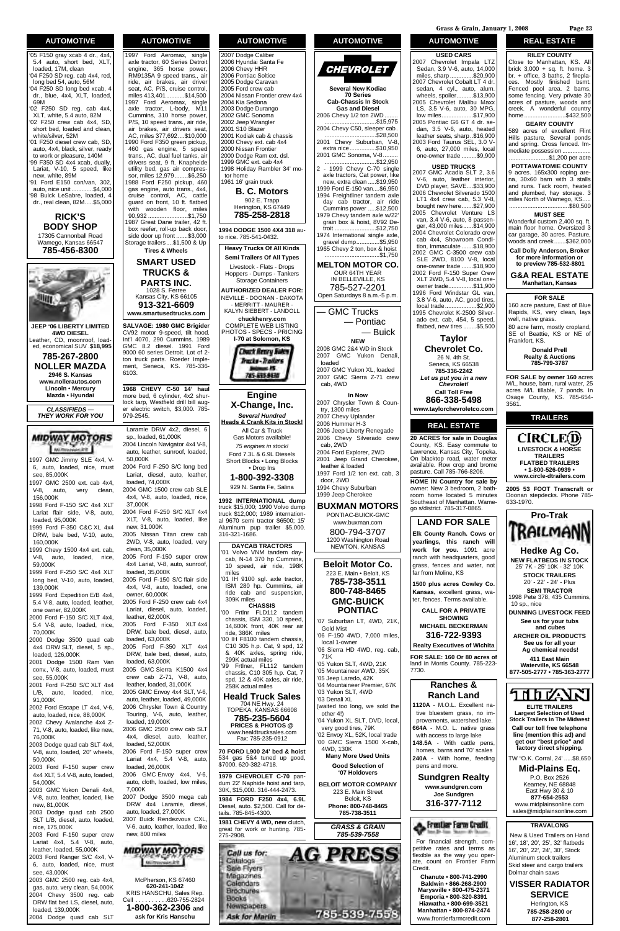1997 GMC Jimmy SLE 4x4, V-6, auto, loaded, nice, must see, 85,000K

1997 GMC 2500 ext. cab 4x4, V-8, auto, very clean, 156,000K

1998 Ford F-150 S/C 4x4 XLT Lariat flair side, V-8, auto,

loaded, 95,000K 1999 Ford F-350 C&C XL 4x4 DRW, bale bed, V-10, auto,

160,000K 1999 Chevy 1500 4x4 ext. cab, V-8, auto, loaded, nice,

59,000K 1999 Ford F-250 S/C 4x4 XLT long bed, V-10, auto, loaded, 139,000K

1999 Ford Expedition E/B 4x4, 5.4 V-8, auto, loaded, leather, one owner, 82,000K

2000 Ford F-150 S/C XLT 4x4, 5.4 V-8, auto, loaded, nice, 70,000K

2000 Dodge 3500 quad cab 4x4 DRW SLT, diesel, 5 sp., loaded, 126,000K

Laramie DRW 4x2, diesel, 6 sp., loaded, 61,000K 2004 Lincoln Navigator 4x4 V-8, auto, leather, sunroof, loaded, 50,000K 2004 Ford F-250 S/C long bed Lariat, diesel, auto, leather, loaded, 74,000K 2004 GMC 1500 crew cab SLE 4x4, V-8, auto, loaded, nice, 37,000K 2004 Ford F-250 S/C XLT 4x4 XLT, V-8, auto, loaded, like new, 31,000K 2005 Nissan Titan crew cab 2WD, V-8, auto, loaded, very clean, 35,000K 2005 Ford F-150 super crew 4x4 Lariat, V-8, auto, sunroof, loaded, 35,000K 2005 Ford F-150 S/C flair side 4x4, V-8, auto, loaded, one owner, 60,000K 2005 Ford F-250 crew cab 4x4 Lariat, diesel, auto, loaded, leather, 62,000K 2005 Ford F-350 XLT 4x4 DRW, bale bed, diesel, auto, loaded, 63,000K 2005 Ford F-350 XLT 4x4 DRW, bale bed, diesel, auto, loaded, 63,000K 2005 GMC Sierra K1500 4x4 crew cab Z-71, V-8, auto, leather, loaded, 31,000K 2005 GMC Envoy 4x4 SLT, V-6, auto, leather, loaded, 49,000K 2006 Chrysler Town & Country Touring, V-6, auto, leather, loaded, 19,000K 2006 GMC 2500 crew cab SLT 4x4, diesel, auto, leather, loaded, 52,000K 2006 Ford F-150 super crew Lariat 4x4, 5.4 V-8, auto, loaded, 26,000K 2006 GMC Envoy 4x4, V-6, auto, cloth, loaded, low miles, 7,000K 2007 Dodge 3500 mega cab DRW 4x4 Laramie, diesel, auto, loaded, 27,000K 2007 Buick Rendezvous CXL, V-6, auto, leather, loaded, like new, 800 miles **MIDWAY MOTORS** 

2001 Dodge 1500 Ram Van conv., V-8, auto, loaded, must see, 55,000K 2001 Ford F-250 S/C XLT 4x4 L/B, auto, loaded, nice, 91,000K 2002 Ford Escape LT 4x4, V-6, auto, loaded, nice, 88,000K 2002 Chevy Avalanche 4x4 Z-71, V-8, auto, loaded, like new, 76,000K 2003 Dodge quad cab SLT 4x4, V-8, auto, loaded, 20" wheels, 50,000K 2003 Ford F-150 super crew 4x4 XLT, 5.4 V-8, auto, loaded, 54,000K 2003 GMC Yukon Denali 4x4, V-8, auto, leather, loaded, like new, 81,000K 2003 Dodge quad cab 2500 SLT L/B, diesel, auto, loaded, nice, 175,000K 2003 Ford F-150 super crew Lariat 4x4, 5.4 V-8, auto, leather, loaded, 55,000K 2003 Ford Ranger S/C 4x4, V-6, auto, loaded, nice, must see, 43,000K 2003 GMC 2500 reg. cab 4x4, gas, auto, very clean, 54,000K 2004 Chevy 3500 reg. cab DRW flat bed LS, diesel, auto, loaded, 139,000K

2004 Dodge quad cab SLT

McPherson, KS 67460 **620-241-1042** KRIS HANSCHU, Sales Rep.<br>Cell . . . . . . . . . . 620-755-2824 Cell . . . . . . . . . .620-755-2824 **1-800-362-2306 and ask for Kris Hanschu**

#### **AUTOMOTIVE**

**I-70 at Solomon, KS Chuck Renry Suley** Tracks - Trailers =15 785-895-9430

'05 F150 gray xcab 4 dr., 4x4, 5.4 auto, short bed, XLT, loaded, 17M, clean '04 F250 SD reg. cab 4x4, red, long bed 54, auto, 56M '04 F250 SD long bed xcab, 4 dr., blue, 4x4, XLT, loaded, 69M '02 F250 SD reg. cab 4x4, XLT, white, 5.4 auto, 82M '02 F250 crew cab 4x4, SD, short bed, loaded and clean, white/silver, 52M '01 F250 diesel crew cab, SD, auto, 4x4, black, silver, ready to work or pleasure, 140M '99 F350 SD 4x4 xcab, dually, Lariat, V-10, 5 speed, like new, white, 89M '91 Ford E150 con/van, 302, auto, nice unit .............\$4,000 '98 Buick LeSabre, loaded, 4 dr., real clean, 82M.....\$5,000 **RICK'S BODY SHOP** 17305 Cannonball Road Wamego, Kansas 66547 **785-456-8300 JEEP '06 LIBERTY LIMITED 4WD DIESEL** Leather, CD, moonroof, loaded, economical SUV .**\$18,995 785-267-2800 NOLLER MAZDA 2946 S. Kansas www.nollerautos.com Lincoln • Mercury Mazda • Hyundai**

#### **AUTOMOTIVE**

1997 Ford Aeromax, single axle tractor, 60 Series Detroit engine, 365 horse power, RM9135A 9 speed trans., air ride, air brakes, air driver seat, AC, P/S, cruise control, miles 413,401...........\$14,500 1997 Ford Aeromax, single axle tractor, L-body, M11 Cummins, 310 horse power, P/S, 10 speed trans., air ride. air brakes, air drivers seat, AC, miles 377,692....\$10,000 1990 Ford F350 green pickup, 460 gas engine, 5 speed trans., AC, dual fuel tanks, air drivers seat, 9 ft. Knapheide utility bed, gas air compressor, miles 12,979........\$6,250 1988 Ford F250 pickup, 460 gas engine, auto trans., 4x4, cruise control, AC, cattle guard on front, 10 ft. flatbed with wooden floor, miles 90,932 ........................\$1,750 1987 Great Dane trailer, 42 ft. box reefer, roll-up back door, side door up front .......\$3,000 Storage trailers....\$1,500 & Up



**SALVAGE: 1980 GMC Brigider** CV92 motor 9-speed, tilt hood. Int'l 4070, 290 Cummins. 1989 GMC 8.2 diesel. 1991 Ford 9000 60 series Detroit. Lot of 2 ton truck parts. Roeder Implement, Seneca, KS. 785-336- 6103.

**1968 CHEVY C-50 14' haul**  more bed, 6 cylinder, 4x2 shurlock tarp, Westfield drill bill auger electric switch, \$3,000. 785- 979-2545.

#### **AUTOMOTIVE**

2007 Dodge Caliber 2006 Hyundai Santa Fe 2006 Chevy HHR 2006 Pontiac Soltice 2005 Dodge Caravan 2005 Ford crew cab 2004 Nissan Frontier crew 4x4 2004 Kia Sedona 2003 Dodge Durango 2002 GMC Sonoma 2002 Jeep Wrangler 2001 S10 Blazer 2001 Kodiak cab & chassis 2000 Chevy ext. cab 4x4 2000 Nissan Frontier 2000 Dodge Ram ext. dsl. 1999 GMC ext. cab 4x4 1998 Holiday Rambler 34' motor home 1961 16' grain truck

**B. C. Motors** 902 E. Trapp Herington, KS 67449 **785-258-2818**

**1994 DODGE 1500 4X4 318** auto nice. 785-541-0432.

**Heavy Trucks Of All Kinds Semi Trailers Of All Types**

Livestock - Flats - Drops Hoppers - Dumps - Tankers Storage Containers

**AUTHORIZED DEALER FOR:** NEVILLE - DOONAN - DAKOTA - MERRITT - MAURER -

KALYN SIEBERT - LANDOLL **chuckhenry.com** COMPLETE WEB LISTING PHOTOS - SPECS - PRICING

**Engine X-Change, Inc.**

*Several Hundred* **Heads & Crank Kits in Stock!** All Car & Truck Gas Motors available! *75 engines in stock!* Ford 7.3L & 6.9L Diesels Short Blocks • Long Blocks • Drop Ins

**1-800-392-3308** 929 N. Santa Fe, Salina

**1992 INTERNATIONAL dump** truck \$15,000; 1990 Volvo dump truck \$12,000; 1989 international 9670 semi tractor \$6500; 15' Aluminum pup trailer \$5,000. 316-321-1686.

**DAYCAB TRACTORS** '01 Volvo VNM tandem daycab, N-14 370 hp Cummins, 10 speed, air ride, 198K miles

'01 IH 9100 sgl. axle tractor, ISM 280 hp. Cummins, air ride cab and suspension, 309K miles **CHASSIS**

'00 Frtlnr FLD112 tandem chassis, ISM 330, 10 speed, 14,600K front, 40K rear air ride, 386K miles

CIRCLE(D) **LIVESTOCK & HORSE TRAILERS FLATBED TRAILERS • 1-800-526-0939 • www.circle-dtrailers.com**

'00 IH F8100 tandem chassis, C10 305 h.p. Cat, 9 spd, 12 & 40K axles, spring ride, 299K actual miles

'99 Frtlner, FL112 tandem chassis, C10 305 h.p. Cat, 7



## **AUTOMOTIVE**



**Several New Kodiac 70 Series Cab-Chassis In Stock Gas and Diesel** 2006 Chevy 1/2 ton 2WD. ....\$15,975 2004 Chevy C50, sleeper cab. ...\$28,500 2001 Chevy Suburban, V-8, extra nice................\$10,950 2001 GMC Sonoma, V-8......... ...............................\$12,950 2 - 1999 Chevy C-70 single axle tractors, Cat power, like new, extra clean .....\$19,950 1999 Ford E-150 van....\$6,950 1994 Freightliner tandem axle day cab tractor, air ride Cummins power .....\$12,500 1979 Chevy tandem axle w/22' grain box & hoist, 8V92 Detroit .........................\$12,750 1974 International single axle, gravel dump..............\$5,950 1965 Chevy 2 ton, box & hoist .................................\$1,750 **MELTON MOTOR CO.** OUR 64TH YEAR

IN BELLEVILLE, KS 785-527-2201 Open Saturdays 8 a.m.-5 p.m.

> — GMC Trucks — Pontiac

— Buick

**NEW** 2008 GMC 2&4 WD in Stock 2007 GMC Yukon Denali, loaded 2007 GMC Yukon XL, loaded 2007 GMC Sierra Z-71 crew cab, 4WD

#### **In Now**

2007 Chrysler Town & Country, 1300 miles 2007 Chevy Uplander 2006 Hummer H-3 2006 Jeep Liberty Renegade 2006 Chevy Silverado crew cab, 2WD 2004 Ford Explorer, 2WD 2001 Jeep Grand Cherokee, leather & loaded 1997 Ford 1/2 ton ext. cab, 3 door, 2WD 1994 Chevy Suburban 1999 Jeep Cherokee

#### **BUXMAN MOTORS** PONTIAC-BUICK-GMC

www.buxman.com 800-794-3707 1200 Washington Road NEWTON, KANSAS

**Beloit Motor Co.** 223 E. Main • Beloit, KS **785-738-3511 800-748-8465 GMC-BUICK PONTIAC**

'07 Suburban LT, 4WD, 21K, Gold Mist '06 F-150 4WD, 7,000 miles,

#### **AUTOMOTIVE**

**USED CARS** 2007 Chevrolet Impala LTZ Sedan, 3.9 V-6, auto, 14,000 miles, sharp ..............\$20,900 2007 Chevrolet Cobalt LT 4 dr. sedan, 4 cyl., auto, alum. wheels, spoiler..........\$13,900 2005 Chevrolet Malibu Maxx LS, 3.5 V-6, auto, 30 MPG, low miles...................\$17,900 2005 Pontiac G6 GT 4 dr. sedan, 3.5 V-6, auto, heated leather seats, sharp..\$16,900 2003 Ford Taurus SEL, 3.0 V-6, auto, 27,000 miles, local one-owner trade .........\$9,900

#### **USED TRUCKS**

2007 GMC Acadia SLT 2, 3.6 V-6, auto, leather interior, DVD player, SAVE....\$33,900 2006 Chevrolet Silverado 1500 LT1 4x4 crew cab, 5.3 V-8, bought new here.......\$27,900 2005 Chevrolet Venture LS van, 3.4 V-6, auto, 8 passenger, 43,000 miles......\$14,900 2004 Chevrolet Colorado crew cab 4x4, Showroom Condition, Immaculate .......\$18,900 2002 GMC C-3500 crew cab SLE 2WD, 8100 V-8, local one-owner trade .......\$18,900 2002 Ford F-150 Super Crew XLT 2WD, 5.4 V-8, local oneowner trade...............\$11,900 1996 Ford Windstar GL van, 3.8 V-6, auto, AC, good tires, local trade...................\$2,900 1995 Chevrolet K-2500 Silverado ext. cab, 454, 5 speed, flatbed, new tires ........\$5,500

local 1-owner **Realty Executives of Wichita** '06 Sierra HD 4WD, reg. cab, 71K **FOR SALE: 160 Or 80 acres of** '05 Yukon SLT, 4WD, 21K land in Morris County. 785-223- 7730. '05 Mountaineer AWD, 35K '05 Jeep Laredo, 42K **Ranches &** '04 Mountaineer Premier, 67K '03 Yukon SLT, 4WD **Ranch Land** '03 Denali XL **1120A** - M.O.L. Excellent na-(waited too long, we sold the other 4!) tive bluestem grass, no improvements, watershed lake. '04 Yukon XL SLT, DVD, local, very good tires, 79K **664A** - M.O. L. native grass '02 Envoy XL, 52K, local trade with access to large lake '00 GMC Sierra 1500 X-cab, **148.5A** - With cattle pens, 4WD, 130K homes, barns and 70' scales **Many More Used Units 240A** - With home, feeding **Good Selection of**  pens and more. **'07 Holdovers Sundgren Realty BELOIT MOTOR COMPANY www.sundgren.com** 223 E. Main Street **Joe Sundgren** Beloit, KS **316-377-7112 Phone: 800-748-8465 785-738-3511** Frentler Ferm Credit *GRASS & GRAIN 785-539-7558* For financial strength, competitive rates and terms as PRDSS flexible as the way you operate, count on Frontier Farm Credit. **Chanute • 800-741-2990 Baldwin • 866-268-2900 Marysville • 800-475-2371 Emporia • 800-320-8391**

#### **Taylor Chevrolet Co.**

26 N. 4th St. Seneca, KS 66538 **785-336-2242** *Let us put you in a new Chevrolet!* **Call Toll Free 866-338-5498 www.taylorchevroletco.com**

#### **REAL ESTATE**

**20 ACRES for sale in Douglas** County, KS. Easy commute to Lawrence, Kansas City, Topeka. On blacktop road, water meter available. Row crop and brome pasture. Call 785-766-8206.

**HOME IN Country for sale by** owner: New 3 bedroom, 2 bathroom home located 5 minutes Southeast of Manhattan. Wamego s/district. 785-317-0865.

#### **LAND FOR SALE**

**Elk County Ranch. Cows or yearlings, this ranch will work for you.** 1091 acre ranch with headquarters, good grass, fences and water, not far from Moline, KS

**1500 plus acres Cowley Co. Kansas,** excellent grass, water, fences. Terms available.

**CALL FOR A PRIVATE SHOWING MICHAEL BECKERMAN**

**316-722-9393**

**Hiawatha • 800-699-3521 Manhattan • 800-874-2474** www.frontierfarmcredit.com

#### **REAL ESTATE**

#### **RILEY COUNTY**

Close to Manhattan, KS. All brick 3,000 + sq. ft. home. 3 br. + office, 3 baths, 2 fireplaces. Mostly finished bsmt. Fenced pool area. 2 barns, some fencing. Very private 30 acres of pasture, woods and creek. A wonderful country home.........................\$432,500

#### **GEARY COUNTY**

589 acres of excellent Flint Hills pasture. Several ponds and spring. Cross fenced. Immediate possession .............. ........................\$1,200 per acre

**POTTAWATOMIE COUNTY** 9 acres. 165x300 roping arena, 30x60 barn with 3 stalls and runs. Tack room, heated and plumbed, hay storage. 3 miles North of Wamego, KS. ....................................\$80,500

#### **MUST SEE**

Wonderful custom 2,400 sq. ft. main floor home. Oversized 3 car garage, 30 acres. Pasture, woods and creek.......\$362,000

**Call Dolly Anderson, Broker for more information or to preview 785-532-8801**

**G&A REAL ESTATE Manhattan, Kansas**

#### **FOR SALE**

160 acre pasture, East of Blue Rapids, KS, very clean, lays well, native grass.

80 acre farm, mostly cropland, SE of Beattie, KS or NE of Frankfort, KS.

> **Donald Prell Realty & Auctions 785-799-3787**

**FOR SALE by owner 160** acres M/L, house, barn, rural water, 25 acres M/L tillable, 7 ponds. In Osage County, KS. 785-654- 3561.

#### **TRAILERS**

**2005 53 FOOT Transcraft or** Doonan stepdecks. Phone 785- 633-1970.



New & Used Trailers on Hand 16', 18', 20', 25', 32' flatbeds 16', 20', 22', 24', 30', Stock Aluminum stock trailers Skid steer and cargo trailers Dolmar chain saws

**VISSER RADIATOR SERVICE** Herington, KS **785-258-2800 or**

**877-258-2801**

*CLASSIFIEDS — THEY WORK FOR YOU*



**Grass & Grain, January 1, 2008 Page 23**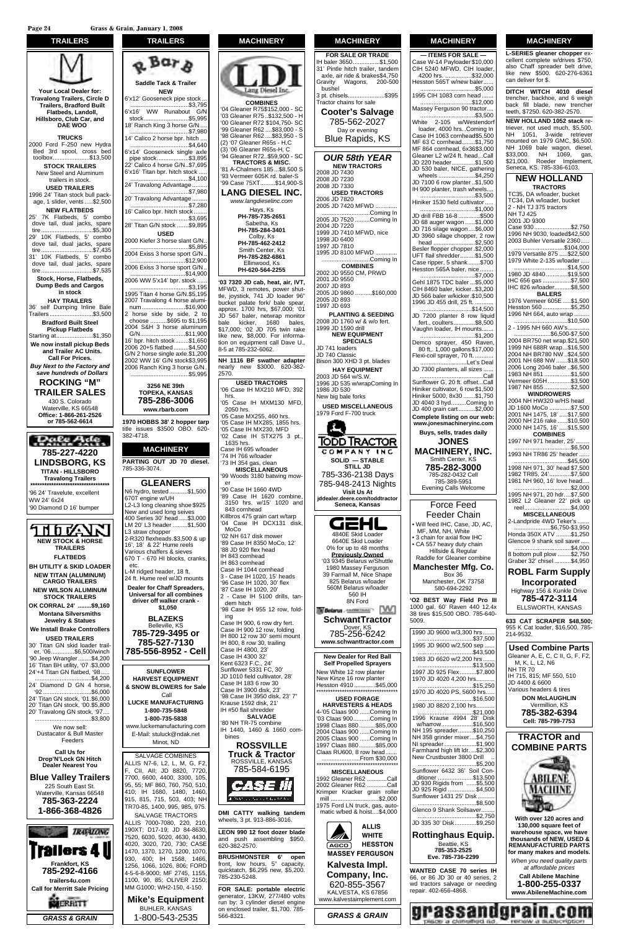

**MACHINERY**

|                   | <b>FOR SALE OR TRADE</b><br>IH baler 3650\$1,500                   |
|-------------------|--------------------------------------------------------------------|
|                   | 31' Pintle hitch trailer, tandem<br>axle, air ride & brakes\$4,750 |
|                   | Wagons, 200-500<br>Gravity<br>bushel                               |
|                   | 3 pt. chisels\$395                                                 |
| $-SC$             | Tractor chains for sale<br><b>Cooter's Salvage</b>                 |
| )0 - H<br>0-SC    | 785-562-2027                                                       |
| )0 - S<br>50 - S  | Day or evening                                                     |
| ₿                 | <b>Blue Rapids, KS</b>                                             |
| - SC              | <b>OUR 58th YEAR</b>                                               |
| 500 S             | <b>NEW TRACTORS</b><br>2008 JD 7430                                |
| er-S<br>900-S     | 2008 JD 7230<br>2008 JD 7330                                       |
| NC.               | <b>USED TRACTORS</b>                                               |
| m                 | 2006 JD 7820<br>2005 JD 7420 MFWD                                  |
|                   | Coming In<br>2005 JD 7520 Coming In                                |
|                   | 2004 JD 7220<br>1999 JD 7410 MFWD, nice                            |
|                   | 1998 JD 6400<br>1997 JD 7810                                       |
|                   | 1995 JD 8100 MFWD                                                  |
|                   | Coming In<br><b>COMBINES</b>                                       |
| r, IVT,           | 2002 JD 9550 CM, PRWD<br>2001 JD 9550                              |
| · shut-           | 2007 JD 893<br>2005 JD 9860 \$160,000                              |
| er 96"<br>spear,  | 2005 JD 893<br>1997 JD 693                                         |
| 0: '01<br>าonitor | <b>PLANTING &amp; SEEDING</b>                                      |
| bales,<br>າ rake  | 2008 JD 1760 w/ & w/o fert.<br>1999 JD 1590 drill                  |
| forma-<br>ve U.,  | <b>NEW EQUIPMENT</b><br><b>SPECIALS</b>                            |
|                   | JD 741 loaders<br>JD 740 Classic                                   |
| dapter            | Bison 300 XHD 3 pt. blades                                         |
| 0-382-            | <b>HAY EQUIPMENT</b><br>2003 JD 564 w/S.W.                         |
| , 392             | 1996 JD 535 w/wrapComing In<br>1986 JD 530                         |
| MFD,              | New big bale forks                                                 |
|                   | <b>USED MISCELLANEOUS</b><br>1979 Ford F-700 truck                 |
| hrs.              |                                                                    |
| 3 pt.,            |                                                                    |
|                   | <u>TODD TRACTOR</u><br><b>COMPANY</b>                              |
|                   | SOLID - STABLE                                                     |
| mow-              | <b>STILL JD</b><br>785-336-2138 Days                               |
|                   | 785-948-2413 Nights                                                |
| .bine             | <b>Visit Us At</b><br>iddealer.deere.com/toddtractor               |
| and               | Seneca, Kansas                                                     |
| arp<br>disk,      | <u>S r</u>                                                         |
|                   | 4840E Skid Loader                                                  |
| 12'               | 6640E Skid Loader<br>0% for up to 48 months                        |
|                   | <b>Previously Owned</b><br>'03 9345 Belarus w/Shuttle              |
|                   | 1980 Massey Ferguson<br>39 Farmall M, Nice Shape                   |
| ds                | 825 Belarus w/loader                                               |
| , tan-            | 560M Belarus w/loader<br>560 IH                                    |
| fold-             | 8N Ford<br><b>Gelarus</b> community?                               |
|                   | SchwantTractor                                                     |
| rt.<br>na         | Dover, KS<br>785-256-6242                                          |
| ount              | www.schwanttractor.com                                             |
|                   | <b>New Dealer for Red Ball</b>                                     |
|                   | <b>Self Propelled Sprayers</b><br>New White 12 row planter         |
| B,                | New Kinze 16 row planter                                           |



| <b>MACHINERY</b>                                                                                                                                                                                                                                                                                                                            |
|---------------------------------------------------------------------------------------------------------------------------------------------------------------------------------------------------------------------------------------------------------------------------------------------------------------------------------------------|
| - ITEMS FOR SALE -<br>Case W-14 Payloader \$10,000<br>CIH 5240 MFWD, CIH loader,<br>4200 hrs. \$32,000<br>Hesston 565T w/new baler<br>\$5,000                                                                                                                                                                                               |
| 1995 CIH 1083 corn head<br>\$12,000                                                                                                                                                                                                                                                                                                         |
| Massey Ferguson 90 tractor<br>\$3,500                                                                                                                                                                                                                                                                                                       |
| White 2-105 w/Westendorf<br>loader, 4000 hrs. . Coming In<br>Case IH 1063 cornhead\$5,500<br>MF 63 C cornhead\$1,750<br>MF 864 cornhead, 6x36\$3,000<br>Gleaner L2 w/24 ft. headCall<br>JD 220 header\$1,500<br>JD 530 baler, NICE, gathering<br>wheels \$4,250<br>JD 7100 6 row planter \$1,500<br>IH 900 planter, trash wheels<br>\$3,500 |
| Hiniker 1530 field cultivator<br>\$1,000                                                                                                                                                                                                                                                                                                    |
| JD drill FBB 16-8 \$500<br>JD 68 auger wagon \$1,000<br>JD 716 silage wagon\$6,000<br>JD 3960 silage chopper, 2 row<br>head \$2,500<br>Besler flopper chopper .\$2,000<br>UFT flail shredder\$1,500<br>Case ripper, 5 shank \$700<br>Hesston 565A baler, nice                                                                               |
| CIH 8460 baler, kicker\$3,200<br>JD 566 baler w/kicker.\$10,500<br>1996 JD 455 drill, 25 ft.                                                                                                                                                                                                                                                |
| \$14,500<br>JD 7200 planter 8 row liquid<br>fert., coulters\$8,500<br>Vaughn loader, IH mounts<br>\$1,200                                                                                                                                                                                                                                   |
| Demco sprayer, 450 Raven,<br>80 ft,. 1,000 gallons \$17,000<br>Flexi-coil sprayer, 70 ft.                                                                                                                                                                                                                                                   |
| Let's Deal<br>JD 7300 planters, all sizes                                                                                                                                                                                                                                                                                                   |
| Sunflower G, 20 ft. offsetCall<br>Hiniker cultivator, 6 row \$1,500<br>Hiniker 5000, 8x30 \$1,750<br>JD 4040 3 hydComing In<br>JD 400 grain cart\$2,000<br>Complete listing on our web:<br>www.jonesmachineryinc.com                                                                                                                        |
|                                                                                                                                                                                                                                                                                                                                             |

#### **www.jonesmachineryinc.com Buys, sells, trades daily JONES MACHINERY, INC.** Smith Center, KS **785-282-3000**

785-282-0432 Cell 785-389-5951 Evening Calls Welcome

#### Force Feed Feeder Chain

• Will feed IHC, Case, JD, AC, MF, MM, NH, White • 3 chain for axial flow IHC • CA 557 heavy duty chain Hillside & Regular Raddle for Gleaner combine **Manchester Mfg. Co.** Box 36 Manchester, OK 73758 580-694-2292

**'O2 BEST Way Field Pro III** 1000 gal. 60' Raven 440 12.4x 38 tires \$15,500 OBO. 785-640- 5009.

| 1990 JD 9600 w/3,300 hrs |  |
|--------------------------|--|
| \$37,500                 |  |
| 1995 JD 9600 w/2,500 sep |  |
| \$43.500 l               |  |
| 1983 JD 6620 w/2,200 hrs |  |
| \$13.500 l<br>.          |  |
| 1997 JD 925 Flex\$7,800  |  |

#### **MACHINERY**

**L-SERIES gleaner chopper** excellent complete w/drives \$750, also Chaff spreader belt drive, like new \$500. 620-276-6361 can deliver for \$.

**DITCH WITCH 4010 diesel**  trencher, backhoe, and 6 weigh back fill blade, new trencher teeth, \$7250. 620-382-2570.

**NEW HOLLAND 1052 stack** retriever, not used much, \$5,500. NH 1051, 3-wide retriever mounted on 1979 GMC, \$6,500. NH 1069 bale wagon, diesel, \$33,000. NH 1069, gas, \$21,000. Roeder Implement, Seneca, KS. 785-336-6103.

**NEW HOLLAND**

| <b>TRACTORS</b>                                           |
|-----------------------------------------------------------|
| TC35, DA w/loader, bucket<br>TC34, DA w/loader, bucket    |
| 2 - NH TJ 375 tractors                                    |
| <b>NH TJ 425</b>                                          |
| 2001 JD 9300                                              |
| Case 930\$2,750<br>1996 NH 9030, loaded\$42,500           |
| 2003 Buhler Versatile 2360                                |
| \$104,000                                                 |
| 1979 Versatile 875  \$22,500<br>1979 White 2-135 w/loader |
| \$14,500                                                  |
| 1980 JD 4840\$19,500                                      |
| IHC 656 gas \$7,500<br>IHC 826 w/loader\$8,500            |
| <b>BALERS</b>                                             |
| 1976 Vermeer 605E \$1,500                                 |
| Hesston 560 \$5,250                                       |
|                                                           |
| 2 - 1995 NH 660 AW's                                      |
| $\ldots$ \$6,500-\$7,500<br>2004 BR750 net wrap.\$21,500  |
| 1999 NH 688R wrap\$16,500                                 |
| 2004 NH BR780 NW \$24,500                                 |
| 2001 NH 688 NW \$18,500                                   |
| 2006 Long 2046 baler \$6,500<br>1983 NH 851 \$1,500       |
| Vermeer 605H\$3,500                                       |
| 1987 NH 855 \$2,500                                       |
| <b>WINDROWERS</b><br>2004 NH HW320 w/HS head              |
| JD 1600 MoCo \$7,500                                      |
| 2001 NH 1475, 18' \$17,500                                |
| 2000 NH 216 rake \$10,500<br>2000 NH 1475, 16' \$15,500   |
| <b>COMBINES</b>                                           |
| 1997 NH 971 header, 25'                                   |
| $\dots$ \$6,500<br>1993 NH TR86 25' header                |
| \$45,500                                                  |
| 1998 NH 971, 30' head \$7,500<br>1982 TR85, 24'\$7,500    |
| 1981 NH 960, 16' love head                                |
|                                                           |
| 1982 L2 Gleaner 22' pick up                               |
| reel\$4,000                                               |
| <b>MISCELLANEOUS</b>                                      |
| 2-Landpride 4WD Teker's<br>\$6,750-\$3,950                |
| Honda 350X ATV \$1,250                                    |
| Glencoe 9 shank soil saver                                |
|                                                           |
| 8 bottom pull plow \$2,750<br>Graber 32' chisel\$4,950    |
| <b>ROBL Farm Supply</b>                                   |
| <b>Incorporated</b>                                       |
| Highway 156 & Kunkle Drive                                |
| 785-472-3114                                              |
| ELLSWORTH, KANSAS                                         |
| 633 CAT SCRAPER \$48,500;                                 |
| 955 K Cat loader, \$16,500. 785-                          |
| 214-9532.                                                 |
|                                                           |

 $N$ 

**COMBINE PARTS With over 120 acres and 130,000 square feet of warehouse space, we have thousands of NEW, USED & REMANUFACTURED PARTS for many makes and models.** *When you need quality parts at affordable prices*

**Call Abilene Machine 1-800-255-0337 www.AbileneMachine.com**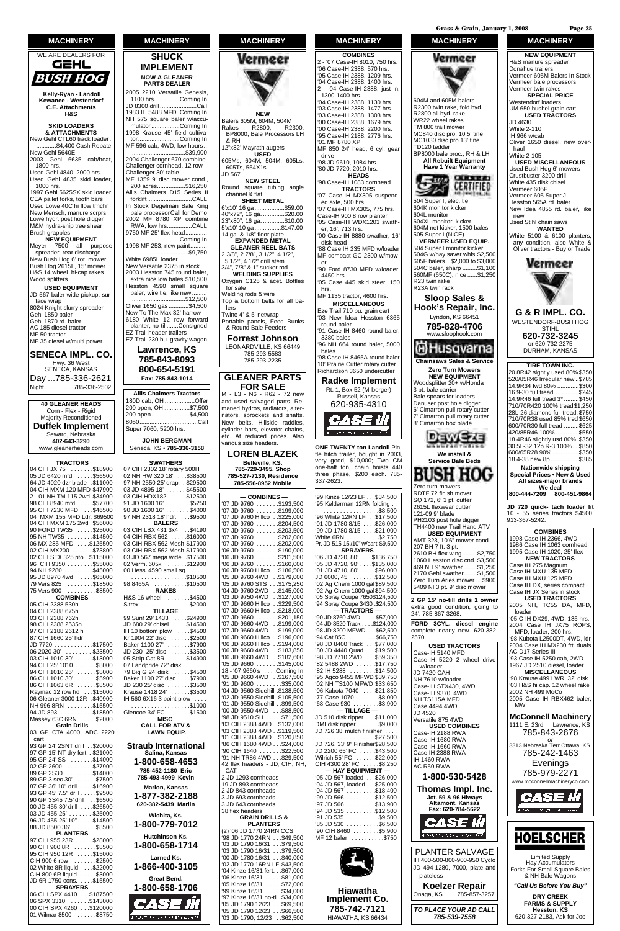| <b>TRACTORS</b>                                                                                |
|------------------------------------------------------------------------------------------------|
| 04 CIH JX 75 \$18900                                                                           |
| 05 JD 6420 mfd  \$56500                                                                        |
| 64 JD 4020 dzr blade .\$11000                                                                  |
| 04 CIH MXM 120 MFD \$47900                                                                     |
| 2- 01 NH TM 115 2wd \$34900                                                                    |
| 98 CIH 8940 mfd  \$57700                                                                       |
| 95 CIH 7230 MFD \$46500                                                                        |
| 04 MXM 155 MFD Ldr. \$69500                                                                    |
| 04 CIH MXM 175 2wd \$56000                                                                     |
| 90 FORD TW35 \$25000                                                                           |
| 95 NH TW35<br>06 NH TW35 \$14500<br>06 MX 285 MFD\$125500                                      |
|                                                                                                |
| 02 CIH MX200 \$73800                                                                           |
| 02 CIH STX 325 pto .\$115000                                                                   |
| 96 CIH 9350 \$55000                                                                            |
| 94 NH 9280 \$45000<br>95 JD 8970 4wd \$65000<br>79 Vers 825 \$18500                            |
|                                                                                                |
|                                                                                                |
| 75 Vers 900 \$8500                                                                             |
| <b>COMBINES</b>                                                                                |
| יוו <b>פוויוט∪</b><br>105 ClH 2388 530h                                                        |
| 04 CIH 2388 675h                                                                               |
| 03 CIH 2388 762h                                                                               |
| 98 CIH 2388 2535h                                                                              |
| 97 CIH 2188 2612 h                                                                             |
| 87 CIH 1660 25' hdr                                                                            |
|                                                                                                |
| JD 7720 \$17500<br> 06 2020 30' \$23500                                                        |
| 03 CIH 1010 30'<br>94 CIH 25' 1010 \$13000<br>94 CIH 1010 25' \$8000<br>94 CIH 1010 25' \$8000 |
|                                                                                                |
|                                                                                                |

Baker 1100 27' . . . . . . . \$7900 JD 230- 25' disc . . . . . . \$3500 05 Strip Cat 8R . . . . . . \$14900 07 Landpride 72" disk

#### Vermeer **NEW** Balers 605M, 604M, 504M<br>Rakes R2800. R2300. Rakes R2800, BP8000, Bale Processors LH & RH 12"x82' Mayrath augers **USED**  drive 605Ms, 604M, 504M, 605Ls, 605Ts, 554X1s JD 567 **NEW STEEL** Round square tubing angle channel & flat **SHEET METAL** 6'x10' 16 ga..................\$59.00 40"x72", 16 ga. .............\$20.00 23"x80", 16 ga. .............\$10.00 5'x10' 10 ga................\$147.00 14 ga. & 1/8" floor plate **EXPANDED METAL GLEANER REEL BATS** 2 3/8", 2 7/8", 3 1/2", 4 1/2", 5 1/2", 4 1/2" drill stem er 3/4", 7/8" & 1" sucker rod **WELDING SUPPLIES** Oxygen C125 & acet. Bottles for sale hrs. Welding rods & wire Top & bottom belts for all balers Twine 4' & 5' netwrap Portable panels, Feed Bunks & Round Bale Feeders **Forrest Johnson** LEONARDVILLE, KS 66449 bales 785-293-5583 785-293-2235 **GLEANER PARTS FOR SALE** M - L3 - N6 - R62 - 72 new ...<br>and used salvaged parts. Remaned hydros, radiators, alternators, sprockets and shafts. New belts, Hillside raddles, cylinder bars, elevator chains, etc. At reduced prices. Also various size headers. **LOREN BLAZEK Belleville, KS. 785-729-3495, Shop 785-527-7130, Residence 785-556-8952 Mobile — COMBINES —** 07 JD 9760 . . . . . . \$193,500 '07 JD 9760 . . . . . . .\$199,000 '07 JD 9760 Hillco . .\$225,000 '07 JD 9760 . . . . . . .\$204,500 '07 JD 9760 . . . . . . .\$203,500 '07 JD 9760 . . . . . . .\$202,000 '07 JD 9760 . . . . . . .\$202,000 '06 JD 9760 . . . . . . .\$190,000 '06 JD 9760 . . . . . . .\$201,500 '06 JD 9760 . . . . . . .\$160,000 '06 JD 9760 Hillco . .\$186,500 '05 JD 9760 4WD . .\$179,000 '05 JD 9760 STS . . .\$175,250 '04 JD 9760 2WD . .\$145,000 '03 JD 9750 4WD . .\$127,000 '07 JD 9660 Hillco . .\$229,500

'07 JD 9660 Hillco . .\$218,000 '07 JD 9660 . . . . . . .\$201,150 '07 JD 9660 4WD . .\$199,000 '07 JD 9660 4WD . .\$199,000 '06 JD 9660 Hillco . .\$196,000 '06 JD 9660 Hillco . .\$194,000 '06 JD 9660 4WD . .\$183,850 '06 JD 9660 4WD . .\$182,600 '05 JD 9660 . . . . . . .\$145,000 18 - '07 9660's . . . .Coming In

#### **SWATHERS** 07 CIH 2302 18' rotary 500H 02 NH HW 320 18' . . \$38500 97 NH 2550 25' drap. . \$29500 03 JD 4895 18' . . . . . . \$45500 03 CIH HDX182 . . . . . \$12500 91 JD 1600 16' . . . . . . . \$5250 90 JD 1600 16' . . . . . . . \$4000 97 NH 2318 18' hdr. . . . \$9500 **BALERS** 03 CIH LBX 431 3x4 . .\$4190 04 CIH RBX 562 . . . . . \$16000 03 CIH RBX 562 Mesh \$17900 03 CIH RBX 562 Mesh \$17900 03 JD 567 mega wide \$17500 02 Verm. 605xl . . . . . . \$12900 00 Hess. 4590 small sq. . . . . . . . . . . . . . . . . . . . . . .\$10500 98 8465A . . . . . . . . . .\$10500 **RAKES** H&S 16 wheel .......\$4500 Sitrex . . . . . . . . . . . . . . \$2000 **TILLAGE** 99 Sunf 29' 1433 . . . .\$24900 JD 680 29' chisel . . . .\$14500 IH 10 bottom plow . . . . \$4500 Kr 1904 22' disc . . . . . . \$2500 **SHUCK IMPLEMENT NOW A GLEANER PARTS DEALER** 2005 2210 Versatile Genesis, 1100 hrs...............Coming In JD 8300 drill ......................Call 1983 IH 5488 MFD..Coming In NH 575 square baler w/accumulator.................Coming In 1998 Krause 45' field cultivator.........................Coming In MF 596 cab, 4WD, low hours.. ................................\$39,900 2004 Challenger 670 combine Challenger cornhead, 12 row Challenger 30' table MF 1359 9' disc mower cond. 200 acres.................\$16,250 Allis Chalmers D15 Series II forklift...........................CALL In Stock Degelman Bale King bale processorCall for Demo 2002 MF 8780 XP combine RWA, low hrs...............CALL 9750 MF 25' flex head........ .............................Coming In 1998 MF 253, new paint... ..................................\$9,750 White 6985L loader New Versatile 2375 in stock 2003 Hesston 745 round baler extra nice low bales.\$10,500 Hesston 4590 small square baler, wire tie, like new........ .........................\$12,500 Oliver 1650 gas ............\$4,500 New To The Max 32' harrow 6180 White 12 row forward planter, no-till.......Consigned EZ Trail header trailers EZ Trail 230 bu. gravity wagon **Lawrence, KS 785-843-8093 800-654-5191 Fax: 785-843-1014 Allis Chalmers Tractors** 180D cab, OH ..................Offer 200 open, OH................\$7,500 200 open.......................\$4,500 8050...................................Call Super 7060, 5200 hrs. **JOHN BERGMAN** Seneca, KS • **785-336-3158**

#### **MACHINERY**



**Kelly-Ryan - Landoll Kewanee - Westendorf C.E. Attachments H&S**

#### **SKID LOADERS & ATTACHMENTS**

New Gehl CTL60 track loader. ............\$4,400 Cash Rebate New Gehl 5640E 2003 Gehl 6635 cab/heat, 1800 hrs.

Used Gehl 4840, 2000 hrs. Used Gehl 4835 skid loader, 1000 hrs.

1997 Gehl 5625SX skid loader CEA pallet forks, tooth bars Used Lowe 40C hi flow trnchr New Mensch, manure scrprs Lowe hydr. post hole digger M&M hydra-snip tree shear Brush grapples

#### **NEW EQUIPMENT** Meyer 7500 all purpose spreader, rear discharge New Bush Hog 6' rot. mower Bush Hog 2615L, 15' mower H&S 14 wheel hi-cap rakes

Wood splitters **USED EQUIPMENT** JD 567 baler wide pickup, surface wrap 8024 Knight slurry spreader Gehl 1850 baler Gehl 1870 rd. baler AC 185 diesel tractor MF 50 tractor MF 35 diesel w/multi power

**SENECA IMPL. CO.** Hwy. 36 West SENECA, KANSAS Day ...785-336-2621 Night..................785-336-2502

**40 GLEANER HEADS** Corn - Flex - Rigid Majority Reconditioned **Duffek Implement** Seward, Nebraska **402-643-3290** www.gleanerheads.com

**MACHINERY**



'82 5488 2WD ......\$17,750

| <b>טטטטש: שם ווט</b><br>94 CIH 1010 25' \$8000<br>86 CIH 1010 30' \$5900<br>86 CIH 1063 6R \$8500     | $\sigma$ Langphac $\epsilon$ alon<br>79 Big G 24' disk \$4500<br>Baker 1100 27' disc \$7900<br>JD 230 25' disc \$3500 | 18 - '07 9660's Coming In<br>'05 JD 9660 4WD . \$167,500<br>$91$ JD $9600$ \$35,000<br>'04 JD 9560 Sidehill .\$138,500                 | '95 Agco 9455 MFWD \$39,750<br>'02 NH TS100 MFWD \$33,650<br>06 Kubota 7040 \$21,850         | w/ioduel<br>JD 7420 CAH<br>NH 7610 w/loader<br>Case-IH STX430, 4WD | <b>1907 OD ZUTU GIUSCI, IUGULI</b><br><b>MISCELLANEOUS</b><br>'98 Krause 4991 WR, 32' disk<br>'03 H&S hi cap. 12 wheel rake |
|-------------------------------------------------------------------------------------------------------|-----------------------------------------------------------------------------------------------------------------------|----------------------------------------------------------------------------------------------------------------------------------------|----------------------------------------------------------------------------------------------|--------------------------------------------------------------------|-----------------------------------------------------------------------------------------------------------------------------|
| Raymac 12 row hd \$15000<br>106 Gleaner 3000 12R .\$40900<br>NH 996 8RN \$15500                       | Krause 1418 24' \$3500<br>IH 560 6X16 3 point plow $\ldots$<br>. \$1000                                               | '02 JD 9550 Sidehill .\$105.500<br>'01 JD 9550 Sidehill \$99,500                                                                       | 77 Case 1070 \$8,000<br>$68$ Case 930 $\ldots$ \$3,900                                       | Case-IH 9370, 4WD<br>NH TS115A MFD<br>Case 4494 4WD                | 2002 NH 499 MoCo<br>2005 Case IH RBX462 baler,<br><b>MW</b>                                                                 |
| 94 JD 893 \$18500<br>Massey 63C 6RN \$2000                                                            | Glencoe 34' FC  \$1500<br>MISC.                                                                                       | '00 JD 9550 4WD \$88,500<br>98 JD 9510 SH \$71,500<br>'03 CIH 2388 4WD. \$132,000                                                      | $-$ TILLAGE $-$<br>JD 510 disk ripper \$11,000<br>DMI disk ripper \$9,000                    | JD 4520<br>Versatile 875 4WD                                       | <b>McConnell Machinery</b><br>1111 E. 23rd Lawrence, KS                                                                     |
| <b>Grain Drills</b><br>03 GP CTA 4000, ADC 2220<br>cart                                               | <b>CALL FOR ATV &amp;</b><br><b>LAWN EQUIP.</b>                                                                       | '03 CIH 2388 4WD. \$119.500<br>'01 CIH 2388 4WD. \$120,850                                                                             | JD 726 38' mulch finisher<br>0.527,500<br>.                                                  | <b>USED COMBINES</b><br>Case-IH 2188 RWA<br>Case-IH 1680 RWA       | 785-843-2676                                                                                                                |
| 93 GP 24' 2SNT drill \$20000<br>97 GP 15' NT dry fert . \$21000                                       | <b>Straub International</b><br>Salina, Kansas                                                                         | 86 CIH 1680 4WD\$24,000<br>$90$ CIH 1640 $\dots$ \$22,500<br>'91 NH TR86 4WD \$29,500                                                  | JD 726, 33' 9" Finisher\$28,500<br>JD 2200 65' FC  \$43,500<br>Wilrich 55' FC  \$22,000      | Case-IH 1660 RWA<br>Case IH 2388 RWA                               | or<br>3313 Nebraska Terr.Ottawa, KS<br>785-242-1463                                                                         |
| 95 GP 24'SS \$14000<br>02 GP 2600 \$27900<br>89 GP 2S30 \$14000                                       | 1-800-658-4653<br>785-452-1180 Eric                                                                                   | 42 flex headers - JD, CIH, NH,<br><b>CAT</b>                                                                                           | CIH 4300 28' FC \$8,250<br>$-$ HAY EQUIPMENT $-$                                             | <b>IH 1460 RWA</b><br>AC R50 RWA                                   | Evenings<br>785-979-2271                                                                                                    |
| 89 GP 3 sec 30' \$7500<br>87 GP 36' 10" drill\$16900                                                  | 785-493-4999 Kevin<br><b>Marion, Kansas</b>                                                                           | 2 JD 1293 cornheads<br>19 JD 893 cornheads                                                                                             | '05 JD 567 loaded \$26,000<br>'04 JD 567, loaded \$25,000                                    | 1-800-530-5428<br>Thomas Impl. Inc.                                | www.mcconnellmachineryco.com                                                                                                |
| 93 GP 45' 7.5" drill\$9500<br>90 GP 3S45 7.5' drill\$6500<br>00 JD 455 30' drill ...\$26500           | 1-877-382-2188<br>620-382-5439 Marlin                                                                                 | 2 JD 843 cornheads<br>3 JD 693 cornheads<br>3 JD 643 cornheads                                                                         | $04$ JD 567 $\dots$ \$18,400<br>$99$ JD 566 $\dots$ \$12,500<br>$97$ JD 566 $\dots$ \$13,900 | <b>Jct. 59 &amp; 96 Hiways</b><br>Altamont, Kansas                 | <i>CASE W</i>                                                                                                               |
| 03 JD 455 25'\$25000<br>96 JD 455 25' 10"\$14500                                                      | Wichita, Ks.                                                                                                          | 38 flex headers<br><b>GRAIN DRILLS &amp;</b>                                                                                           | $94$ JD 535 $\dots$ \$12,500<br>$91$ JD 535 $\dots$ \$9,500                                  | Fax: 620-784-5622<br>ease ii                                       |                                                                                                                             |
| 88 JD 8500 36'\$8500<br><b>PLANTERS</b>                                                               | 1-800-779-7012<br><b>Hutchinson Ks.</b>                                                                               | <b>PLANTERS</b><br>(2) '06 JD 1770 24RN CCS<br>'98 JD 1770 24RN\$49,500                                                                | $85$ JD $530$ \$6,500<br>$90$ CIH 8460 $\dots$ $35.900$<br>MF 12 baler \$750                 | a new things to be called to entered                               | <b>HOELSCHER</b>                                                                                                            |
| 97 CIH 955 23R  \$28000<br>90 CIH 900 8R \$8500<br>95 CIH 950 12R \$15000                             | 1-800-658-1714                                                                                                        | 03 JD 1790 16/31 \$79,500<br>03 JD 1790 16/31 \$79,500                                                                                 |                                                                                              | <b>PLANTER SALVAGE</b>                                             |                                                                                                                             |
| CIH 900 6 row \$2500<br>02 White 8R liquid \$22000<br>CIH 800 6R liquid \$3000                        | Larned Ks.<br>1-866-400-3105                                                                                          | 00 JD 1780 16/31\$40,000<br>'02 JD 1770 16RN LF \$43.500<br>'04 Kinze 16/31 fert. \$67,000                                             |                                                                                              | IH 400-500-800-900-950 Cyclo<br>JD 494-1280, 7000, plate and       | <b>Limited Supply</b><br>Hay Accumulators<br>Forks For Small Square Bales                                                   |
| JD 6R 1750 cons. \$15500<br><b>SPRAYERS</b>                                                           | <b>Great Bend.</b><br>1-800-658-1706                                                                                  | 06 Kinze 16/31  . \$81,000<br>05 Kinze 16/31 \$72,000<br>99 Kinze 16/31 \$34,000                                                       | <b>Hiawatha</b>                                                                              | plateless<br>Koelzer Repair                                        | & NH Bale Wagons<br>"Call Us Before You Buy"                                                                                |
| 06 CIH SPX 4410 \$187500<br>06 SPX 3310 \$143000<br>00 CIH SPX 4260 \$120000<br>01 Wilmar 8500 \$8750 | <i>CASE III</i><br>A CRASH SCHOOL CLASH HAD D                                                                         | '97 Kinze 16/31 no-till \$34,000<br>'05 JD 1790 12/23 \$69,500<br>$05$ JD 1790 12/23 $\dots$ \$66,500<br>'03 JD 1790, 12/23 . \$62,500 | <b>Implement Co.</b><br>785-742-7121<br>HIAWATHA, KS 66434                                   | Onaga, KS<br>785-857-3257<br>TO PLACE YOUR AD CALL<br>785-539-7558 | <b>DRY CREEK</b><br><b>FARMS &amp; SUPPLY</b><br>Hesston, KS<br>620-327-2183, Ask for Joe                                   |

**MACHINERY**

**MACHINERY**

604M and 605M balers R2300 twin rake, fold hyd. R2800 all hyd. rake WR22 wheel rakes TM 800 trail mower MC840 disc pro, 10.5' tine MC1030 disc pro 13' tine

Vermeer

TD120 tedder

BP8000 bale proc., RH & LH **All Rebuilt Equipment Have 1 Year Warranty**

**CARSE CO** 

CERTIFIED

504 Super I, elec. tie 604K monitor kicker 604L monitor 604XL monitor, kicker 604M net kicker, 1500 bales 505 Super I (NICE)

 $-w$ 

 $\geq$   $\sim$ 

**VERMEER USED EQUIP.** 504 Super I monitor kicker

R23 twin rake R23A twin rack

**Sloop Sales & Hook's Repair, Inc.** Lyndon, KS 66451 **785-828-4706** www.sloophook.com

**Chainsaws Sales & Service Zero Turn Mowers NEW EQUIPMENT** Woodsplitter 20+ w/Honda 3 pt. bale carrier Bale spears for loaders Danuser post hole digger 6' Cimarron pull rotary cutter 7' Cimarron pull rotary cutter 8' Cimarron box blade

diHusqvarna

**We install & Service Bale Beds**

**BUSH HOG** 

DawEze

Zero turn mowers RDTF 72 finish mover SQ 172, 6' 3 pt. cutter 2615L flexwear cutter 121-09 9' blade PH2103 post hole digger TH4400 new Trail Hand ATV **USED EQUIPMENT** AMT 323, 10'6" mower cond.

207 BH 7 ft. 3 pt.

2610 BH flex wing.........\$2,750 1060 Hesston disc cnd..\$3,500 469 NH 9' swather ........\$1,250 2170 Gehl swather........\$1,500 Zero Turn Aries mower ....\$900 5409 NI 3 pt. 9' disc mower **2 GP 15' no-till drills 1 owner** 

24'. 785-867-3268.

**FORD 3CYL. diesel engine**

2570.

**USED TRACTORS**

Case-IH 5140 MFD

Case-IH 5220 2 wheel drive

w/loader JD 7420 CAH

#### **MACHINERY NEW EQUIPMENT** H&S manure spreader Donahue trailers Vermeer 605M Balers In Stock Vermeer bale processors Vermeer twin rakes **SPECIAL PRICE** Westendorf loaders UM 650 bushel grain cart **USED TRACTORS** JD 4630 White 2-110 IH 966 w/cab Oliver 1650 diesel, new overhaul White 2-105 **USED MISCELLANEOUS** Used Bush Hog 6' mowers Crustbuster 3200 drill White 435 disk chisel Vermeer 605F Vermeer 605 Super J Hesston 565A rd. baler New Idea 4855 rd. baler, like new Used Stihl chain saws **WANTED** White 5100 & 6100 planters, any condition, also White & Oliver tractors - Buy or Trade 504G w/hay saver whls.\$2,500 605F balers...\$2,000 to \$3,000 Vermeer 504C baler, sharp .........\$1,100 560MF (650C), nice ......\$1,250 **G & R IMPL. CO.** WESTENDORF-BUSH HOG STIHL **620-732-3245** or 620-732-2275 DURHAM, KANSAS **TIRE TOWN INC.** 20.8R42 slghtly used 80% \$350 520/85R46 Irregular new ..\$785 14.9R34 fwd 80% .............\$300 16.9-30 full tread...............\$245 14.9R46 full tread 3\* .........\$450 710/70R420 100% tread\$1,250 28L-26 diamond full tread .\$750 710/70R38 used 85% tred \$650 600/70R30 full tread .........\$625 420/85R46 100% ..............\$550 18.4R46 slightly usd 80% .\$350 30.5L-32 12p R-3 100%....\$850 600/65R28 90% ................\$350 18.4-38 new 8p .................\$385 **Nationwide shipping Special Prices • New & Used All sizes-major brands We deal 800-444-7209 800-451-9864 JD 720 quick- tach loader fit**

10 - 55 series tractors \$4500. 913-367-5242. **COMBINES** 1998 Case IH 2366, 4WD 1986 Case IH 1063 cornhead 1995 Case IH 1020, 25' flex **NEW TRACTORS** Case IH 275 Magnum Case IH MXU 135 MFD Case IH MXU 125 MFD Case IH DX, series compact Case IH JX Series in stock **USED TRACTORS** 2005 NH, TC55 DA, MFD, loader '05 C-IH DX29, 4WD, 135 hrs. 2004 Case IH JX75 ROPS, MFD, loader, 200 hrs. '98 Kubota L2500DT, 4WD, ldr 2004 Case IH MX230 frt. duals AC D17 Series III '93 Case IH 5250 cab, 2WD 1967 JD 2510 diesel, loader

**Grass & Grain, January 1, 2008 Page 25**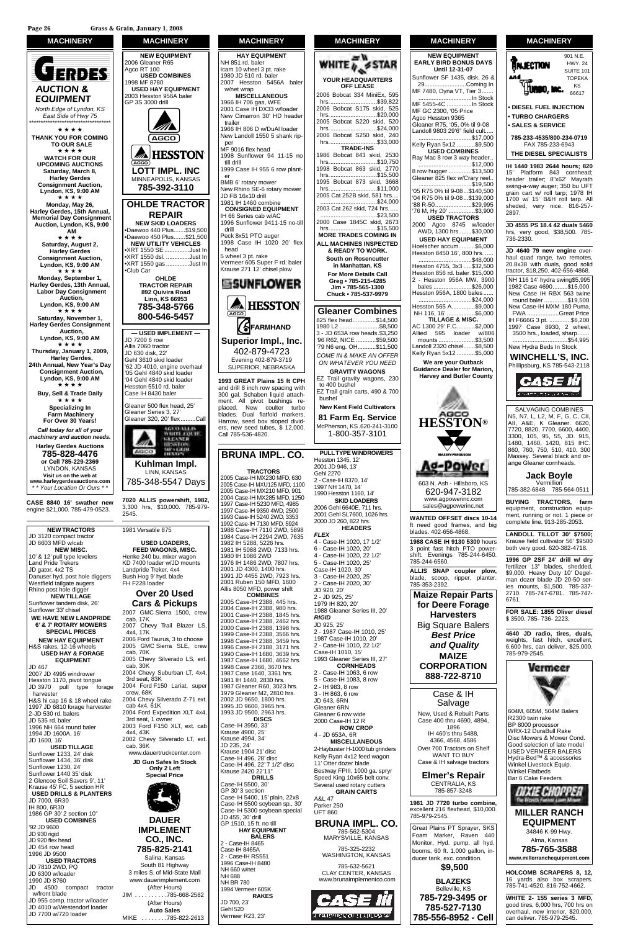Sunflower 33' chisel

**SPECIAL PRICES** 

 $0.07$  JD 4995 windrower Hesston 1170, pivot tongue JD 3970 pull type forage harvester H&S hi cap 16 & 18 wheel rake 1997 JD 6810 forage harvester 2-JD 530 rd. balers JD 535 rd. baler 1996 NH 664 round baler 1994 JD 1600A, 16' JD 1600, 16'

H&S rakes, 12-16 wheels

**EQUIPMENT**

JD 467

**USED TILLAGE** Sunflower 1233, 24' disk Sunflower 1434, 36' disk Sunflower 1230, 24' Sunflower 1440 35' disk 2 Glencoe Soil Savers 9', 11' Krause 45' FC, 5 section HR **USED DRILLS & PLANTERS** JD 7000, 6R30 IH 800, 6R30 1986 GP 30' 2 section 10" **USED COMBINES** '92 JD 9600 JD 930 rigid JD 920 flex head JD 454 row head 1996 JD 9500 **USED TRACTORS** JD 7810 2WD, PQ JD 6300 w/loader 1990 JD 8760 JD 4500 compact tractor w/front blade JD 955 comp. tractor w/loader JD 4010 w/Westendorf loader JD 7700 w/720 loader



Sunflower tandem disk, 26' **WE HAVE NEW LANDPRIDE 6' & 7' ROTARY MOWERS NEW HAY EQUIPMENT USED HAY & FORAGE Cars & Pickups** 2007 GMC Sierra 1500, crew cab, 17K 2007 Chevy Trail Blazer LS, 4x4, 17K 2006 Ford Taurus, 3 to choose 2005 GMC Sierra SLE, crew cab, 70K 2005 Chevy Silverado LS, ext. cab, 30K 2004 Chevy Suburban LT, 4x4, 3rd seat, 83K 2004 Ford F150 Lariat, super crew, 68K 2004 Chevy Silverado Z-71 ext. cab 4x4, 61K 2004 Ford Expedition XLT 4x4, 3rd seat, 1 owner 2003 Ford F150 XLT, ext. cab 4x4, 43K 2002 Chevy Silverado LT, ext. cab, 36K www.dauertruckcenter.com **JD Gun Safes In Stock Only 2 Left Special Price**

#### **DAUER IMPLEMENT CO., INC. 785-825-2141** Salina, Kansas South 81 Highway

3 miles S. of Mid-State Mall www.dauerimplement.com (After Hours) JIM . . . . . . . . . .785-668-2582 (After Hours) **Auto Sales** MIKE . . . . . . . .785-822-2613

1998 Case 2366, 3670 hrs. 1987 Case 1640, 3361 hrs. 1981 IH 1440, 2830 hrs. 1987 Gleaner R60, 3023 hrs. 1979 Gleaner M2, 2810 hrs. 2002 JD 9650, 1800 hrs. 1995 JD 9600, 3965 hrs. 1993 JD 9500, 2963 hrs. **DISCS** Case-IH 3950, 33' Krause 4900, 25' Krause 4994, 34' JD 235, 24' Krause 1904 21' disc Case-IH 496, 28' disc Case-IH 496, 22' 7 1/2" disc Krause 2420 22'11" **DRILLS** Case-IH 5500, 30' GP 30' 3 section Case-IH 5400, 15' plain, 22x8 Case-IH 5500 soybean sp., 30' Case-IH 5300 soybean special JD 455, 30' drill GP 1510, 15 ft. no till **HAY EQUIPMENT BALERS** 2 - Case-IH 8465 Case-IH 8465A 2 - Case-IH RS551 1996 Case-IH 8480 NH 660 w/net NH 688 NH BR 780 1994 Vermeer 605K **RAKES** JD 700, 23' Gehl 520 Vermeer R23, 23'

JD 643, 6RN Gleaner 6RN Gleaner 6 row wide 2000 Case-IH 12 R **ROW CROP** 4 - JD 653A, 6R **MISCELLANEOUS** 2-Haybuster H-1000 tub grinders Kelly Ryan 4x12 feed wagon 11' Otter dozer blade Bestway FPIII, 1000 ga. spryr Speed King 10x65 belt conv. Several used rotary cutters **GRAIN CARTS** A&L 47 Parker 250 UFT 860 **BRUNA IMPL. CO.** 785-562-5304 MARYSVILLE, KANSAS 785-325-2232 WASHINGTON, KANSAS 785-632-5621 CLAY CENTER, KANSAS www.brunaimplementco.com



#### **MACHINERY HAY EQUIPMENT** NH 851 rd. baler Icam 10 wheel 3 pt. rake 1980 JD 510 rd. baler 2007 Hesston 5456A baler w/net wrap **MISCELLANEOUS** 1966 IH 706 gas, WFE 2001 Case IH DX33 w/loader New Cimarron 30' HD header trailer 1966 IH 806 D w/DuAl loader New Landoll 1550 5 shank ripper MF 9016 flex head 1998 Sunflower 94 11-15 no till drill 1999 Case IH 955 6 row planter BMB 6' rotary mower New Rhino SE-6 rotary mower JD FB 16x10 drill 1981 IH 1460 combine **CONSIGNED EQUIPMENT** IH 66 Series cab w/AC 1996 Sunflower 9411-15 no-till drill Peck 8x51 PTO auger 1998 Case IH 1020 20' flex head 5 wheel 3 pt. rake Vermeer 605 Super F rd. baler Krause 271 12' chisel plow **EISUNFLOWER AL HESSTON** SFARMHAND **Superior Impl., Inc.** 402-879-4723 Evening 402-879-3719 SUPERIOR, NEBRASKA **1993 GREAT Plains 15 ft CPH** and drill 8 inch row spacing with 300 gal. Schaben liquid attachment. All pivot bushings replaced. New coulter turbo .<br>blades. Dual flatfold markers, Harrow, seed box sloped dividers, new seed tubes, \$ 12,000. Call 785-536-4820. **BRUNA IMPL. CO. TRACTORS** 2005 Case-IH MX230 MFD, 630 2005 Case-IH MXU125 MFD, 1100 2005 Case-IH MX210 MFD, 901 2004 Case-IH MX285 MFD, 1250 1997 Case-IH 5230 MFD, 4985 1997 Case-IH 9350 4WD, 2500 1993 Case-IH 5240 2WD, 3353 1992 Case-IH 7130 MFD, 5924 1988 Case-IH 7110 2WD, 5898 1984 Case-IH 2294 2WD, 7635 1982 IH 5288, 5226 hrs. 1981 IH 5088 2WD, 7133 hrs. 1980 IH 1086 2WD 1976 IH 1486 2WD, 7807 hrs. 2001 JD 4300, 1400 hrs. 1991 JD 4455 2WD, 7923 hrs. 2001 Ruben 150 MFD, 1600 Allis 8050 MFD, power shift **COMBINES** 2005 Case-IH 2388, 445 hrs. 2004 Case-IH 2388, 980 hrs. 2001 Case-IH 2388, 1845 hrs. 2000 Case-IH 2388, 2462 hrs. 2000 Case-IH 2388, 1398 hrs. 1999 Case-IH 2388, 3566 hrs. 1998 Case-IH 2388, 3459 hrs. 1996 Case-IH 2188, 3171 hrs.



**Jack Boyle** 785-382-6848 785-564-0511



**MACHINERY**

| <b>MACHINERY</b> |  |
|------------------|--|
|------------------|--|

**NEW EQUIPMENT EARLY BIRD BONUS DAYS Until 12-31-07** Sunflower SF 1435, disk, 26 & 29.........................Coming In MF 7480, Dyna VT, Tier 3....... ................................In Stock MF 5455-4C ...............In Stock MF GC 2300, '05 Price Agco Hesston 9365 Gleaner R75, '05, 0% til 9-08 Landoll 9803 29'6" field cult..... ................................\$17,000 Kelly Ryan 5x12 ...........\$9,500 **USED COMBINES** Ray Mac 8 row 3 way header.. ................................\$12,000 8 row hugger ..............\$13,500 Gleaner 825 flex w/Crary reel.. ................................\$19,500 '05 R75 0% til 9-08...\$140,500 '04 R75 0% til 9-08...\$139,000 '88 R-50......................\$29,995 '76 M, Hy 20' ...... **USED TRACTORS** 2000 Agco 8745 w/loader AWD, 1300 hrs........\$30,000 **USED HAY EQUIPMENT** Hoelscher accum..........\$6,000 Hesston 8450 16', 800 hrs. . ................................\$48,000 Hesston 4755, 3x3 .....\$32,500 Hesston 856 rd. baler.\$15,000 2 - Hesston 956A MW, 3900 bales .......................\$26,000 Hesston 956A, 1800 bales ...... ................................\$24,000 Hesston 565 A..............\$9,000<br>NH 116, 16' .................\$6,000 NH 116, 16' ...... **TILLAGE & MISC.** AC 1300 29' F.C...........\$2,000 Allied 595 loader w/806 .................\$3,500 Landoll 2320 chisel.......\$8,500 Kelly Ryan 5x12 ...........\$5,000 **We are your Outback Guidance Dealer for Marion, Harvey and Butler County HESSTON®** K g-Power 603 N. Ash - Hillsboro, KS 620-947-3182 www.agpowerinc.com sales@agpowerinc.net **WANTED OFFSET discs 10-14** ft need good frames, and big blades. 402-656-4868. **1988 CASE IH 9130 5300** hours 3 point fast hitch PTO powershift. Evenings 785-244-6450. 785-244-6560. **ALLIS SNAP coupler plow,** blade, scoop, ripper, planter. 785-353-2392. **Maize Repair Parts for Deere Forage Harvesters**

> Big Square Balers *Best Price and Quality* **MAIZE**

#### **CORPORATION 888-722-8710**

#### Case & IH Salvage

New, Used & Rebuilt Parts Case 400 thru 4690, 4894, 1896 IH 460's thru 5488, 4366, 4568, 4586 Over 700 Tractors on Shelf WANT TO BUY Case & IH salvage tractors

#### **Elmer's Repair** CENTRALIA, KS 785-857-3248

**1981 JD 7720 turbo combine,** excellent 216 flexhead, \$10,000. 785-979-2545.

Great Plains PT Sprayer, SKS Foam Marker, Raven 440 Monitor, Hyd. pump, all hyd. booms, 60 ft. 1,000 gallon, inducer tank, exc. condition.



**BLAZEKS** Belleville, KS

**785-729-3495 or 785-527-7130 785-556-8952 - Cell**



#### **MACHINERY** 901 N.E. HWY. 24 **ANJECTION** SUITE 101 TOPEKA KS HUMOO, MC. 66617 **• DIESEL FUEL INJECTION • TURBO CHARGERS • SALES & SERVICE 785-233-4535/800-234-0719** FAX 785-233-6943 **THE DIESEL SPECIALISTS IH 1440 1983 2644 hours; 820** 15' Platform 843 cornhead; header trailer; 8"x62' Mayrath swing-a-way auger; 350 bu UFT grain cart w/ roll tarp; 1978 IH 1700 w/ 15' B&H roll tarp. All sheded, very nice. 816-257- 2897. **JD 4555 PS 18.4 42 duals 5460** hrs, very good, \$38,500. 785- 736-2330. **JD 4640 79 new engine** overhaul quad range, two remotes, 20.8x38 with duals, good solid tractor, \$18,250. 402-656-4868.

NH 116 14' hydra swing\$5,995 1982 Case 4690.........\$15,000 New Case IH RBX 563 twine round baler ..............\$19,500 New Case-IH MXM 180 Puma, FWA ...................Great Price IH F666G 3 pt. .............\$6,200 1997 Case 8930, 2 wheel, 3500 hrs., loaded, sharp.... .................................\$54,995 New Hydra Beds In Stock

**WINCHELL'S, INC.**



SALVAGING COMBINES N5, N7, L, L2, M, F, G, C, CII, AII, A&E, K Gleaner. 6620, 7720, 8820, 7700, 6600, 4400, 3300, 105, 95, 55, JD. 915, 1480, 1460, 1420, 815 IHC. 860, 760, 750, 510, 410, 300 Massey. Several black and orange Gleaner cornheads.

**BUYING TRACTORS, farm** equipment, construction equipment, running or not, 1 piece or complete line. 913-285-2053.

**LANDOLL TILLOT 30' \$7500;** Krause field cultivator 56' \$9500 both very good. 620-382-4718.

**1996 GP 2SF 24' drill w/ dry** fertilizer 13" blades, shedded, \$9,000. Heavy Duty 10' Degelman dozer blade JD 20-50 series mounts, \$1,500. 785-337- 2710. 785-747-6781. 785-747- 6761.

**FOR SALE: 1855 Oliver diesel**  \$ 3500. 785- 736- 2223.

**4640 JD radio, tires, duals,** weights, fast hitch, excellent, 6,600 hrs, can deliver, \$25,000. 785-979-2545.

Vermeer

604M, 605M, 504M Balers R2300 twin rake BP 8000 processor WRX-12 DuraBull Rake Disc Mowers & Mower Cond. Good selection of late model USED VERMEER BALERS Hydra-Bed™ & accessories Winkel Livestock Equip. Winkel Flatbeds Bar 6 Cake Feeders



**MILLER RANCH EQUIPMENT** 34846 K-99 Hwy. Alma, Kansas **785-765-3588 www.millerranchequipment.com**

**HOLCOMB SCRAPERS 8, 12,** 16 yards also box scrapers. 785-741-4520. 816-752-4662.

**WHITE 2- 155 series 3 MFD,** good tires, 6,000 hrs, 700 hrs on overhaul, new interior, \$20,000, can deliver. 785-979-2545.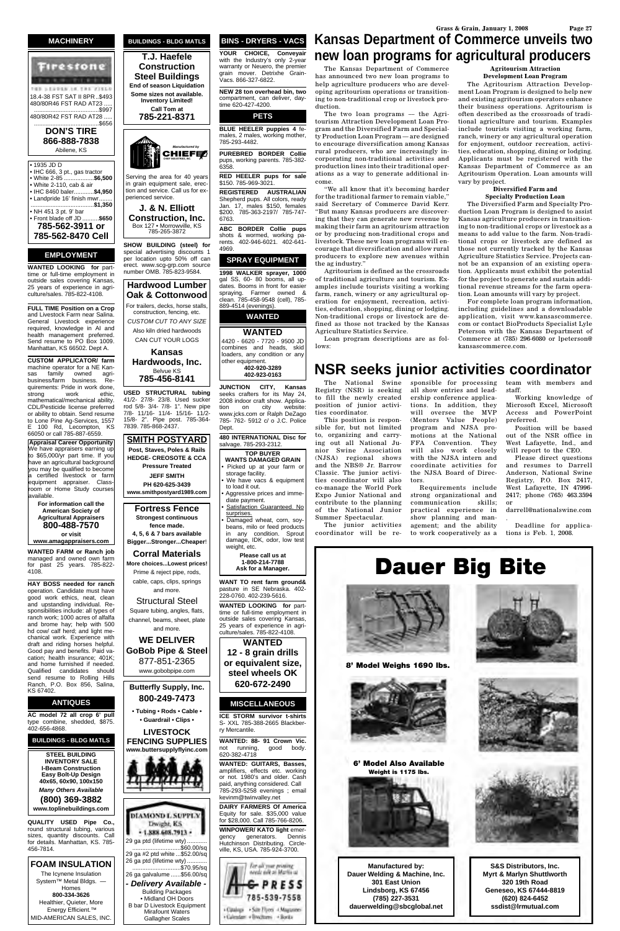

**GE LEEVER IN THE FIXER** 18.4-38 FST SAT II 8PR..\$493 480/80R46 FST RAD AT23 ..... .......................................\$997 480/80R42 FST RAD AT28 .. .......................................\$656

**DON'S TIRE 866-888-7838** Abilene, KS

• 1935 JD D • IHC 666, 3 pt., gas tractor<br>• White 2-85 .................**\$6.500** • White 2-85 .... • White 2-110, cab & air • IHC 8460 baler............**\$4,950** • Landpride 16' finish mwr. ......................................**\$1,350** • NH 451 3 pt. 9' bar • Front blade off JD ..........**\$650 785-562-3911 or 785-562-8470 Cell** 

#### **EMPLOYMENT**

**WANTED LOOKING for** parttime or full-time employment in outside sales covering Kansas, 25 years of experience in agriculture/sales. 785-822-4108.

**FULL TIME Position on a Crop** and Livestock Farm near Salina. General Livestock experience required, knowledge in AI and health management preferred. Send resume to PO Box 1009. Manhattan, KS 66502. Dept A.

**CUSTOM APPLICATOR/ farm** machine operator for a NE Kansas family owned agribusiness/farm business. Requirements: Pride in work done, strong work ethic, mathematical/mechanical ability. CDL/Pesticide license preferred or ability to obtain. Send resume to Lone Pine Ag-Services, 1557 100 Rd, Lecompton, KS 66050 or call 785-887-6559.

**Appraisal Career Opportunity** We have appraisers earning up to \$65,000/yr part time. If you have an agricultural background you may be qualified to become certified livestock or farm equipment appraiser. Classroom or Home Study courses available.

> **For information call the American Society of Agricultural Appraisers 800-488-7570 or visit**

**www.amagappraisers.com**

**WANTED FARM or Ranch job** managed and owned own farm for past 25 years. 785-822- 4108.

**HAY BOSS needed for ranch** operation. Candidate must have good work ethics, neat, clean and upstanding individual. Responsibilities include: all types of ranch work; 1000 acres of alfalfa and brome hay; help with 500 hd cow/ calf herd; and light mechanical work. Experience with draft and riding horses helpful. Good pay and benefits. Paid vacation; health insurance; 401K; and home furnished if needed. Qualified candidates should

send resume to Rolling Hills Ranch, P.O. Box 856, Salina, KS 67402.

#### **ANTIQUES**

**AC model 72 all crop 6' pull**  type combine, shedded, \$875. 402-656-4868.

#### **BUILDINGS - BLDG MATLS**

**STEEL BUILDING INVENTORY SALE I-Beam Construction Easy Bolt-Up Design 40x65, 60x90, 100x150** *Many Others Available* **(800) 369-3882 www.toplinebuildings.com**

**QUALITY USED Pipe Co.,** round structural tubing, various sizes, quantity discounts. Call for details. Manhattan, KS. 785- 456-7814.

#### **FOAM INSULATION**

The Icynene Insulation System™ Metal Bldgs. -Homes **800-334-3626** Healthier, Quieter, More Energy Efficient.™ MID-AMERICAN SALES, INC.

**JUNCTION CITY, Kansas**  seeks crafters for its May 24, 2008 indoor craft show. Applica-<br>tion on city website: tion on city www.jcks.com or Ralph DeZago 785- 762- 5912 c/ o J.C. Police **Dept.** 

**BUILDINGS - BLDG MATLS T.J. Haefele Construction Steel Buildings End of season Liquidation**

**Some sizes not available. Inventory Limited! Call Tom at 785-221-8371**

Serving the area for 40 years in grain equipment sale, erection and service. Call us for experienced service.



- We have vacs & equipment to load it out.
- Aggressive prices and immediate payment. Satisfaction Guaranteed. No
- surprises. • Damaged wheat, corn, soy-
- beans, milo or feed products in any condition. Sprout damage, IDK, odor, low test weight, etc.

**J. & N. Elliott Construction, Inc.** Box 127 • Morrowville, KS 785-265-3872

**SHOW BUILDING (steel) for** special advertising discounts 1 per location upto 50% off can erect. www.scg-grp.com source number OMB. 785-823-9584.

**Hardwood Lumber Oak & Cottonwood**

For trailers, decks, horse stalls, construction, fencing, etc. *CUSTOM CUT TO ANY SIZE* Also kiln dried hardwoods

CAN CUT YOUR LOGS **Kansas Hardwoods, Inc.** Belvue KS **785-456-8141**

**USED STRUCTURAL tubing** 41/2- 27/8- 23/8. Used sucker rod 5/8- 3/4- 7/8- 1". New pipe 7/8- 11/16- 11/4- 15/16- 11/2- 15/8- 2". Pipe post. 785-364- 7839. 785-868-2437.

**SMITH POSTYARD Post, Staves, Poles & Rails HEDGE- CREOSOTE & CCA Pressure Treated JEFF SMITH PH 620-625-3439 www.smithpostyard1989.com**

**Fortress Fence Strongest continuous fence made. 4, 5, 6 & 7 bars available**

**Bigger...Stronger...Cheaper**! **Corral Materials**

**More choices...Lowest prices!** Prime & reject pipe, rods, cable, caps, clips, springs

The two loan programs - the Agritourism Attraction Development Loan Program and the Diversified Farm and Specialty Production Loan Program –– are designed to encourage diversification among Kansas rural producers, who are increasingly incorporating non-traditional activities and production lines into their traditional operations as a way to generate additional income.

and more.

Structural Steel Square tubing, angles, flats, channel, beams, sheet, plate and more.

**WE DELIVER GoBob Pipe & Steel** 877-851-2365 www.gobobpipe.com



## **BINS - DRYERS - VACS**

**YOUR CHOICE, Conveyair**  with the Industry's only 2-year warranty or Neuero, the premier grain mover. Detrixhe Grain-Vacs. 866-327-6822.

**NEW 28 ton overhead bin, two** compartment, can deliver, daytime 620-427-4200.

#### **PETS**

**BLUE HEELER puppies 4** females, 2 males, working mother, 785-293-4482.

**PUREBRED BORDER Collie** pups, working parents. 785-382- 6358.

**RED HEELER pups for sale** \$150. 785-969-3021.

**REGISTERED AUSTRALIAN** Shepherd pups. All colors, ready Jan. 17, males \$150, females \$200. 785-363-2197/ 785-747- 6763.

**ABC BORDER Collie pups** shots & wormed, working parents. 402-946-6021. 402-641- 4969.

#### **SPRAY EQUIPMENT**

**1998 WALKER sprayer, 1000** gal SS, 60- 80 booms, all updates. Booms in front for easier spraying. Farmer owned & clean. 785-458-9548 (cell), 785- 889-4514 (evenings).

**WANTED**



4420 - 6620 - 7720 - 9500 JD combines and heads, skid loaders, any condition or any **402-920-3289**

**402-923-0163**

**480 INTERNATIONAL Disc for** salvage. 785-293-2312. **TOP BUYER WANTS DAMAGED GRAIN** • Picked up at your farm or storage facility.

> **Please call us at 1-800-214-7788 Ask for a Manager.**

**WANT TO rent farm ground&** pasture in SE Nebraska. 402- 228-0760. 402-239-5616.

**WANTED LOOKING for** parttime or full-time employment in outside sales covering Kansas, 25 years of experience in agriculture/sales. 785-822-4108.

**WANTED 12 - 8 grain drills or equivalent size, steel wheels OK**

**620-672-2490**

#### **MISCELLANEOUS**

**ICE STORM survivor t-shirts**  S- XXL 785-388-2665 Blackberry Mercantile.

**WANTED: 88- 91 Crown Vic.** not running, good body. 620-382-4718

**WANTED: GUITARS, Basses,** amplifiers, effects etc. working or not. 1980's and older. Cash paid, anything considered. Call 785-293-5258 evenings ; email kevinm@twinvalley.net

**DAIRY FARMERS Of America** Equity for sale. \$35,000 value for \$28,000. Call 785-766-8206.

**WINPOWER/ KATO light** emergency generators. Dennis Hutchinson Distributing. Circleville, KS, USA. 785-924-3700.





The Kansas Department of Commerce has announced two new loan programs to help agriculture producers who are developing agritourism operations or transitioning to non-traditional crop or livestock production.

"We all know that it's becoming harder for the traditional farmer to remain viable," said Secretary of Commerce David Kerr. "But many Kansas producers are discovering that they can generate new revenue by making their farm an agritourism attraction or by producing non-traditional crops and livestock. These new loan programs will encourage that diversification and allow rural producers to explore new avenues within the ag industry."

Agritourism is defined as the crossroads of traditional agriculture and tourism. Examples include tourists visiting a working farm, ranch, winery or any agricultural operation for enjoyment, recreation, activities, education, shopping, dining or lodging. Non-traditional crops or livestock are defined as those not tracked by the Kansas Agriculture Statistics Service.

Loan program descriptions are as follows:

#### **Agritourism Attraction Development Loan Program** The Agritourism Attraction Develop-

ment Loan Program is designed to help new and existing agritourism operators enhance their business operations. Agritourism is often described as the crossroads of traditional agriculture and tourism. Examples include tourists visiting a working farm, ranch, winery or any agricultural operation for enjoyment, outdoor recreation, activities, education, shopping, dining or lodging. Applicants must be registered with the Kansas Department of Commerce as an Agritourism Operation. Loan amounts will vary by project.

#### **Diversified Farm and Specialty Production Loan**

The Diversified Farm and Specialty Production Loan Program is designed to assist Kansas agriculture producers in transitioning to non-traditional crops or livestock as a means to add value to the farm. Non-traditional crops or livestock are defined as those not currently tracked by the Kansas Agriculture Statistics Service. Projects cannot be an expansion of an existing operation. Applicants must exhibit the potential for the project to generate and sustain additional revenue streams for the farm operation. Loan amounts will vary by project.

For complete loan program information, including guidelines and a downloadable application, visit www.kansascommerce. com or contact BioProducts Specialist Lyle Peterson with the Kansas Department of Commerce at (785) 296-6080 or lpeterson@ kansascommerce.com.

## **Kansas Department of Commerce unveils two new loan programs for agricultural producers**

The National Swine Registry (NSR) is seeking to fill the newly created position of junior activities coordinator.

This position is responsible for, but not limited to, organizing and carrying out all National Junior Swine Association (NJSA) regional shows and the NBS® Jr. Barrow Classic. The junior activities coordinator will also co-manage the World Pork Expo Junior National and contribute to the planning of the National Junior Summer Spectacular.

The junior activities coordinator will be re-

sponsible for processing all show entries and leadership conference applications. In addition, they will oversee the MVP (Mentors Value People) program and NJSA promotions at the National FFA Convention. They will also work closely with the NJSA intern and coordinate activities for the NJSA Board of Directors.

Requirements include strong organizational and communication skills; practical experience in show planning and management; and the ability

to work cooperatively as a

staff.

Working knowledge of Microsoft Excel, Microsoft Access and PowerPoint preferred. Position will be based out of the NSR office in West Lafayette, Ind., and will report to the CEO.

## team with members and **NSR seeks junior activities coordinator**

Please direct questions and resumes to Darrell Anderson, National Swine Registry, P.O. Box 2417, West Lafayette, IN 47996- 2417; phone (765) 463.3594 or

darrell@nationalswine.com

.

Deadline for applications is Feb. 1, 2008.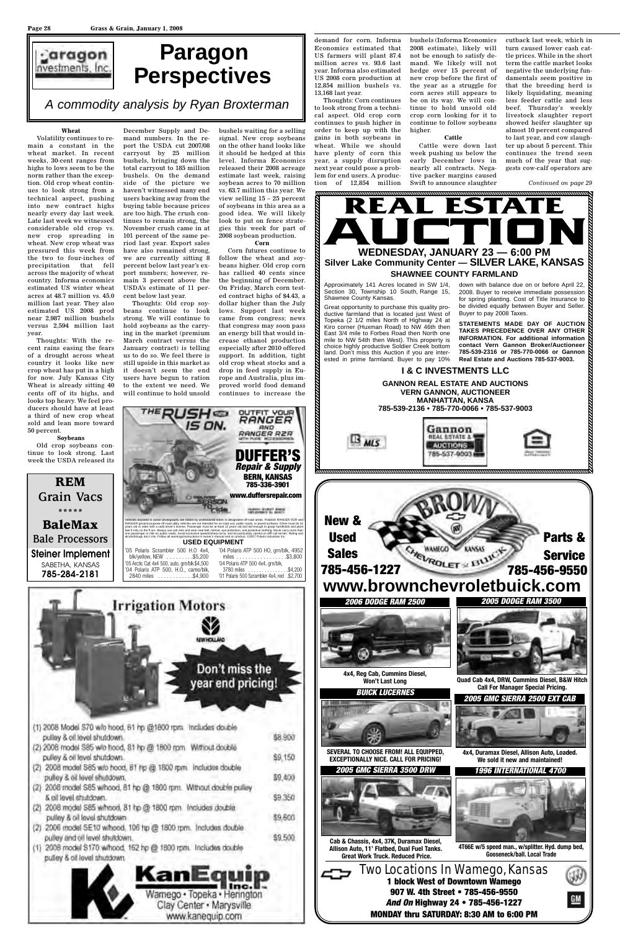#### **Wheat**

Volatility continues to remain a constant in the wheat market. In recent weeks, 30-cent ranges from highs to lows seem to be the norm rather than the exception. Old crop wheat continues to look strong from a technical aspect, pushing into new contract highs nearly every day last week. Late last week we witnessed considerable old crop vs. new crop spreading in wheat. New crop wheat was pressured this week from the two to four-inches of precipitation that fell across the majority of wheat country. Informa economics estimated US winter wheat acres at 48.7 million vs. 45.0 million last year. They also estimated US 2008 prod near 2,987 million bushels versus 2,594 million last year.

Thoughts: With the recent rains easing the fears of a drought across wheat country it looks like new crop wheat has put in a high for now. July Kansas City Wheat is already sitting 40 cents off of its highs, and looks top heavy. We feel producers should have at least a third of new crop wheat

December Supply and Demand numbers. In the report the USDA cut 2007/08 carryout by 25 million bushels, bringing down the total carryout to 185 million bushels. On the demand side of the picture we haven't witnessed many end users backing away from the buying table because prices are too high. The crush continues to remain strong, the November crush came in at 101 percent of the same period last year. Export sales have also remained strong, we are currently sitting 8 percent below last year's export numbers; however, remain 3 percent above the USDA's estimate of 11 percent below last year.

Thoughts: Old crop soybeans continue to look strong. We will continue to hold soybeans as the carrying in the market (premium March contract versus the January contract) is telling us to do so. We feel there is still upside in this market as it doesn't seem the end users have begun to ration to the extent we need. We will continue to hold unsold

bushels waiting for a selling signal. New crop soybeans on the other hand looks like it should be hedged at this level. Informa Economics released their 2008 acreage estimate last week, raising soybean acres to 70 million vs. 63.7 million this year. We view selling 15 – 25 percent of soybeans in this area as a good idea. We will likely look to put on fence strategies this week for part of 2008 soybean production.

#### **Corn**

Corn futures continue to follow the wheat and soybeans higher. Old crop corn has rallied 40 cents since the beginning of December. On Friday, March corn tested contract highs of \$4.43, a dollar higher than the July lows. Support last week came from congress; news that congress may soon pass an energy bill that would increase ethanol production especially after 2010 offered support. In addition, tight old crop wheat stocks and a drop in feed supply in Europe and Australia, plus improved world food demand continues to increase the



demand for corn. Informa Economics estimated that US farmers will plant 87.4 million acres vs. 93.6 last year. Informa also estimated US 2008 corn production at 12,854 million bushels vs. 13,168 last year.

Thoughts: Corn continues to look strong from a technical aspect. Old crop corn continues to push higher in order to keep up with the gains in both soybeans in wheat. While we should have plenty of corn this year, a supply disruption next year could pose a problem for end users. A production of 12,854 million bushels (Informa Economics 2008 estimate), likely will not be enough to satisfy demand. We likely will not hedge over 15 percent of new crop before the first of the year as a struggle for corn acres still appears to be on its way. We will continue to hold unsold old crop corn looking for it to continue to follow soybeans higher.

#### **Cattle**

Cattle were down last week pushing us below the early December lows in nearly all contracts. Negative packer margins caused Swift to announce slaughter

cutback last week, which in turn caused lower cash cattle prices. While in the short term the cattle market looks negative the underlying fundamentals seem positive in that the breeding herd is likely liquidating, meaning less feeder cattle and less beef. Thursday's weekly livestock slaughter report showed heifer slaughter up almost 10 percent compared to last year, and cow slaughter up about 5 percent. This continues the trend seen much of the year that suggests cow-calf operators are



**1 block West of Downtown Wamego 907 W. 4th Street • 785-456-9550** *And On* **Highway 24 • 785-456-1227**



**MONDAY thru SATURDAY: 8:30 AM to 6:00 PM**

**4T66E w/5 speed man., w/splitter. Hyd. dump bed, Gooseneck/ball. Local Trade**





## Two Locations In Wamego, Kansas **4x4, Duramax Diesel, Allison Auto, Loaded. We sold it new and maintained!** *2005 GMC SIERRA 2500 EXT CAB* **SEVERAL TO CHOOSE FROM! ALL EQUIPPED, EXCEPTIONALLY NICE. CALL FOR PRICING!** *BUICK LUCERNES* **Cab & Chassis, 4x4, 37K, Duramax Diesel, Allison Auto, 11' Flatbed, Dual Fuel Tanks. Great Work Truck. Reduced Price.** *2005 GMC SIERRA 3500 DRW* **4x4, Reg Cab, Cummins Diesel, Won't Last Long Quad Cab 4x4, DRW, Cummins Diesel, B&W Hitch Call For Manager Special Pricing.**



**I & C INVESTMENTS LLC**



Approximately 141 Acres located in SW 1/4, Section 30, Township 10 South, Range 15, Shawnee County Kansas.

Great opportunity to purchase this quality productive farmland that is located just West of Topeka (2 1/2 miles North of Highway 24 at Kiro corner (Huxman Road) to NW 46th then East 3/4 mile to Forbes Road then North one mile to NW 54th then West). This property is choice highly productive Soldier Creek bottom land. Don't miss this Auction if you are interested in prime farmland. Buyer to pay 10%

down with balance due on or before April 22, 2008. Buyer to receive immediate possession for spring planting. Cost of Title Insurance to be divided equally between Buyer and Seller. Buyer to pay 2008 Taxes.

**STATEMENTS MADE DAY OF AUCTION TAKES PRECEDENCE OVER ANY OTHER INFORMATION. For additional information**<br>INFORMATION. For additional information **contact Vern Gannon Broker/Auctioneer 785-539-2316 or 785-770-0066 or Gannon Real Estate and Auctions 785-537-9003.**

# **Paragon Perspectives**

*A commodity analysis by Ryan Broxterman*

*Continued on page 29*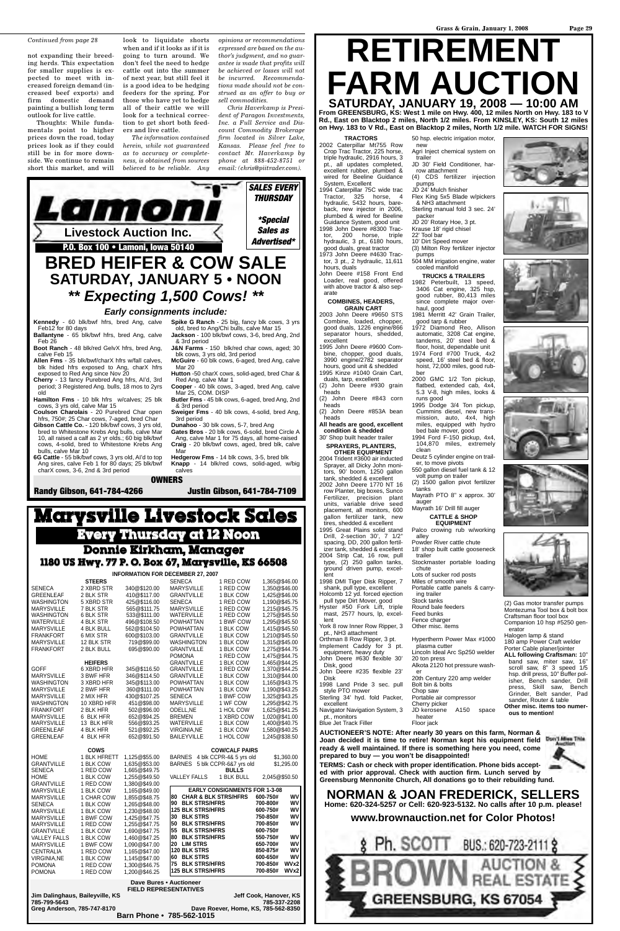not expanding their breeding herds. This expectation for smaller supplies is expected to meet with increased foreign demand (increased beef exports) and firm domestic demand painting a bullish long term outlook for live cattle.

Thoughts: While fundamentals point to higher prices down the road, today prices look as if they could still be in for more downside. We continue to remain short this market, and will

look to liquidate shorts when and if it looks as if it is going to turn around. We don't feel the need to hedge cattle out into the summer of next year, but still feel it is a good idea to be hedging feeders for the spring. For those who have yet to hedge all of their cattle we will look for a technical correction to get short both feeders and live cattle.

*The information contained herein, while not guaranteed as to accuracy or completeness, is obtained from sources believed to be reliable. Any*

*opinions or recommendations expressed are based on the author's judgment, and no guarantee is made that profits will be achieved or losses will not be incurred. Recommendations made should not be construed as an offer to buy or sell commodities.*

*Chris Haverkamp is President of Paragon Investments, Inc. a Full Service and Discount Commodity Brokerage firm located in Silver Lake, Kansas. Please feel free to contact Mr. Haverkamp by phone at 888-452-8751 or email: (chris@piitrader.com).*



**Rd., East on Blacktop 2 miles, North 1/2 miles. From KINSLEY, KS: South 12 miles on Hwy. 183 to V Rd., East on Blacktop 2 miles, North 1/2 mile. WATCH FOR SIGNS!**

**AUCTIONEER'S NOTE: After nearly 30 years on this farm, Norman & Joan decided it is time to retire! Norman kept his equipment field ready & well maintained. If there is something here you need, come prepared to buy — you won't be disappointed!**



**TERMS: Cash or check with proper identification. Phone bids accepted with prior approval. Check with auction firm. Lunch served by Greensburg Mennonite Church, All donations go to their rebuilding fund.**

## **NORMAN & JOAN FREDERICK, SELLERS Home: 620-324-5257 or Cell: 620-923-5132. No calls after 10 p.m. please!**

**www.brownauction.net for Color Photos!**



#### **TRACTORS**

2002 Caterpillar Mt755 Row Crop Trac Tractor, 225 horse, triple hydraulic, 2916 hours, 3 pt., all updates completed, excellent rubber, plumbed & wired for Beeline Guidance System, Excellent

> JD 20' Rotary Hoe, 3 pt. Krause 18' rigid chisel 22' Tool bar

1994 Caterpillar 75C wide trac Tractor, 325 horse, 4 hydraulic, 5432 hours, bareback, new injector in 2006, plumbed & wired for Beeline Guidance System, good unit 1998 John Deere #8300 Tractor, 200 horse, triple hydraulic, 3 pt., 6180 hours, good duals, great tractor 1973 John Deere #4630 Trac-

tor, 3 pt., 2 hydraulic, 11,611 hours, duals John Deere #158 Front End

Loader, real good, offered with above tractor & also sep-

arate

## **COMBINES, HEADERS,**

**GRAIN CART** 2003 John Deere #9650 STS Combine, loaded, chopper, good duals, 1226 engine/866 separator hours, shedded, excellent

1995 John Deere #9600 Combine, chopper, good duals, 3990 engine/2782 separator

hours, good unit & shedded 1995 Kinze #1040 Grain Cart, duals, tarp, excellent

(2) John Deere #930 grain heads

(2) John Deere #843 corn heads

(2) John Deere #853A bean heads

**All heads are good, excellent condition & shedded**

30' Shop built header trailer **SPRAYERS, PLANTERS, OTHER EQUIPMENT**

> sp. drill press. 10" Buffer isher, Bench sander, Drill press, Skill saw, Bench Grinder, Belt sander, Pad sander, Router & table **Other misc. items too numerous to mention!**

2004 Trident #3600 air inducted Sprayer, all Dicky John moni-

tors, 90' boom, 1250 gallon tank, shedded & excellent 2002 John Deere 1770 NT 16 row Planter, big boxes, Sunco Fertilizer, precision plant units, variable drive seed placement, all monitors, 600 gallon fertilizer tank, new

tires, shedded & excellent 1995 Great Plains solid stand Drill, 2-section 30', 7 1/2" spacing, DD, 200 gallon fertilizer tank, shedded & excellent 2004 Strip Cat, 16 row, pull

type, (2) 250 gallon tanks, ground driven pump, excellent 1998 DMI Tiger Disk Ripper, 7

shank, pull type, excellent Holcomb 12 yd. forced ejection pull type Dirt Mover, good Hyster #50 Fork Lift, triple

mast, 2577 hours, lp, excellent York 8 row Inner Row Ripper, 3

pt., NH3 attachment Orthman 8 Row Ripper, 3 pt.

Implement Caddy for 3 pt. equipment, heavy duty John Deere #630 flexible 30'

Disk, good

John Deere #235 flexible 23'

Disk

50 hsp. electric irrigation motor, new Agri Inject chemical system on

trailer JD 30' Field Conditioner, harrow attachment

(4) CDS fertilizer injection pumps

JD 24' Mulch finisher Flex King 5x5 Blade w/pickers & NH3 attachment

Sterling manual fold 3 sec. 24' packer

10' Dirt Speed mover

(3) Milton Roy fertilizer injector pumps

504 MM irrigation engine, water cooled manifold

**TRUCKS & TRAILERS** 1982 Peterbuilt, 13 speed, 3406 Cat engine, 325 hsp, good rubber, 80,413 miles since complete major overhaul, good

1981 Merritt 42' Grain Trailer, good tarp & rubber

1972 Diamond Reo, Allison automatic, 3208 Cat engine, tandems, 20' steel bed & floor, hoist, dependable unit 1974 Ford #700 Truck, 4x2 speed, 16' steel bed & floor, hoist, 72,000 miles, good rubber

2000 GMC 1/2 Ton pickup, flatbed, extended cab, 4x4, 5.3 V-8, high miles, looks &

1998 Land Pride 3 sec. pull style PTO mower Sterling 34' hyd. fold Packer, excellent Navigator Navigation System, 3 pt., monitors Blue Jet Track Filler 20th Century 220 amp welder Bolt bin & bolts Chop saw Portable air compressor Cherry picker<br>JD kerosene A150 space heater Floor jack

runs good 1995 Dodge 3/4 Ton pickup, Cummins diesel, new trans-<br>mission. auto. 4x4. high mission, auto, miles, equipped with hydro bed bale mover, good

1994 Ford F-150 pickup, 4x4, 104,870 miles, extremely

clean Deutz 5 cylinder engine on trail-

er, to move pivots 550 gallon diesel fuel tank & 12 volt pump on trailer

(2) 1500 gallon pivot fertilizer tanks

Mayrath PTO 8" x approx. 30' auger Mayrath 16' Drill fill auger

#### **CATTLE & SHOP EQUIPMENT**

Palco crowing rub w/working alley

Powder River cattle chute 18' shop built cattle gooseneck

trailer Stockmaster portable loading

chute Lots of sucker rod posts

Miles of smooth wire Portable cattle panels & carry-

ing trailer

Stock tanks Round bale feeders

Feed bunks

Fence charger Other misc. items

Hypertherm Power Max #1000 plasma cutter

Lincoln Ideal Arc Sp250 welder 20 ton press

Alkota 2120 hot pressure wash-

er









(2) Gas motor transfer pumps Montezuma Tool box & bolt box Craftsman floor tool box Companion 10 hsp #5250 gen-

erator

Halogen lamp & stand 180 amp Power Craft welder Porter Cable planer/jointer **ALL following Craftsman:** 10" band saw, miter saw, 16" scroll saw, 8" 3 speed 1/5



blk hided hfrs exposed to Ang, charX hfrs exposed to Red Ang since Nov 20

**Cherry** - 13 fancy Purebred Ang hfrs, AI'd, 3rd period; 3 Registered Ang. bulls, 18 mos to 2yrs old

**Hamilton Fms** - 10 blk hfrs w/calves; 25 blk cows, 3 yrs old, calve Mar 15 **Coulson Charolais** - 20 Purebred Char open

hfrs, 750#; 25 Char cows, 7-aged, bred Char

**Gibson Cattle Co.** - 120 blk/bwf cows, 3 yrs old, bred to Whitestone Krebs Ang bulls, calve Mar 10, all raised a calf as 2 yr olds.; 60 big blk/bwf cows, 4-solid, bred to Whitestone Krebs Ang bulls, calve Mar 10

**6G Cattle** - 55 blk/bwf cows, 3 yrs old, AI'd to top Ang sires, calve Feb 1 for 80 days; 25 blk/bwf charX cows, 3-6, 2nd & 3rd period

**Spike G Ranch** - 25 big, fancy blk cows, 3 yrs **Jackson** - 100 blk/bwf cows, 3-6, bred Ang, 2nd

**McGuire** - 60 blk cows, 6-aged, bred Ang, calve Mar 20

**Hutton** -50 charX cows, solid-aged, bred Char & Red Ang, calve Mar 1

**Cooper** - 40 blk cows, 3-aged, bred Ang, calve Mar 25, COM. DISP

**Butler Fms** - 45 blk cows, 6-aged, bred Ang, 2nd & 3rd period

**Sweiger Fms** - 40 blk cows, 4-solid, bred Ang, 3rd period

**Dunahoo** - 30 blk cows, 5-7, bred Ang

**Gates Bros** - 20 blk cows, 6-solid, bred Circle A Ang, calve Mar 1 for 75 days, all home-raised **Craig** - 20 blk/bwf cows, aged, bred blk, calve Mar

**Hedgerow Fms** - 14 blk cows, 3-5, bred blk **Knapp** - 14 blk/red cows, solid-aged, w/big calves

**OWNERS**

**Randy Gibson, 641-784-4266 Justin Gibson, 641-784-7109**

| <b>INFORMATION FOR DECEMBER 27, 2007</b> |                   |              |                   |           |               |  |
|------------------------------------------|-------------------|--------------|-------------------|-----------|---------------|--|
|                                          | <b>STEERS</b>     |              | <b>SENECA</b>     | 1 RED COW | 1.365@\$46.00 |  |
| <b>SENECA</b>                            | 2 XBRD STR        | 340@\$120.00 | <b>MARYSVILLE</b> | 1 RED COW | 1.350@\$46.00 |  |
| <b>GREENLEAF</b>                         | 2 BLK STR         | 410@\$117.00 | <b>GRANTVILLE</b> | 1 BLK COW | 1.425@\$46.00 |  |
| <b>WASHINGTON</b>                        | 5 XBRD STR        | 425@\$116.00 | <b>SENECA</b>     | 1 RED COW | 1.190@\$45.75 |  |
| <b>MARYSVILLE</b>                        | 7 BLK STR         | 565@\$111.75 | <b>MARYSVILLE</b> | 1 RED COW | 1.215@\$45.75 |  |
| <b>WASHINGTON</b>                        | 6 BLK STR         | 533@\$111.00 | <b>WATERVILLE</b> | 1 RED COW | 1,275@\$45.50 |  |
| <b>WATERVILLE</b>                        | 4 BLK STR         | 496@\$108.50 | <b>POWHATTAN</b>  | 1 BWF COW | 1,295@\$45.50 |  |
| <b>MARYSVILLE</b>                        | <b>4 BLK BULL</b> | 562@\$104.50 | <b>POWHATTAN</b>  | 1 BLK COW | 1.415@\$45.50 |  |
| <b>FRANKFORT</b>                         | 6 MIX STR         | 600@\$103.00 | <b>GRANTVILLE</b> | 1 BLK COW | 1.210@\$45.50 |  |
| <b>MARYSVILLE</b>                        | 12 BLK STR        | 719@\$99.00  | <b>WASHINGTON</b> | 1 BLK COW | 1.315@\$45.00 |  |
| <b>FRANKFORT</b>                         | 2 BLK BULL        | 695@\$90.00  | <b>GRANTVILLE</b> | 1 BLK COW | 1.275@\$44.75 |  |
|                                          |                   |              | <b>POMONA</b>     | 1 RED COW | 1.475@\$44.75 |  |
|                                          | <b>HEIFERS</b>    |              | <b>GRANTVILLE</b> | 1 BLK COW | 1,465@\$44.25 |  |
| <b>GOFF</b>                              | 6 XBRD HFR        | 345@\$116.50 | <b>GRANTVILLE</b> | 1 RED COW | 1.370@\$44.25 |  |

## **Marysville Livestock Sales Every Thursday at 12 Noon Donnie Kirkham, Manager 1180 US Hwy. 77 P. O. Box 67, Marysville, KS 66508**

| MARYSVILLE                                                | 3 BWF HFR                                                          | 346@\$114.50  | <b>GRANTVILLE</b>          | 1 BLK COW                            | 1,310@\$44.00 |            |
|-----------------------------------------------------------|--------------------------------------------------------------------|---------------|----------------------------|--------------------------------------|---------------|------------|
| <b>WASHINGTON</b>                                         | 3 XBRD HFR                                                         | 345@\$113.00  | <b>POWHATTAN</b>           | 1 BLK COW                            | 1.165@\$43.75 |            |
| <b>MARYSVILLE</b>                                         | 2 BWF HFR                                                          | 360@\$111.00  | <b>POWHATTAN</b>           | 1 BLK COW                            | 1.190@\$43.25 |            |
| <b>MARYSVILLE</b>                                         | 2 MIX HFR                                                          | 430@\$107.25  | <b>SENECA</b>              | 1 BWF COW                            | 1.325@\$43.25 |            |
| <b>WASHINGTON</b>                                         | 10 XBRD HFR                                                        | 451@\$98.00   | <b>MARYSVILLE</b>          | 1 WF COW                             | 1.295@\$42.75 |            |
| <b>FRANKFORT</b>                                          | 2 BLK HFR                                                          | 502@\$96.00   | ODELL.NE                   | 1 HOL COW                            | 1,625@\$41.25 |            |
| <b>MARYSVILLE</b>                                         | 6 BLK HFR                                                          | 652@\$94.25   | <b>BREMEN</b>              | 1 XBRD COW                           | 1.020@\$41.00 |            |
| <b>MARYSVILLE</b>                                         | 13 BLK HFR                                                         | 556@\$93.25   | <b>WATERVILLE</b>          | 1 BLK COW                            | 1.400@\$40.75 |            |
| <b>GREENLEAF</b>                                          | 4 BLK HFR                                                          | 521@\$92.25   | <b>VIRGINIA.NE</b>         | 1 BLK COW                            | 1.580@\$40.25 |            |
| <b>GREENLEAF</b>                                          | 4 BLK HFR                                                          | 652@\$91.50   | <b>BAILEYVILLE</b>         | 1 HOL COW                            | 1,245@\$38.50 |            |
|                                                           | <b>COWS</b>                                                        |               |                            | <b>COW/CALF PAIRS</b>                |               |            |
| <b>HOME</b>                                               | 1 BLK HFRETT                                                       | 1.125@\$55.00 | <b>BARNES</b>              | 4 blk CCPR-4& 5 yrs old              |               | \$1,360.00 |
| <b>GRANTVILLE</b>                                         | 1 BLK COW                                                          | 1.635@\$53.00 | <b>BARNES</b>              | 5 blk CCPR-6&7 yrs old               |               | \$1.295.00 |
| <b>SENECA</b>                                             | 1 RED COW                                                          | 1.665@\$49.75 |                            | <b>BULLS</b>                         |               |            |
| <b>HOME</b>                                               | 1 BLK COW                                                          | 1.255@\$49.50 | <b>VALLEY FALLS</b>        | 1 BLK BULL                           | 2.045@\$50.50 |            |
| <b>GRANTVILLE</b>                                         | 1 RED COW                                                          | 1.380@\$49.00 |                            |                                      |               |            |
| <b>MARYSVILLE</b>                                         | 1 BLK COW                                                          | 1.165@\$49.00 |                            | <b>EARLY CONSIGNMENTS FOR 1-3-08</b> |               |            |
| <b>MARYSVILLE</b>                                         | 1 CHAR COW                                                         | 1.855@\$48.75 | 80                         | <b>CHAR &amp; BLK STRS/HFRS</b>      | 600-750#      | WV         |
| <b>SENECA</b>                                             | 1 BLK COW                                                          | 1.265@\$48.00 | <b>BLK STRS/HFRS</b><br>90 |                                      | 700-800#      | WV         |
| <b>MARYSVILLE</b>                                         | 1 BLK COW                                                          | 1.230@\$48.00 | <b>125 BLK STRS/HFRS</b>   |                                      | 600-750#      | WV         |
| <b>MARYSVILLE</b>                                         | 1 BWF COW                                                          | 1.425@\$47.75 | <b>BLK STRS</b><br>30      |                                      | 750-850#      | WV         |
| <b>MARYSVILLE</b>                                         | 1 RED COW                                                          | 1.255@\$47.75 | <b>BLK STRS/HFRS</b><br>50 |                                      | 700-850#      | WV         |
| <b>GRANTVILLE</b>                                         | 1 BLK COW                                                          | 1.690@\$47.75 | <b>BLK STRS/HFRS</b><br>55 |                                      | 600-750#      |            |
| <b>VALLEY FALLS</b>                                       | 1 BLK COW                                                          | 1.460@\$47.25 | 80<br><b>BLK STRS/HFRS</b> |                                      | 550-750#      | <b>WV</b>  |
| <b>MARYSVILLE</b>                                         | 1 BWF COW                                                          | 1.090@\$47.00 | <b>LIM STRS</b><br>20      |                                      | 650-700#      | WV         |
| <b>CENTRALIA</b>                                          | 1 RED COW                                                          | 1.165@\$47.00 | <b>120 BLK STRS</b>        |                                      | 850-875#      | WV         |
| <b>VIRGINIA.NE</b>                                        | 1 BLK COW                                                          | 1.145@\$47.00 | <b>BLK STRS</b><br>60      |                                      | 600-650#      | WV         |
| <b>POMONA</b>                                             | 1 RED COW                                                          | 1.300@\$46.75 | <b>BLK STRS/HFRS</b><br>75 |                                      | 700-850#      | WVx2       |
| <b>POMONA</b>                                             | 1 RED COW                                                          | 1.200@\$46.25 | <b>125 BLK STRS/HFRS</b>   |                                      | 700-850#      | WVx2       |
| Dave Bures • Auctioneer                                   |                                                                    |               |                            |                                      |               |            |
| <b>FIELD REPRESENTATIVES</b>                              |                                                                    |               |                            |                                      |               |            |
| Jim Dalinghaus, Baileyville, KS<br>Jeff Cook, Hanover, KS |                                                                    |               |                            |                                      |               |            |
| 785-799-5643<br>785-337-2208                              |                                                                    |               |                            |                                      |               |            |
|                                                           | Greg Anderson, 785-747-8170<br>Dave Roever, Home, KS, 785-562-8350 |               |                            |                                      |               |            |
|                                                           |                                                                    |               |                            |                                      |               |            |
|                                                           |                                                                    |               | Barn Phone • 785-562-1015  |                                      |               |            |

#### *Continued from page 28*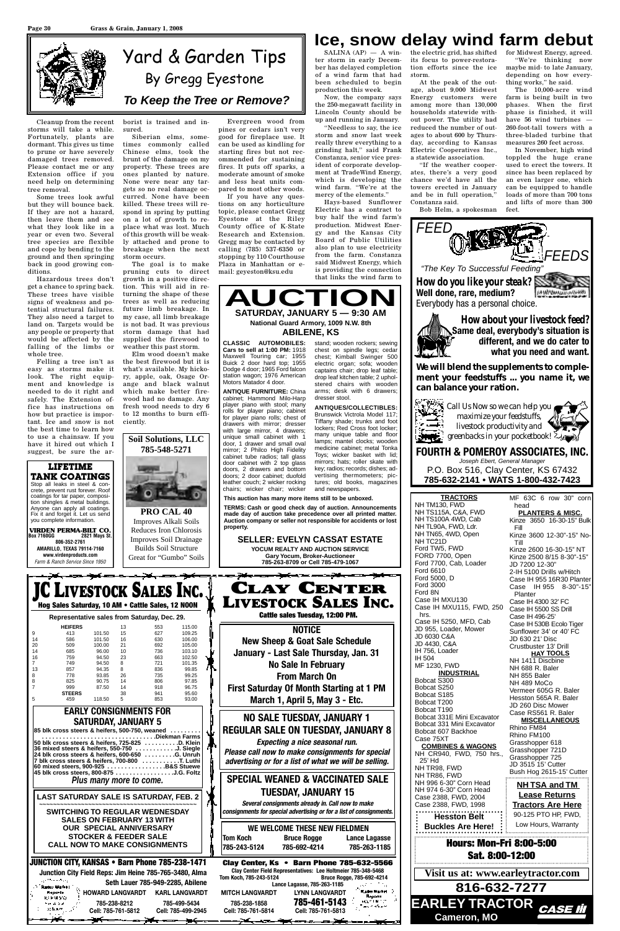Cleanup from the recent storms will take a while. Fortunately, plants are dormant. This gives us time to prune or have severely damaged trees removed. Please contact me or any Extension office if you need help on determining tree removal.

Some trees look awful but they will bounce back. If they are not a hazard, then leave them and see what they look like in a year or even two. Several tree species are flexible and cope by bending to the ground and then springing back in good growing conditions.

Hazardous trees don't get a chance to spring back. These trees have visible signs of weakness and potential structural failures. They also need a target to land on. Targets would be any people or property that would be affected by the falling of the limbs or whole tree.

Felling a tree isn't as easy as storms make it look. The right equipment and knowledge is needed to do it right and safely. The Extension office has instructions on how but practice is important. Ice and snow is not the best time to learn how to use a chainsaw. If you have it hired out which I suggest, be sure the arborist is trained and insured.

Siberian elms, sometimes commonly called Chinese elms, took the brunt of the damage on my property. These trees are ones planted by nature. None were near any targets so no real damage occurred. None have been killed. These trees will respond in spring by putting on a lot of growth to replace what was lost. Much of this growth will be weakly attached and prone to breakage when the next storm occurs.

The goal is to make pruning cuts to direct growth in a positive direction. This will aid in returning the shape of these trees as well as reducing future limb breakage. In my case, all limb breakage is not bad. It was previous storm damage that had supplied the firewood to weather this past storm.

 $SALINA (AP)$   $-$  A win- the electric grid, has shifted its focus to power-restoration efforts since the ice storm.

Elm wood doesn't make the best firewood but it is what's available. My hickory, apple, oak, Osage Orange and black walnut which make better firewood had no damage. Any fresh wood needs to dry 6 to 12 months to burn efficiently.

Evergreen wood from pines or cedars isn't very good for fireplace use. It can be used as kindling for starting fires but not recommended for sustaining fires. It puts off sparks, a moderate amount of smoke and less heat units compared to most other woods.

If you have any questions on any horticulture topic, please contact Gregg Eyestone at the Riley County office of K-State Research and Extension. Gregg may be contacted by calling (785) 537-6350 or stopping by 110 Courthouse Plaza in Manhattan or email: geyeston@ksu.edu

ter storm in early December has delayed completion of a wind farm that had been scheduled to begin production this week.

Now, the company says the 250-megawatt facility in Lincoln County should be up and running in January.

"Needless to say, the ice storm and snow last week really threw everything to a grinding halt," said Frank Constanza, senior vice president of corporate development at TradeWind Energy, which is developing the wind farm. "We're at the mercy of the elements."

Hays-based Sunflower Electric has a contract to buy half the wind farm's production. Midwest Energy and the Kansas City Board of Public Utilities also plan to use electricity from the farm. Constanza said Midwest Energy, which is providing the connection that links the wind farm to

At the peak of the outage, about 9,000 Midwest Energy customers were among more than 130,000 households statewide without power. The utility had reduced the number of outages to about 600 by Thursday, according to Kansas Electric Cooperatives Inc., a statewide association.

"If the weather cooperates, there's a very good chance we'd have all the towers erected in January and be in full operation," Constanza said.

Bob Helm, a spokesman

for Midwest Energy, agreed. "We're thinking now maybe mid- to late January, depending on how everything works," he said.

The 10,000-acre wind farm is being built in two phases. When the first phase is finished, it will have 56 wind turbines — 260-foot-tall towers with a three-bladed turbine that measures 260 feet across.

In November, high wind toppled the huge crane used to erect the towers. It since has been replaced by an even larger one, which can be equipped to handle loads of more than 700 tons and lifts of more than 300 feet.





P.O. Box 516, Clay Center, KS 67432 **785-632-2141 • WATS 1-800-432-7423**



| crete, prevent rust forever. Roof                                                                 |                                                        | chairs; wicker chair; wicker and newspapers.                                                                            |                                                         |                                                       |
|---------------------------------------------------------------------------------------------------|--------------------------------------------------------|-------------------------------------------------------------------------------------------------------------------------|---------------------------------------------------------|-------------------------------------------------------|
| coatings for tar paper, composi-<br>tion shingles & metal buildings.                              |                                                        | This auction has many more items still to be unboxed.                                                                   | <b>TRACTORS</b><br>NH TM130, FWD                        | MF 63C 6 row 30" corn<br>head                         |
| Anyone can apply all coatings.<br>Fix it and forget it. Let us send                               | PRO CAL 40                                             | TERMS: Cash or good check day of auction. Announcements<br>made day of auction take precedence over all printed matter. | NH TS115A, C&A, FWD                                     | <b>PLANTERS &amp; MISC.</b>                           |
| you complete information.                                                                         | Improves Alkali Soils                                  | Auction company or seller not responsible for accidents or lost                                                         | NH TS100A 4WD, Cab                                      | Kinze 3650 16-30-15" Bulk                             |
| <b>VIRDEN PERMA-BILT CO.</b>                                                                      | Reduces Iron Chlorosis                                 | property.                                                                                                               | NH TL90A, FWD, Ldr.<br>NH TN65, 4WD, Open               | Fill<br>Kinze 3600 12-30"-15" No-                     |
| <b>Box 7160GG</b><br>2821 Mays St.<br>806-352-2761                                                | Improves Soil Drainage                                 | <b>SELLER: EVELYN CASSAT ESTATE</b>                                                                                     | NH TC21D                                                | Till                                                  |
| <b>AMARILLO, TEXAS 79114-7160</b>                                                                 | <b>Builds Soil Structure</b>                           | YOCUM REALTY AND AUCTION SERVICE                                                                                        | Ford TW5, FWD                                           | Kinze 2600 16-30-15" NT                               |
| www.virdenproducts.com<br>Farm & Ranch Service Since 1950                                         | Great for "Gumbo" Soils                                | <b>Gary Yocum, Broker-Auctioneer</b><br>785-263-8709 or Cell 785-479-1067                                               | FORD 7700, Open                                         | Kinze 2500 8/15 8-30"-15"                             |
|                                                                                                   |                                                        |                                                                                                                         | Ford 7700, Cab, Loader<br>Ford 6610                     | JD 7200 12-30"                                        |
|                                                                                                   |                                                        |                                                                                                                         | Ford 5000, D                                            | 2-IH 5100 Drills w/Hitch<br>Case IH 955 16R30 Planter |
|                                                                                                   |                                                        | <b>CLAY CENTER</b>                                                                                                      | <b>Ford 3000</b>                                        | Case IH 955 8-30"-15"                                 |
|                                                                                                   | <b>LIVESTOCK SALES INC.</b>                            |                                                                                                                         | Ford 8N                                                 | Planter                                               |
| Hog Sales Saturday, 10 AM . Cattle Sales, 12 NOON                                                 |                                                        | <b>LIVESTOCK SALES INC.</b>                                                                                             | Case IH MXU130<br>Case IH MXU115, FWD, 250              | Case IH 4300 32' FC                                   |
|                                                                                                   |                                                        | Cattle sales Tuesday, 12:00 PM.                                                                                         | hrs.                                                    | Case IH 5500 SS Drill<br>Case IH 496-25'              |
| Representative sales from Saturday, Dec. 29.                                                      |                                                        |                                                                                                                         | Case IH 5250, MFD, Cab                                  | Case IH 530B Ecolo Tiger                              |
| <b>HEIFERS</b><br>101.50<br>9<br>413                                                              | 13<br>115.00<br>553<br>15<br>627<br>109.25             | <b>NOTICE</b>                                                                                                           | JD 955, Loader, Mower                                   | Sunflower 34' or 40' FC                               |
| 586<br>101.50<br>14                                                                               | 16<br>106.00<br>630                                    | <b>New Sheep &amp; Goat Sale Schedule</b>                                                                               | JD 6030 C&A<br>JD 4430, C&A                             | JD 630 21' Disc                                       |
| 20<br>509<br>100.00<br>14<br>685<br>96.00                                                         | 21<br>692<br>105.00<br>10<br>736<br>103.10             | January - Last Sale Thursday, Jan. 31                                                                                   | IH 756, Loader                                          | Crustbuster 13' Drill                                 |
| 16<br>759<br>94.50                                                                                | 23<br>102.50<br>663                                    |                                                                                                                         | IH 504                                                  | <b>HAY TOOLS</b><br>NH 1411 Discbine                  |
| $\overline{7}$<br>94.50<br>749<br>13<br>857<br>94.35                                              | 8<br>101.35<br>721<br>99.85<br>8<br>836                | <b>No Sale In February</b>                                                                                              | MF 1230, FWD                                            | NH 688 R. Baler                                       |
| 778<br>8<br>93.85                                                                                 | 26<br>99.25<br>735                                     | <b>From March On</b>                                                                                                    | <b>INDUSTRIAL</b><br>Bobcat S300                        | NH 855 Baler                                          |
| 825<br>90.75<br>999<br>87.50                                                                      | 14<br>806<br>97.85<br>14<br>918<br>96.75               | <b>First Saturday Of Month Starting at 1 PM</b>                                                                         | Bobcat S250                                             | NH 489 MoCo                                           |
| <b>STEERS</b>                                                                                     | 38<br>95.60<br>941                                     |                                                                                                                         | Bobcat S185                                             | Vermeer 605G R. Baler<br>Hesston 565A R. Baler        |
| 118.50<br>459                                                                                     | 93.00<br>5<br>853                                      | March 1, April 5, May 3 - Etc.                                                                                          | Bobcat T200                                             | JD 260 Disc Mower                                     |
| <b>EARLY CONSIGNMENTS FOR</b>                                                                     |                                                        |                                                                                                                         | Bobcat T190                                             | Case RS561 R. Baler                                   |
| <b>SATURDAY, JANUARY 5</b>                                                                        |                                                        | <b>NO SALE TUESDAY, JANUARY 1</b>                                                                                       | Bobcat 331E Mini Excavator<br>Bobcat 331 Mini Excavator | <b>MISCELLANEOUS</b>                                  |
| 85 blk cross steers & heifers, 500-750, weaned                                                    |                                                        | <b>REGULAR SALE ON TUESDAY, JANUARY 8</b>                                                                               | Bobcat 607 Backhoe                                      | Rhino FM84                                            |
| 50 blk cross steers & heifers, 725-825 D. Klein                                                   |                                                        | Expecting a nice seasonal run.                                                                                          | Case 75XT                                               | Rhino FM100<br>Grasshopper 618                        |
| 36 mixed steers & heifers, 550-750 J. Siegle                                                      |                                                        | Please call now to make consignments for special                                                                        | <b>COMBINES &amp; WAGONS</b>                            | Grasshopper 721D                                      |
| 24 blk cross steers & heifers, 600-650 G. Unruh<br>7 blk cross steers & heifers, 700-800 T. Luthi |                                                        | advertising or for a list of what we will be selling.                                                                   | NH CR940, FWD, 750 hrs.,<br>25' Hd                      | Grasshopper 725                                       |
| 60 mixed steers, 900-925 B&S Stuewe                                                               |                                                        |                                                                                                                         | NH TR98, FWD                                            | JD 3515 15' Cutter                                    |
| 45 blk cross steers, 800-875 J.G. Foltz                                                           |                                                        | <b>SPECIAL WEANED &amp; VACCINATED SALE</b>                                                                             | NH TR86, FWD                                            | Bush Hog 2615-15' Cutter                              |
| Plus many more to come.                                                                           |                                                        |                                                                                                                         | NH 996 6-30" Corn Head                                  | <b>NH TSA and TM</b>                                  |
| LAST SATURDAY SALE IS SATURDAY, FEB. 2                                                            |                                                        | <b>TUESDAY, JANUARY 15</b>                                                                                              | NH 974 6-30" Corn Head<br>Case 2388, FWD, 2004          | <b>Lease Returns</b>                                  |
|                                                                                                   |                                                        | Several consignments already in. Call now to make                                                                       | Case 2388, FWD, 1998                                    | <b>Tractors Are Here</b>                              |
| <b>SWITCHING TO REGULAR WEDNESDAY</b>                                                             |                                                        | consignments for special advertising or for a list of consignments.                                                     | <b>Hesston Belt</b>                                     | 90-125 PTO HP, FWD,                                   |
| <b>SALES ON FEBRUARY 13 WITH</b>                                                                  |                                                        |                                                                                                                         |                                                         | Low Hours, Warranty                                   |
| <b>OUR SPECIAL ANNIVERSARY</b>                                                                    |                                                        | WE WELCOME THESE NEW FIELDMEN                                                                                           | <b>Buckles Are Here!</b>                                |                                                       |
| <b>STOCKER &amp; FEEDER SALE</b>                                                                  |                                                        | <b>Tom Koch</b><br><b>Bruce Rogge</b><br>Lance Lagasse                                                                  | <b>Hours: Mon-Fri 8:00-5:00</b>                         |                                                       |
| <b>CALL NOW TO MAKE CONSIGNMENTS</b>                                                              |                                                        | 785-243-5124<br>785-692-4214<br>785-263-1185                                                                            |                                                         |                                                       |
| <b>JUNCTION CITY, KANSAS • Barn Phone 785-238-1471</b>                                            |                                                        | Clay Center, Ks . Barn Phone 785-632-5566                                                                               | Sat. 8:00-12:00                                         |                                                       |
|                                                                                                   | Junction City Field Reps: Jim Heine 785-765-3480, Alma | Clay Center Field Representatives: Lee Holtmeier 785-348-5468                                                           | Visit us at: www.earleytractor.com                      |                                                       |
| and the second prop-                                                                              | Seth Lauer 785-949-2285, Abilene                       | Tom Koch, 785-243-5124<br>Bruce Rogge, 785-692-4214<br>Lance Lagasse, 785-263-1185                                      |                                                         |                                                       |
| Radio Mariel<br><b>HOWARD LANGVARDT</b><br>Reports.                                               | <b>KARL LANGVARDT</b>                                  | Kadas Market (*<br><b>MITCH LANGVARDT</b><br><b>LYNN LANGVARDT</b>                                                      | 816-632-7277                                            |                                                       |
| kipung<br>785-238-8212<br>ካታ ለ አይ                                                                 | 785-499-5434                                           | Reports<br>785-461-5143<br><b>ACCELLATION</b><br>785-238-1858                                                           |                                                         |                                                       |
| 小黄木林<br>Cell: 785-761-5812                                                                        | Cell: 785-499-2945                                     | 法公司 计算机<br>Cell: 785-761-5814<br>Cell: 785-761-5813                                                                     | EARLEY TRACTOR CASE III                                 |                                                       |
|                                                                                                   | <del>-100 - - - - - - - - - - - - - - - - -</del> - -  | <del>▃▁▓▙▖▃<u>▖</u>▁▝▆▎▃▁</del> ▖▁▅▕ <del>▓</del>                                                                       | <b>Cameron, MO</b>                                      |                                                       |

drawers with mirror; dresser with large mirror, 4 drawers; unique small cabinet with 1 door, 1 drawer and small oval mirror; 2 Philco High Fidelity cabinet tube radios; tall glass door cabinet with 2 top glass doors, 2 drawers and bottom doors; 2 door cabinet; duofold leather couch; 2 wicker rocking



Brunswick Victrola Model 117; Tiffany shade; trunks and foot lockers; Red Cross foot locker; many unique table and floor lamps; mantel clocks; wooden medicine cabinet; metal Tonka Toys; wicker basket with lid; mirrors; hats; roller skate with key; radios; records; dishes; advertising thermometers; pictures; old books, magazines and newspapers.

**LIFETIME TANK COATINGS** Stop all leaks in steel & concrete, prevent rust forever. Roof coatings for tar paper, composition shingles & metal buildings. Anyone can apply all coatings. Fix it and forget it. Let us send you complete information.

# **Ice, snow delay wind farm debut**

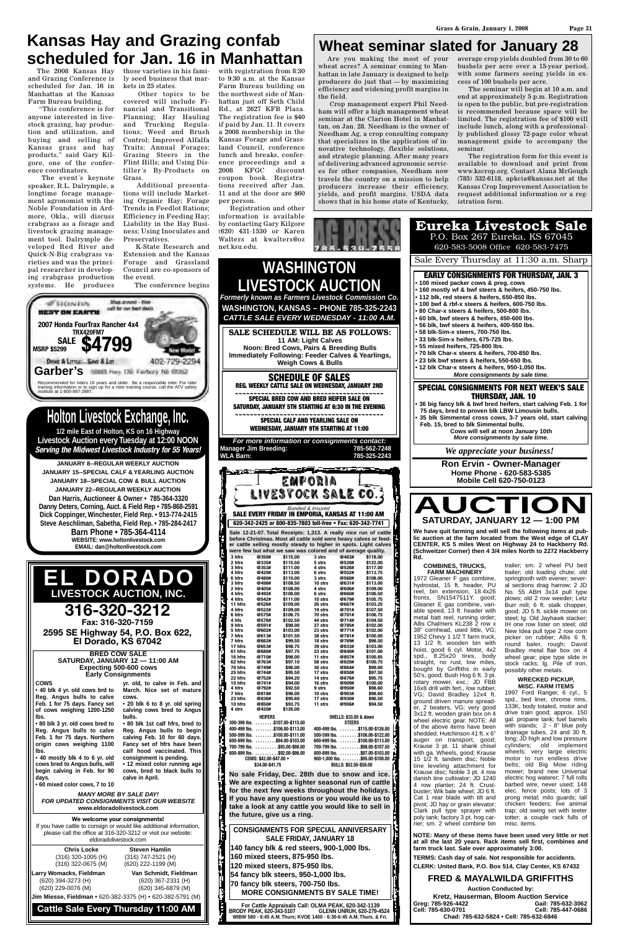and Grazing Conference is scheduled for Jan. 16 in Manhattan at the Kansas Farm Bureau building.

"This conference is for anyone interested in livestock grazing, hay production and utilization, and buying and selling of Kansas grass and hay products," said Gary Kilgore, one of the conference coordinators.

The event´s keynote speaker, R.L. Dalrymple, a longtime forage management agronomist with the Noble Foundation in Ardmore, Okla., will discuss crabgrass as a forage and livestock grazing management tool. Dalrymple developed Red River and Quick-N-Big crabgrass varieties and was the principal researcher in developing crabgrass production systems. He produces

ly seed business that markets in 25 states.

The 2008 Kansas Hay those varieties in his fami-with registration from 8:30 to 9:30 a.m. at the Kansas Farm Bureau building on the northwest side of Manhattan just off Seth Child Rd., at 2627 KFB Plaza. The registration fee is \$40 if paid by Jan. 11. It covers a 2008 membership in the Kansas Forage and Grassland Council, conference lunch and breaks, conference proceedings and a 2008 KFGC discount coupon book. Registrations received after Jan. 11 and at the door are \$60 per person.

Other topics to be covered will include Financial and Transitional Planning; Hay Hauling and Trucking Regulations; Weed and Brush Control; Improved Alfalfa Traits; Annual Forages; Grazing Steers in the Flint Hills; and Using Distiller´s By-Products on Grass.

# **Kansas Hay and Grazing confab scheduled for Jan. 16 in Manhattan** I Are you making the most of your

Additional presentations will include Market-

![](_page_14_Picture_10.jpeg)

The conference begins

Registration and other information is available by contacting Gary Kilgore (620) 431-1530 or Karen Walters at kwalters@oz net.ksu.edu.

wheat acres? A seminar coming to Manhattan in late January is designed to help producers do just that — by maximizing efficiency and widening profit margins in the field.

Crop management expert Phil Needham will offer a high management wheat seminar at the Clarion Hotel in Manhattan, on Jan. 28. Needham is the owner of Needham Ag, a crop consulting company that specializes in the application of innovative technology, flexible solutions, and strategic planning. After many years of delivering advanced agronomic services for other companies, Needham now travels the country on a mission to help producers increase their efficiency, yields, and profit margins. USDA data shows that in his home state of Kentucky,

average crop yields doubled from 30 to 60 bushels per acre over a 15-year period, with some farmers seeing yields in excess of 100 bushels per acre.

The seminar will begin at 10 a.m. and end at approximately 5 p.m. Registration is open to the public, but pre-registration is recommended because space will be limited. The registration fee of \$100 will include lunch, along with a professionally published glossy 72-page color wheat management guide to accompany the seminar.

The registration form for this event is available to download and print from www.kscrop.org. Contact Alana McGough (785) 532-6118, apkcia@kansas.net at the Kansas Crop Improvement Association to request additional information or a registration form.

## **Wheat seminar slated for January 28**

**NOTE: Many of these items have been used very little or not at all the last 20 years. Rack items sell first, combines and TERMS: Cash day of sale. Not responsible for accidents. CLERK: United Bank, P.O. Box 514, Clay Center, KS 67432 FRED & MAYALWILDA GRIFFITHS Kretz, Hauserman, Bloom Auction Service Cell: 785-630-0701 Cell: 785-447-0686 Chad: 785-632-5824 • Cell: 785-632-6846** springtooth with evener: several sections drag harrow; 2 JD No. 55 ABH 3x14 pull type plows; old 2 row weeder; Letz Burr mill; 6 ft. stalk chopper, good; JD 5 ft. sickle mower on steel; lg. Old Jayhawk stacker; IH one row lister on steel; old New Idea pull type 2 row corn picker on rubber; Allis 6 ft. round baler, rough; David Bradley metal flair box on 4 wheel gear; pipe type slide in stock racks; lg. Pile of iron, possibly other metals. **WRECKED PICKUP, MISC. FARM ITEMS** 1997 Ford Ranger, 6 cyl., 5 spd., bed liner, chrome rims, 133K, body totaled, motor and drive train good; approx. 150 gal. propane tank; fuel barrels with stands; 2 - 8" blue poly drainage tubes, 24 and 30 ft. long; JD high and low pressure cylinders; old implement wheels; very large electric motor to run endless drive belts; old Big Mow riding mower; brand new Universal electric hog waterer; 7 full rolls barbed wire, never used; 148 elec. fence posts; lots of 3 prong metal; milo guards; tall chicken feeders; live animal trap; old swing set with teeter totter; a couple rack fulls of

**farm truck last. Sale over approximately 3:00. Auction Conducted by: Greg: 785-926-4422 Gail: 785-632-3062** 1972 Gleaner F gas combine, hydrostat, 15 ft. header, PU reel, bin extension, 18.4x26 fronts, SN1547511Y, good; Gleaner E gas combine, variable speed, 13 ft. header with metal batt reel, running order; Allis Chalmers KL238 2 row x 38" cornhead, used little, VG; 1952 Chevy 1 1/2 T farm truck, 13 1/2 ft. wooden bin with hoist, good 6 cyl. Motor, 4x2 spd., 8.25x20 tires, body straight, no rust, low miles, bought by Griffiths in early 50's, good; Bush Hog 6 ft. 3 pt. rotary mower, exc.; JD FBB 16x8 drill with fert., low rubber, VG; David Bradley 12x4 ft. ground driven manure spreader, 2 beaters, VG; very good 3x12 ft. wooden grain box on 4 wheel electric gear. NOTE: All of the above items have been shedded. Hutchinson 41 ft. x 6" auger on transport, good; Krause 3 pt. 11 shank chisel with ga. Wheels, good; Krause 15 1/2 ft. tandem disc; Noble tine leveling attachment for Krause disc; Noble 3 pt. 4 row danish tine cultivator; JD 1240 4 row planter; 24 ft. Crustbuster; Wik bale wheel; JD 6 ft. Cat 1 rear blade with tilt and pivot; JD hay or grain elevator; Clark pull type sprayer with poly tank; factory 3 pt. hog carrier; sm. 2 wheel combine bin misc. items.

þ

#### **WASHINGTON, KANSAS – PHONE 785-325-2243** *CATTLE SALE EVERY WEDNESDAY - 11:00 A.M.* **SALE SCHEDULE WILL BE AS FOLLOWS: 11 AM: Light Calves Noon: Bred Cows, Pairs & Breeding Bulls Immediately Following: Feeder Calves & Yearlings, Weigh Cows & Bulls SCHEDULE OF SALES REG. WEEKLY CATTLE SALE ON WEDNESDAY, JANUARY 2ND ~~~~~~~~~~~~~~~~~~~~~~~~~~~~~~~~~~~~~~~~ SPECIAL BRED COW AND BRED HEIFER SALE ON SATURDAY, JANUARY 5TH STARTING AT 6:30 IN THE EVENING**  $~$$ **PECIAL CALF AND YEARLING SALE ON WEDNESDAY, JANUARY 9TH STARTING AT 11:00** *For more information or consignments contact:* **Manager Jim Breeding: 785-562-7248 WLA Barn: 785-325-2243** فيتحص EMPORIA LIVESTOCK SALE CO. Bonded & Insured<br>**SALE EVERY FRIDAY IN EMPORIA, KANSAS AT 11:00 AM 620-342-2425 or 800-835-7803 toll-free • Fax: 620-342-7741 Sale 12-21-07. Total Receipts: 1,313. A really nice run of cattle before Christmas. Most all cattle sold were heavy calves or feeder cattle selling mostly steady to higher in spots. Light calves** were few but what we saw was colored and of average quality.<br>3 htms @350# \$115.00 3 strs @463# \$118.00 **3 hfrs @350# \$115.00 3 strs @463# \$118.00 5 strs @520# \$122.00 2 hfrs @335# \$115.50 3 hfrs @353# \$111.00 4 strs @526# \$117.00 4 hfrs @420# \$113.00 6 strs @552# \$113.75 6 hfrs @480# \$110.00 3 strs @560# \$108.00** i **3 hfrs @498# \$108.50 10 strs @631# \$113.00 2 hfrs @405# \$108.00 4 strs @606# \$109.00 6 strs @660# \$106.50 4 hfrs @492# \$106.00** 10 strs @660# \$106.50<br>
10 strs @679# \$105.75<br>
26 strs @667# \$103.25 **4 hfrs @542# \$111.00 11 hfrs** @526#<br> **4 hfrs** @522#<br> **6 hfrs** @575# **26 strs @667# \$103.25 4 hfrs @522# \$109.00 19 strs** @701#<br> **19 strs** @701# **6 hfrs @575# \$106.75 70 strs @701# \$106.75 44 strs** @714#<br>27 strs @785# **4 hfs @576# \$102.50 9 hfrs @591# \$98.00** 27 strs @785# \$102.00<br>23 strs @771# \$102.00 **5 hfrs @602# \$103.00 23 strs @771# \$102.00 7 hfrs @613# \$101.50 7 hfrs @662# \$99.50 38 strs @781# \$100.00 18 strs @769# \$98.50** 17 hfrs @662# \$99.50<br>
17 hfrs @653# \$98.75<br>
61 hfrs @680# \$97.75 **39 strs @769# \$98.50**<br>39 strs @833# \$103.00<br>23 strs @840# \$101.00 **61 hfrs @680# \$97.75 23 strs @840# \$101.00 11 strs @857# \$100.85 16 hfrs @710# \$98.00 62 hfrs @763# \$97.10 58 strs @820# \$100.75 70 hfrs @749# \$96.00**  $@864#$

![](_page_14_Picture_23.jpeg)

| <b>Early Consignments</b><br><b>COWS</b><br>yr. old, to calve in Feb. and   <br>• 40 blk 4 yr. old cows brd to<br>March. Nice set of mature   <br>Reg. Angus bulls to calve<br>cows.<br>$\cdot$ 20 blk 6 to 8 yr. old spring<br>Feb. 1 for 75 days. Fancy set<br>of cows weighing 1200-1250<br>calving cows bred to Angus<br>lbs.<br>bulls.<br>.80 blk 3 yr. old cows bred to<br>• 80 blk 1st calf hfrs, bred to<br>Reg. Angus bulls to calve<br>Reg. Angus bulls to begin<br>Feb. 1 for 75 days. Northern<br>calving Feb. 10 for 60 days.<br>origin cows weighing 1100<br>Fancy set of hfrs have been<br>calf hood vaccinated. This<br>lbs.<br>• 40 mostly blk 4 to 6 yr. old<br>consignment is pending.<br>cows bred to Angus bulls, will<br>• 12 mixed color running age   <br>begin calving in Feb. for 90<br>cows, bred to black bulls to $\parallel$<br>calve in April.<br>days.<br>• 60 mixed color cows, 7 to 10<br><b>MANY MORE BY SALE DAY!</b><br><b>FOR UPDATED CONSIGNMENTS VISIT OUR WEBSITE</b> |                                                                                                                                                                                                                            | 25 hfrs<br>22 hfrs<br>10 hfrs<br>4 hfrs<br>7 hfrs<br>23 hfrs<br>10 hfrs<br>4 strs | @744#<br>@752#<br>@741#<br>@792#<br>@818#<br>@836#<br>@850#<br>@420#<br><b>HEIFERS</b><br>COWS: \$42.00-\$47.00 .<br>\$34.00-\$41.75 | \$95.50<br>\$94.20<br>\$94.00<br>\$92.50<br>\$96.00<br>\$95.60<br>\$93.75<br>\$126.00<br>300-399 lbs. \$107.00-\$115.00<br>400-499 lbs. \$106.00-\$113.00<br>$500 - 599$ lbs. $\ldots \ldots$ \$100.00-\$111.00<br>600-699 lbs. \$94.00-\$103.00<br>700-799 lbs. \$93.00-\$98.00<br>800-899 lbs. \$92.00-\$96.00 | 17 strs<br>14 strs<br>16 strs<br>9 strs<br>10 strs<br>17 strs<br>11 strs | @850#<br>@876#<br>@909#<br>@950#<br>@903#<br>@930#<br>@956#<br><b>SHELLS: \$33.00 &amp; down</b><br><b>STEERS</b><br>BULLS: \$52.50-\$58.00 | \$97.50<br>\$95.75<br>\$100.00<br>\$98.60<br>\$98.60<br>\$96.50<br>\$94.50<br>400-499 lbs. \$115.00-\$126.00<br>500-599 lbs. \$106.00-\$122.00<br>600-699 lbs. \$100.00-\$113.00<br>700-799 lbs. \$98.00-\$107.50<br>800-899 lbs. \$97.00-\$103.00<br>$900-1,000$ lbs. $\dots\dots$ .\$95.00-\$100.00<br>No sale Friday, Dec. 28th due to snow and ice.<br>We are expecting a lighter seasonal run of cattle<br>for the next few weeks throughout the holidays.<br>If you have any questions or you would ike us to<br>take a look at any cattle you would like to sell in |
|----------------------------------------------------------------------------------------------------------------------------------------------------------------------------------------------------------------------------------------------------------------------------------------------------------------------------------------------------------------------------------------------------------------------------------------------------------------------------------------------------------------------------------------------------------------------------------------------------------------------------------------------------------------------------------------------------------------------------------------------------------------------------------------------------------------------------------------------------------------------------------------------------------------------------------------------------------------------------------------------------------------|----------------------------------------------------------------------------------------------------------------------------------------------------------------------------------------------------------------------------|-----------------------------------------------------------------------------------|--------------------------------------------------------------------------------------------------------------------------------------|------------------------------------------------------------------------------------------------------------------------------------------------------------------------------------------------------------------------------------------------------------------------------------------------------------------|--------------------------------------------------------------------------|---------------------------------------------------------------------------------------------------------------------------------------------|----------------------------------------------------------------------------------------------------------------------------------------------------------------------------------------------------------------------------------------------------------------------------------------------------------------------------------------------------------------------------------------------------------------------------------------------------------------------------------------------------------------------------------------------------------------------------|
|                                                                                                                                                                                                                                                                                                                                                                                                                                                                                                                                                                                                                                                                                                                                                                                                                                                                                                                                                                                                                | www.eldoradolivestock.com<br>We welcome your consignments!<br>If you have cattle to consign or would like additional information,<br>please call the office at 316-320-3212 or visit our website:<br>eldoradolivestock.com |                                                                                   |                                                                                                                                      | the future, give us a ring.<br><b>CONSIGNMENTS FOR SPECIAL ANNIVERSARY</b><br><b>SALE FRIDAY, JANUARY 18</b>                                                                                                                                                                                                     |                                                                          |                                                                                                                                             |                                                                                                                                                                                                                                                                                                                                                                                                                                                                                                                                                                            |
| <b>Chris Locke</b><br>$(316)$ 320-1005 (H)<br>$(316)$ 322-0675 (M)<br>Larry Womacks, Fieldman<br>$(620)$ 394-3273 (H)<br>(620) 229-0076 (M)<br>Jim Miesse, Fieldman • 620-382-3375 (H) • 620-382-5791 (M)                                                                                                                                                                                                                                                                                                                                                                                                                                                                                                                                                                                                                                                                                                                                                                                                      | <b>Steven Hamlin</b><br>(316) 747-2521 (H)<br>(620) 222-1199 (M)<br>Van Schmidt, Fieldman<br>$(620)$ 367-2331 (H)<br>(620) 345-6879 (M)                                                                                    |                                                                                   |                                                                                                                                      | 140 fancy blk & red steers, 900-1,000 lbs.<br>160 mixed steers, 875-950 lbs.<br>120 mixed steers, 875-950 lbs.<br>54 fancy blk steers, 950-1,000 lbs.<br>70 fancy blk steers, 700-750 lbs.<br><b>MORE CONSIGNMENTS BY SALE TIME!</b>                                                                             |                                                                          |                                                                                                                                             |                                                                                                                                                                                                                                                                                                                                                                                                                                                                                                                                                                            |
|                                                                                                                                                                                                                                                                                                                                                                                                                                                                                                                                                                                                                                                                                                                                                                                                                                                                                                                                                                                                                | <b>Cattle Sale Every Thursday 11:00 AM</b>                                                                                                                                                                                 |                                                                                   | <b>BRODY PEAK, 620-343-5107</b>                                                                                                      | For Cattle Appraisals Call: OLMA PEAK, 620-342-1139<br>WIBW 580 - 6:45 A.M. Thurs; KVOE 1400 - 6:30-6:45 A.M. Thurs. & Fri.                                                                                                                                                                                      |                                                                          |                                                                                                                                             | <b>GLENN UNRUH, 620-279-4524</b>                                                                                                                                                                                                                                                                                                                                                                                                                                                                                                                                           |

F

ł

ŀ

![](_page_14_Picture_12.jpeg)

**SATURDAY, JANUARY 12 — 11:00 AM Expecting 500-600 cows**

**WASHINGTON**